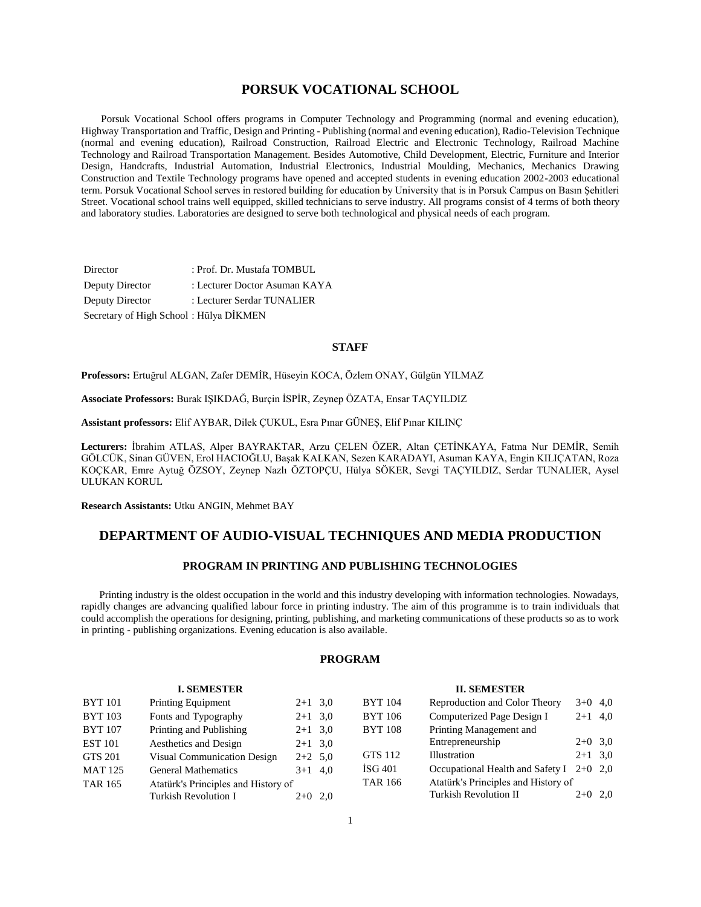### **PORSUK VOCATIONAL SCHOOL**

 Porsuk Vocational School offers programs in Computer Technology and Programming (normal and evening education), Highway Transportation and Traffic, Design and Printing - Publishing (normal and evening education), Radio-Television Technique (normal and evening education), Railroad Construction, Railroad Electric and Electronic Technology, Railroad Machine Technology and Railroad Transportation Management. Besides Automotive, Child Development, Electric, Furniture and Interior Design, Handcrafts, Industrial Automation, Industrial Electronics, Industrial Moulding, Mechanics, Mechanics Drawing Construction and Textile Technology programs have opened and accepted students in evening education 2002-2003 educational term. Porsuk Vocational School serves in restored building for education by University that is in Porsuk Campus on Basın Şehitleri Street. Vocational school trains well equipped, skilled technicians to serve industry. All programs consist of 4 terms of both theory and laboratory studies. Laboratories are designed to serve both technological and physical needs of each program.

Director : Prof. Dr. Mustafa TOMBUL Deputy Director : Lecturer Doctor Asuman KAYA Deputy Director : Lecturer Serdar TUNALIER Secretary of High School : Hülya DİKMEN

#### **STAFF**

**Professors:** Ertuğrul ALGAN, Zafer DEMİR, Hüseyin KOCA, Özlem ONAY, Gülgün YILMAZ

**Associate Professors:** Burak IŞIKDAĞ, Burçin İSPİR, Zeynep ÖZATA, Ensar TAÇYILDIZ

**Assistant professors:** Elif AYBAR, Dilek ÇUKUL, Esra Pınar GÜNEŞ, Elif Pınar KILINÇ

**Lecturers:** İbrahim ATLAS, Alper BAYRAKTAR, Arzu ÇELEN ÖZER, Altan ÇETİNKAYA, Fatma Nur DEMİR, Semih GÖLCÜK, Sinan GÜVEN, Erol HACIOĞLU, Başak KALKAN, Sezen KARADAYI, Asuman KAYA, Engin KILIÇATAN, Roza KOÇKAR, Emre Aytuğ ÖZSOY, Zeynep Nazlı ÖZTOPÇU, Hülya SÖKER, Sevgi TAÇYILDIZ, Serdar TUNALIER, Aysel ULUKAN KORUL

**Research Assistants:** Utku ANGIN, Mehmet BAY

## **DEPARTMENT OF AUDIO-VISUAL TECHNIQUES AND MEDIA PRODUCTION**

### **PROGRAM IN PRINTING AND PUBLISHING TECHNOLOGIES**

 Printing industry is the oldest occupation in the world and this industry developing with information technologies. Nowadays, rapidly changes are advancing qualified labour force in printing industry. The aim of this programme is to train individuals that could accomplish the operations for designing, printing, publishing, and marketing communications of these products so as to work in printing - publishing organizations. Evening education is also available.

### **PROGRAM**

#### **I. SEMESTER** BYT 101 Printing Equipment 2+1 3,0 BYT 103 Fonts and Typography 2+1 3,0 BYT 107 Printing and Publishing 2+1 3,0 EST 101 Aesthetics and Design 2+1 3,0 GTS 201 Visual Communication Design 2+2 5,0 MAT 125 General Mathematics 3+1 4,0 TAR 165 Atatürk's Principles and History of Turkish Revolution I 2+0 2,0 **II. SEMESTER** BYT 104 Reproduction and Color Theory 3+0 4,0 BYT 106 Computerized Page Design I 2+1 4,0 BYT 108 Printing Management and Entrepreneurship  $2+0$  3,0 GTS  $112$  Illustration  $2+1$  3,0 İSG 401 Occupational Health and Safety I 2+0 2,0 TAR 166 Atatürk's Principles and History of Turkish Revolution II 2+0 2,0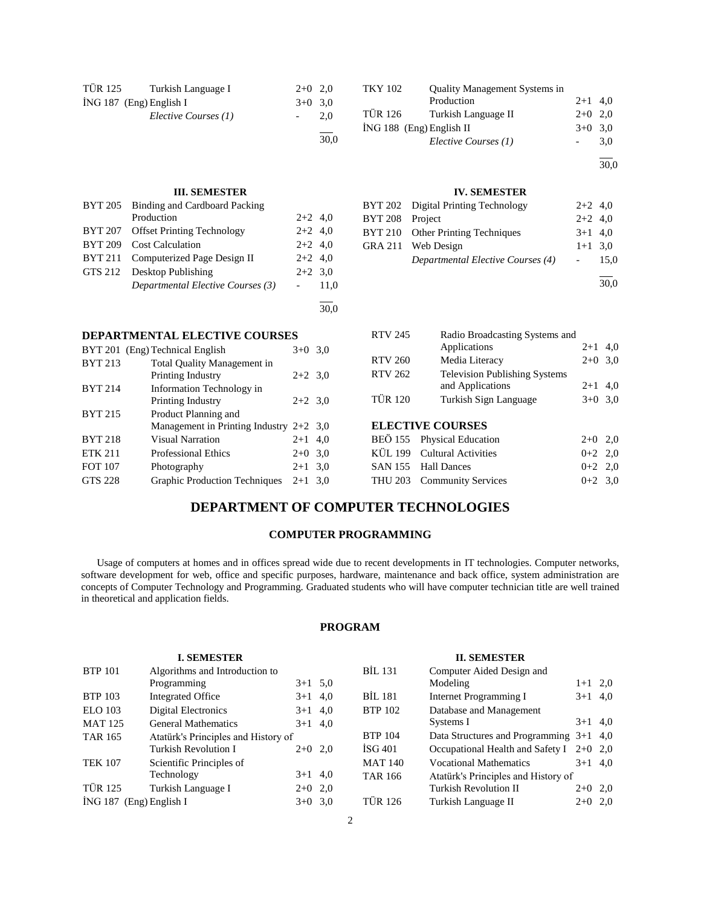| TÜR 125 | Turkish Language I        | $2+0$ 2.0 |      |
|---------|---------------------------|-----------|------|
|         | $ING 187$ (Eng) English I | $3+0$ 3.0 |      |
|         | Elective Courses (1)      |           | 2.0  |
|         |                           |           | 30,0 |

### **III. SEMESTER**

| BYT 205 | Binding and Cardboard Packing       |           |      |
|---------|-------------------------------------|-----------|------|
|         | Production                          | $2+2$ 4,0 |      |
|         | BYT 207 Offset Printing Technology  | $2+2$ 4,0 |      |
|         | BYT 209 Cost Calculation            | $2+2$ 4.0 |      |
|         | BYT 211 Computerized Page Design II | $2+2$ 4,0 |      |
|         | GTS 212 Desktop Publishing          | $2+2$ 3.0 |      |
|         | Departmental Elective Courses (3)   |           | 11.0 |
|         |                                     |           |      |

### **DEPARTMENTAL ELECTIVE COURSES**

|                | BYT 201 (Eng) Technical English           | $3+0$ 3.0 |     |
|----------------|-------------------------------------------|-----------|-----|
| <b>BYT 213</b> | <b>Total Quality Management in</b>        |           |     |
|                | Printing Industry                         | $2+2$ 3.0 |     |
| <b>BYT 214</b> | Information Technology in                 |           |     |
|                | Printing Industry                         | $2+2$ 3.0 |     |
| <b>BYT 215</b> | Product Planning and                      |           |     |
|                | Management in Printing Industry $2+2$ 3,0 |           |     |
| <b>BYT 218</b> | Visual Narration                          | $2 + 1$   | 4,0 |
| <b>ETK 211</b> | <b>Professional Ethics</b>                | $2+0$     | 3,0 |
| <b>FOT 107</b> | Photography                               | $2+1$ 3.0 |     |
| GTS 228        | <b>Graphic Production Techniques</b>      | $2+1$ 3.0 |     |
|                |                                           |           |     |

| <b>TKY 102</b> | <b>Quality Management Systems in</b> |           |     |
|----------------|--------------------------------------|-----------|-----|
|                | Production                           | $2+1$ 4.0 |     |
| TÜR 126        | Turkish Language II                  | $2+0$ 2.0 |     |
|                | $ING 188$ (Eng) English II           | $3+0$ 3.0 |     |
|                | Elective Courses (1)                 |           | 3.0 |
|                |                                      |           |     |

30,0

### **IV. SEMESTER**

|                 | BYT 202 Digital Printing Technology | $2+2$ 4.0  |        |
|-----------------|-------------------------------------|------------|--------|
| BYT 208 Project |                                     | $2+2$ 4.0  |        |
|                 | BYT 210 Other Printing Techniques   | $3+1$ 4.0  |        |
|                 | GRA 211 Web Design                  | $1+1$ 3.0  |        |
|                 | Departmental Elective Courses (4)   | $\sim 100$ | - 15.0 |
|                 |                                     |            |        |

30,0

| <b>RTV 245</b> | Radio Broadcasting Systems and       |           |  |
|----------------|--------------------------------------|-----------|--|
|                | Applications                         | $2+1$ 4,0 |  |
| <b>RTV 260</b> | Media Literacy                       | $2+0$ 3.0 |  |
| <b>RTV 262</b> | <b>Television Publishing Systems</b> |           |  |
|                | and Applications                     | $2+1$ 4,0 |  |
| <b>TÜR 120</b> | Turkish Sign Language                | $3+0$ 3.0 |  |
|                |                                      |           |  |

## **ELECTIVE COURSES**

| $2+0$ 2.0                                                                                                      |  |
|----------------------------------------------------------------------------------------------------------------|--|
| $0+2$ 2.0                                                                                                      |  |
| $0+2$ 2.0                                                                                                      |  |
| $0+2$ 3.0                                                                                                      |  |
| BEÖ 155 Physical Education<br>KÜL 199 Cultural Activities<br>SAN 155 Hall Dances<br>THU 203 Community Services |  |

## **DEPARTMENT OF COMPUTER TECHNOLOGIES**

30,0

### **COMPUTER PROGRAMMING**

 Usage of computers at homes and in offices spread wide due to recent developments in IT technologies. Computer networks, software development for web, office and specific purposes, hardware, maintenance and back office, system administration are concepts of Computer Technology and Programming. Graduated students who will have computer technician title are well trained in theoretical and application fields.

## **PROGRAM**

|                | <b>I. SEMESTER</b>                  |           |                | <b>II. SEMESTER</b>                       |           |  |
|----------------|-------------------------------------|-----------|----------------|-------------------------------------------|-----------|--|
| <b>BTP 101</b> | Algorithms and Introduction to      |           | <b>BIL 131</b> | Computer Aided Design and                 |           |  |
|                | Programming                         | $3+1$ 5,0 |                | Modeling                                  | $1+1$ 2,0 |  |
| <b>BTP 103</b> | Integrated Office                   | $3+1$ 4,0 | <b>BIL 181</b> | <b>Internet Programming I</b>             | $3+1$ 4,0 |  |
| ELO 103        | Digital Electronics                 | $3+1$ 4,0 | <b>BTP 102</b> | Database and Management                   |           |  |
| <b>MAT 125</b> | <b>General Mathematics</b>          | $3+1$ 4,0 |                | Systems I                                 | $3+1$ 4,0 |  |
| <b>TAR 165</b> | Atatürk's Principles and History of |           | <b>BTP 104</b> | Data Structures and Programming $3+1$ 4,0 |           |  |
|                | <b>Turkish Revolution I</b>         | $2+0$ 2,0 | $\rm{ISG}$ 401 | Occupational Health and Safety I 2+0 2,0  |           |  |
| <b>TEK 107</b> | Scientific Principles of            |           | <b>MAT 140</b> | <b>Vocational Mathematics</b>             | $3+1$ 4,0 |  |
|                | Technology                          | $3+1$ 4,0 | <b>TAR 166</b> | Atatürk's Principles and History of       |           |  |
| <b>TÜR 125</b> | Turkish Language I                  | $2+0$ 2,0 |                | <b>Turkish Revolution II</b>              | $2+0$ 2,0 |  |
|                | İNG 187 (Eng) English I             | $3+0$ 3.0 | <b>TÜR 126</b> | Turkish Language II                       | $2+0$ 2,0 |  |
|                |                                     |           |                |                                           |           |  |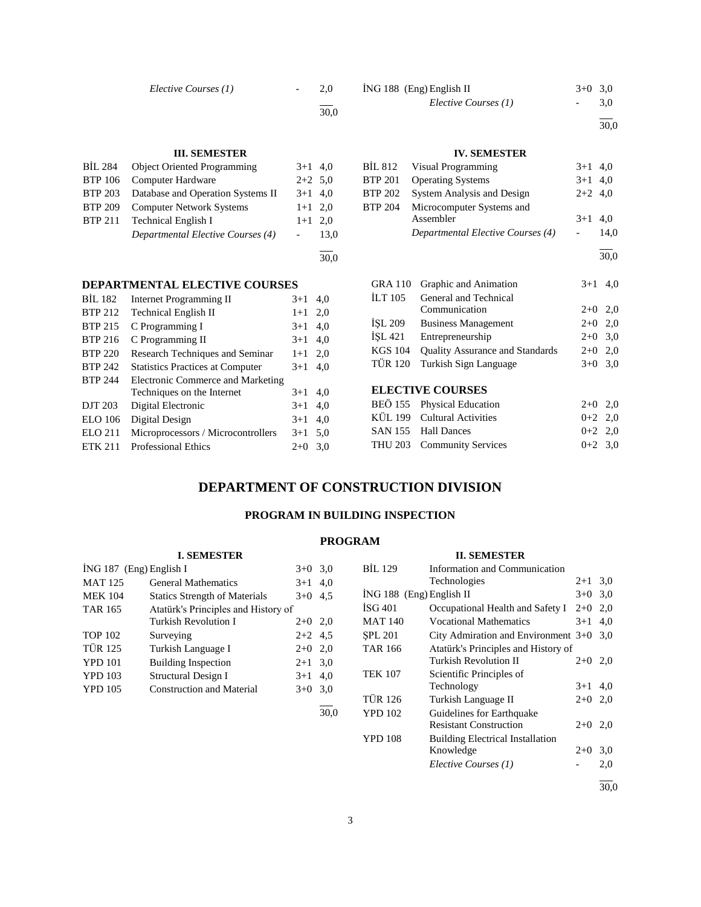*Elective Courses (1)* - 2,0

l 30,0

### **III. SEMESTER**

| BIL 284        | <b>Object Oriented Programming</b> | $3+1$ 4,0 |      |
|----------------|------------------------------------|-----------|------|
| <b>BTP</b> 106 | Computer Hardware                  | $2+2$ 5.0 |      |
| <b>BTP 203</b> | Database and Operation Systems II  | $3+1$ 4,0 |      |
| <b>BTP 209</b> | <b>Computer Network Systems</b>    | $1+1$ 2,0 |      |
| <b>BTP 211</b> | <b>Technical English I</b>         | $1+1$ 2.0 |      |
|                | Departmental Elective Courses (4)  |           | 13,0 |
|                |                                    |           |      |
|                |                                    |           | 30.0 |

### **DEPARTMENTAL ELECTIVE COURSES**

| <b>BIL 182</b> | <b>Internet Programming II</b>          | $3+1$ | 4,0 |
|----------------|-----------------------------------------|-------|-----|
| <b>BTP 212</b> | <b>Technical English II</b>             | $1+1$ | 2,0 |
| <b>BTP 215</b> | C Programming I                         | $3+1$ | 4,0 |
| <b>BTP 216</b> | C Programming II                        | $3+1$ | 4,0 |
| <b>BTP 220</b> | Research Techniques and Seminar         | $1+1$ | 2,0 |
| <b>BTP 242</b> | <b>Statistics Practices at Computer</b> | $3+1$ | 4.0 |
| <b>BTP 244</b> | Electronic Commerce and Marketing       |       |     |
|                | Techniques on the Internet              | $3+1$ | 4.0 |
| DJT 203        | Digital Electronic                      | $3+1$ | 4,0 |
| <b>ELO</b> 106 | Digital Design                          | $3+1$ | 4,0 |
| <b>ELO 211</b> | Microprocessors / Microcontrollers      | $3+1$ | 5,0 |
| <b>ETK 211</b> | <b>Professional Ethics</b>              | $2+0$ | 3.0 |

### $i$ NG 188 (Eng) English II  $3+0$  3,0 *Elective Courses (1)* - 3,0

l 30,0

## **IV. SEMESTER**

|                | BİL 812 Visual Programming        | $3+1$ 4,0 |      |
|----------------|-----------------------------------|-----------|------|
| <b>BTP 201</b> | <b>Operating Systems</b>          | $3+1$ 4.0 |      |
| <b>BTP 202</b> | System Analysis and Design        | $2+2$ 4,0 |      |
| <b>BTP 204</b> | Microcomputer Systems and         |           |      |
|                | Assembler                         | $3+1$ 4.0 |      |
|                | Departmental Elective Courses (4) |           | 14.0 |
|                |                                   |           |      |

30,0

|                    | GRA 110 Graphic and Animation          | $3+1$ 4,0 |  |
|--------------------|----------------------------------------|-----------|--|
| <b>ILT 105</b>     | General and Technical                  |           |  |
|                    | Communication                          | $2+0$ 2,0 |  |
| İSL 209            | <b>Business Management</b>             | $2+0$ 2,0 |  |
| ISL <sub>421</sub> | Entrepreneurship                       | $2+0$ 3,0 |  |
| <b>KGS 104</b>     | <b>Quality Assurance and Standards</b> | $2+0$ 2.0 |  |
| TÜR 120            | Turkish Sign Language                  | $3+0$ 3.0 |  |
|                    |                                        |           |  |

### **ELECTIVE COURSES**

| BEÖ 155 Physical Education  | $2+0$ 2.0 |  |
|-----------------------------|-----------|--|
| KÜL 199 Cultural Activities | $0+2$ 2.0 |  |
| SAN 155 Hall Dances         | $0+2$ 2.0 |  |
| THU 203 Community Services  | $0+2$ 3.0 |  |
|                             |           |  |

## **DEPARTMENT OF CONSTRUCTION DIVISION**

### **PROGRAM IN BUILDING INSPECTION**

### **PROGRAM**

|                         | <b>I. SEMESTER</b>                   |           |      |                            | <b>II. SEMESTER</b>                       |                          |           |
|-------------------------|--------------------------------------|-----------|------|----------------------------|-------------------------------------------|--------------------------|-----------|
| İNG 187 (Eng) English I |                                      | $3+0$ 3.0 |      | <b>BIL 129</b>             | Information and Communication             |                          |           |
| <b>MAT 125</b>          | <b>General Mathematics</b>           | $3+1$ 4,0 |      |                            | Technologies                              |                          | $2+1$ 3.0 |
| <b>MEK 104</b>          | <b>Statics Strength of Materials</b> | $3+0$ 4.5 |      | $ING 188$ (Eng) English II |                                           |                          | $3+0$ 3.0 |
| <b>TAR 165</b>          | Atatürk's Principles and History of  |           |      | $\rm{ISG}$ 401             | Occupational Health and Safety I          | $2+0$ 2,0                |           |
|                         | <b>Turkish Revolution I</b>          | $2+0$ 2,0 |      | <b>MAT 140</b>             | <b>Vocational Mathematics</b>             |                          | $3+1$ 4.0 |
| <b>TOP 102</b>          | Surveying                            | $2+2$ 4.5 |      | <b>SPL 201</b>             | City Admiration and Environment $3+0$ 3,0 |                          |           |
| <b>TÜR 125</b>          | Turkish Language I                   | $2+0$ 2,0 |      | <b>TAR 166</b>             | Atatürk's Principles and History of       |                          |           |
| <b>YPD 101</b>          | <b>Building Inspection</b>           | $2+1$ 3.0 |      |                            | Turkish Revolution II                     |                          | $2+0$ 2,0 |
| <b>YPD 103</b>          | Structural Design I                  | $3+1$ 4,0 |      | <b>TEK 107</b>             | Scientific Principles of                  |                          |           |
| <b>YPD 105</b>          | <b>Construction and Material</b>     | $3+0$ 3.0 |      |                            | Technology                                |                          | $3+1$ 4,0 |
|                         |                                      |           |      | <b>TÜR 126</b>             | Turkish Language II                       |                          | $2+0$ 2,0 |
|                         |                                      |           | 30,0 | <b>YPD 102</b>             | Guidelines for Earthquake                 |                          |           |
|                         |                                      |           |      |                            | <b>Resistant Construction</b>             |                          | $2+0$ 2,0 |
|                         |                                      |           |      | <b>YPD 108</b>             | <b>Building Electrical Installation</b>   |                          |           |
|                         |                                      |           |      |                            | Knowledge                                 | $2+0$                    | 3,0       |
|                         |                                      |           |      |                            | Elective Courses (1)                      | $\overline{\phantom{a}}$ | 2,0       |

l 30,0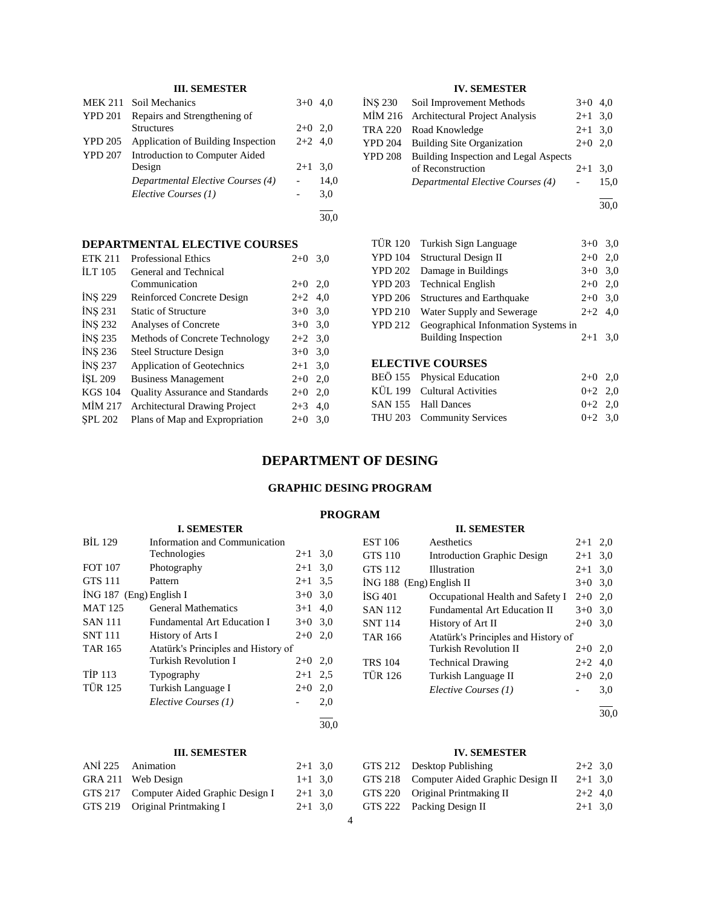## **III. SEMESTER**

|                | MEK 211 Soil Mechanics             | $3+0$ 4.0 |      |
|----------------|------------------------------------|-----------|------|
| <b>YPD 201</b> | Repairs and Strengthening of       |           |      |
|                | <b>Structures</b>                  | $2+0$ 2.0 |      |
| <b>YPD 205</b> | Application of Building Inspection | $2+2$ 4.0 |      |
| <b>YPD 207</b> | Introduction to Computer Aided     |           |      |
|                | Design                             | $2+1$ 3.0 |      |
|                | Departmental Elective Courses (4)  |           | 14,0 |
|                | Elective Courses (1)               |           | 3,0  |
|                |                                    |           |      |

30,0

### **DEPARTMENTAL ELECTIVE COURSES**

| <b>ETK 211</b> | <b>Professional Ethics</b>             | $2+0$     | 3,0 |
|----------------|----------------------------------------|-----------|-----|
| <b>ILT</b> 105 | General and Technical                  |           |     |
|                | Communication                          | $2+0$     | 2,0 |
| <b>INS 229</b> | Reinforced Concrete Design             | $2+2$ 4.0 |     |
| <b>INS 231</b> | <b>Static of Structure</b>             | $3+0$ 3,0 |     |
| <b>INS 232</b> | Analyses of Concrete                   | $3+0$ 3,0 |     |
| <b>INS 235</b> | Methods of Concrete Technology         | $2+2$ 3,0 |     |
| INS 236        | <b>Steel Structure Design</b>          | $3+0$     | 3,0 |
| INS 237        | <b>Application of Geotechnics</b>      | $2 + 1$   | 3,0 |
| ISL 209        | <b>Business Management</b>             | $2+0$     | 2,0 |
| <b>KGS 104</b> | <b>Quality Assurance and Standards</b> | $2+0$     | 2,0 |
| MIM 217        | <b>Architectural Drawing Project</b>   | $2 + 3$   | 4,0 |
| <b>SPL 202</b> | Plans of Map and Expropriation         | $2+0$     | 3,0 |
|                |                                        |           |     |

### **IV. SEMESTER**

| INS 230 Soil Improvement Methods              | $3+0$ 4,0 |      |
|-----------------------------------------------|-----------|------|
| MİM 216 Architectural Project Analysis        | $2+1$ 3,0 |      |
| TRA 220 Road Knowledge                        | $2+1$ 3.0 |      |
| YPD 204 Building Site Organization            | $2+0$ 2,0 |      |
| YPD 208 Building Inspection and Legal Aspects |           |      |
| of Reconstruction                             | $2+1$ 3.0 |      |
| Departmental Elective Courses (4)             |           | 15.0 |
|                                               |           |      |

 $\frac{1}{30,0}$ 

| <b>TÜR 120</b> | Turkish Sign Language               | $3+0$ 3.0 |     |
|----------------|-------------------------------------|-----------|-----|
| <b>YPD 104</b> | Structural Design II                | $2+0$     | 2,0 |
| <b>YPD 202</b> | Damage in Buildings                 | $3+0$ 3.0 |     |
| <b>YPD 203</b> | <b>Technical English</b>            | $2+0$ 2,0 |     |
| <b>YPD 206</b> | <b>Structures and Earthquake</b>    | $2+0$ 3,0 |     |
| <b>YPD 210</b> | Water Supply and Sewerage           | $2+2$ 4,0 |     |
| <b>YPD 212</b> | Geographical Information Systems in |           |     |
|                | <b>Building Inspection</b>          | $2+1$ 3.0 |     |
|                |                                     |           |     |
|                | EI EATIVE AAIDGEG                   |           |     |

## **ELECTIVE COURSES** BEÖ 155 Physical Education 2+0 2,0

| $DLO$ 1999 <b>11</b> , 91 <b>cm</b> Education |           |  |
|-----------------------------------------------|-----------|--|
| KÜL 199 Cultural Activities                   | $0+2$ 2,0 |  |
| SAN 155 Hall Dances                           | $0+2$ 2.0 |  |
| THU 203 Community Services                    | $0+2$ 3.0 |  |
|                                               |           |  |

## **DEPARTMENT OF DESING**

## **GRAPHIC DESING PROGRAM**

### **PROGRAM**

|                           | <b>I. SEMESTER</b>                  |           |     |
|---------------------------|-------------------------------------|-----------|-----|
| <b>BIL 129</b>            | Information and Communication       |           |     |
|                           | Technologies                        | $2 + 1$   | 3,0 |
| <b>FOT 107</b>            | Photography                         | $2 + 1$   | 3,0 |
| <b>GTS 111</b>            | Pattern                             | $2 + 1$   | 3.5 |
| $ING 187$ (Eng) English I |                                     | $3+0$     | 3,0 |
| <b>MAT125</b>             | <b>General Mathematics</b>          | $3+1$     | 4,0 |
| <b>SAN 111</b>            | <b>Fundamental Art Education I</b>  | $3+0$     | 3,0 |
| <b>SNT 111</b>            | History of Arts I                   | $2+0$     | 2.0 |
| <b>TAR 165</b>            | Atatürk's Principles and History of |           |     |
|                           | Turkish Revolution I                | $2+0$ 2,0 |     |
| <b>TIP 113</b>            | Typography                          | $2+1$     | 2.5 |
| <b>TÜR 125</b>            | Turkish Language I                  | $2+0$     | 2,0 |
|                           | Elective Courses (1)                |           | 2,0 |
|                           |                                     |           |     |

30,0

### **III. SEMESTER**

| пь ослистиче                            |           |  |
|-----------------------------------------|-----------|--|
| ANİ 225 Animation                       | $2+1$ 3.0 |  |
| GRA 211 Web Design                      | $1+1$ 3.0 |  |
| GTS 217 Computer Aided Graphic Design I | $2+1$ 3.0 |  |
| GTS 219 Original Printmaking I          | $2+1$ 3.0 |  |
|                                         |           |  |

| <b>EST 106</b>           | Aesthetics                                                                                                                                     | $2+1$ 2,0 |     |
|--------------------------|------------------------------------------------------------------------------------------------------------------------------------------------|-----------|-----|
| <b>GTS 110</b>           | <b>Introduction Graphic Design</b>                                                                                                             | $2+1$ 3.0 |     |
| <b>GTS 112</b>           | Illustration                                                                                                                                   | $2+1$ 3.0 |     |
| ING 188 (Eng) English II |                                                                                                                                                | $3+0$ 3.0 |     |
| $\rm iSG 401$            | Occupational Health and Safety I                                                                                                               | $2+0$ 2.0 |     |
| <b>SAN 112</b>           | <b>Fundamental Art Education II</b>                                                                                                            | $3+0$     | 3,0 |
| <b>SNT 114</b>           | History of Art II                                                                                                                              | $2+0$     | 3,0 |
| <b>TAR 166</b>           | Atatürk's Principles and History of                                                                                                            |           |     |
|                          | $\mathbf{r}$ $\mathbf{r}$ $\mathbf{r}$ $\mathbf{r}$ $\mathbf{r}$ $\mathbf{r}$ $\mathbf{r}$ $\mathbf{r}$ $\mathbf{r}$ $\mathbf{r}$ $\mathbf{r}$ | 0.0.0     |     |

**II. SEMESTER**

## Turkish Revolution II 2+0 2,0 TRS 104 Technical Drawing  $2+2$  4,0 TÜR 126 Turkish Language II 2+0 2,0 *Elective Courses (1)* - 3,0

l 30,0

### **IV. SEMESTER**

### GTS 212 Desktop Publishing 2+2 3,0 GTS 218 Computer Aided Graphic Design II 2+1 3,0 GTS 220 Original Printmaking II 2+2 4,0 GTS 222 Packing Design II 2+1 3,0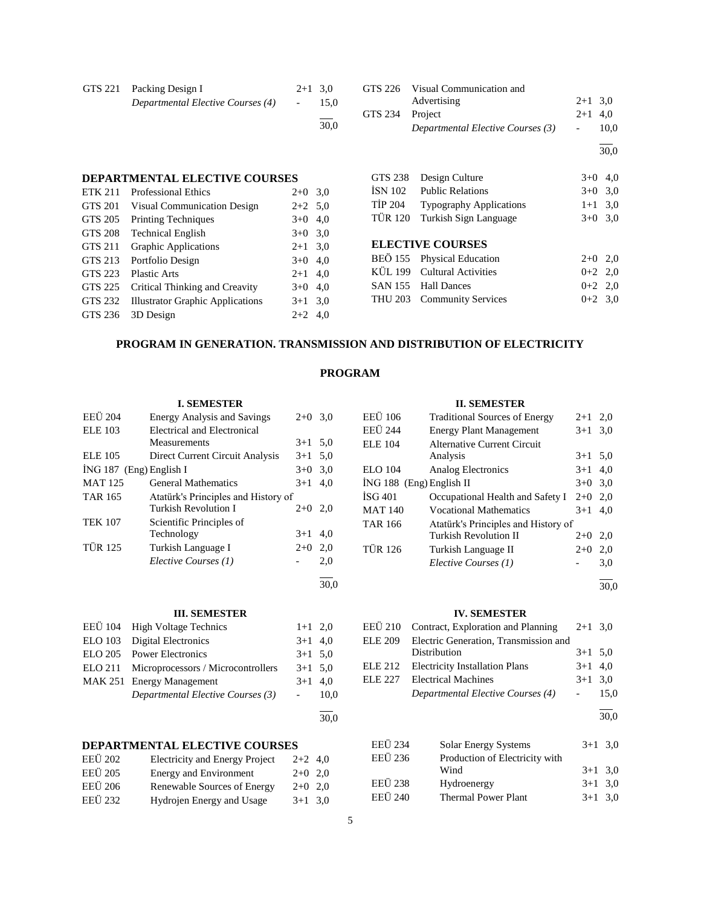| GTS 221 Packing Design I<br>Departmental Elective Courses (4) | $2+1$ 3.0<br>$\sim$ 100 $\mu$ | 15.0 |
|---------------------------------------------------------------|-------------------------------|------|
|                                                               |                               | 30.0 |

# **DEPARTMENTAL ELECTIVE COURSES**

| <b>ETK 211</b> | <b>Professional Ethics</b>              | $2+0$     | 3,0 |
|----------------|-----------------------------------------|-----------|-----|
| GTS 201        | Visual Communication Design             | $2+2$ 5,0 |     |
| GTS 205        | <b>Printing Techniques</b>              | $3+0$     | 4,0 |
| <b>GTS 208</b> | <b>Technical English</b>                | $3+0$ 3.0 |     |
| GTS 211        | <b>Graphic Applications</b>             | $2+1$ 3,0 |     |
| GTS 213        | Portfolio Design                        | $3+0$     | 4,0 |
| GTS 223        | <b>Plastic Arts</b>                     | $2+1$     | 4,0 |
| GTS 225        | Critical Thinking and Creavity          | $3+0$     | 4,0 |
| GTS 232        | <b>Illustrator Graphic Applications</b> | $3+1$     | 3,0 |
| GTS 236        | 3D Design                               | $2+2$     | 4,0 |
|                |                                         |           |     |

|                 | GTS 226 Visual Communication and  |           |      |
|-----------------|-----------------------------------|-----------|------|
|                 | Advertising                       | $2+1$ 3.0 |      |
| GTS 234 Project |                                   | $2+1$ 4.0 |      |
|                 | Departmental Elective Courses (3) | $\sim$    | 10.0 |
|                 |                                   |           |      |

30,0

|         | GTS 238 Design Culture          | $3+0$ 4,0 |  |
|---------|---------------------------------|-----------|--|
| İSN 102 | <b>Public Relations</b>         | $3+0$ 3.0 |  |
|         | TİP 204 Typography Applications | $1+1$ 3.0 |  |
|         | TÜR 120 Turkish Sign Language   | $3+0$ 3.0 |  |
|         |                                 |           |  |

## **ELECTIVE COURSES**

| BEÖ 155 Physical Education  | $2+0$ 2.0 |  |
|-----------------------------|-----------|--|
| KÜL 199 Cultural Activities | $0+2$ 2.0 |  |
| SAN 155 Hall Dances         | $0+2$ 2.0 |  |
| THU 203 Community Services  | $0+2$ 3.0 |  |

### **PROGRAM IN GENERATION. TRANSMISSION AND DISTRIBUTION OF ELECTRICITY**

### **PROGRAM**

30,0

30,0

### **I. SEMESTER**

| <b>EEÜ</b> 204            | <b>Energy Analysis and Savings</b>  | $2+0$     | 3,0 |
|---------------------------|-------------------------------------|-----------|-----|
| <b>ELE 103</b>            | Electrical and Electronical         |           |     |
|                           | Measurements                        | $3+1$ 5.0 |     |
| ELE 105                   | Direct Current Circuit Analysis     | $3+1$     | 5,0 |
| $ING 187$ (Eng) English I |                                     | $3+0$     | 3,0 |
| <b>MAT 125</b>            | <b>General Mathematics</b>          | $3+1$     | 4.0 |
| <b>TAR 165</b>            | Atatürk's Principles and History of |           |     |
|                           | Turkish Revolution I                | $2+0$     | 2,0 |
| <b>TEK 107</b>            | Scientific Principles of            |           |     |
|                           | Technology                          | $3+1$     | 4.0 |
| <b>TÜR 125</b>            | Turkish Language I                  | $2+0$     | 2,0 |
|                           | Elective Courses (1)                |           | 2,0 |
|                           |                                     |           |     |

#### **III. SEMESTER**

| EEÜ 104 High Voltage Technics              | $1+1$ 2,0 |  |
|--------------------------------------------|-----------|--|
| ELO 103 Digital Electronics                | $3+1$ 4,0 |  |
| ELO 205 Power Electronics                  | $3+1$ 5.0 |  |
| ELO 211 Microprocessors / Microcontrollers | $3+1$ 5.0 |  |
| MAK 251 Energy Management                  | $3+1$ 4,0 |  |
| Departmental Elective Courses (3)          | $-10.0$   |  |
|                                            |           |  |

## **DEPARTMENTAL ELECTIVE COURSES**

| <b>EEÜ</b> 202 | <b>Electricity and Energy Project</b> | $2+2$ 4.0 |  |
|----------------|---------------------------------------|-----------|--|
| <b>EEÜ</b> 205 | Energy and Environment                | $2+0$ 2,0 |  |
| EEÜ 206        | Renewable Sources of Energy           | $2+0$ 2,0 |  |
| <b>EEÜ</b> 232 | Hydrojen Energy and Usage             | $3+1$ 3.0 |  |

### **II. SEMESTER**

| EEÜ 106                    | <b>Traditional Sources of Energy</b> | $2 + 1$ | 2,0 |
|----------------------------|--------------------------------------|---------|-----|
| <b>EEÜ</b> 244             | <b>Energy Plant Management</b>       | $3+1$   | 3,0 |
| ELE 104                    | <b>Alternative Current Circuit</b>   |         |     |
|                            | Analysis                             | $3+1$   | 5,0 |
| ELO 104                    | Analog Electronics                   | $3+1$   | 4,0 |
| $ING 188$ (Eng) English II |                                      | $3+0$   | 3,0 |
| <b>ISG 401</b>             | Occupational Health and Safety I     | $2+0$   | 2.0 |
| <b>MAT 140</b>             | <b>Vocational Mathematics</b>        | $3+1$   | 4.0 |
| <b>TAR 166</b>             | Atatürk's Principles and History of  |         |     |
|                            | <b>Turkish Revolution II</b>         | $2+0$   | 2,0 |
| <b>TÜR 126</b>             | Turkish Language II                  | $2+0$   | 2,0 |
|                            | Elective Courses (1)                 |         | 3,0 |
|                            |                                      |         |     |

30,0

#### **IV. SEMESTER**

| EEÜ 210 Contract, Exploration and Planning $2+1$ 3,0 |            |        |
|------------------------------------------------------|------------|--------|
| ELE 209 Electric Generation, Transmission and        |            |        |
| Distribution                                         | $3+1$ 5.0  |        |
| ELE 212 Electricity Installation Plans               | $3+1$ 4.0  |        |
| ELE 227 Electrical Machines                          | $3+1$ 3.0  |        |
| Departmental Elective Courses (4)                    | $\sim 100$ | - 15.0 |
|                                                      |            |        |

30,0

| <b>EEÜ</b> 234<br>EEÜ 236 | <b>Solar Energy Systems</b><br>Production of Electricity with | $3+1$ 3.0 |  |
|---------------------------|---------------------------------------------------------------|-----------|--|
|                           | Wind                                                          | $3+1$ 3.0 |  |
| <b>EEÜ 238</b>            | Hydroenergy                                                   | $3+1$ 3.0 |  |
| <b>EEÜ 240</b>            | <b>Thermal Power Plant</b>                                    | $3+1$ 3.0 |  |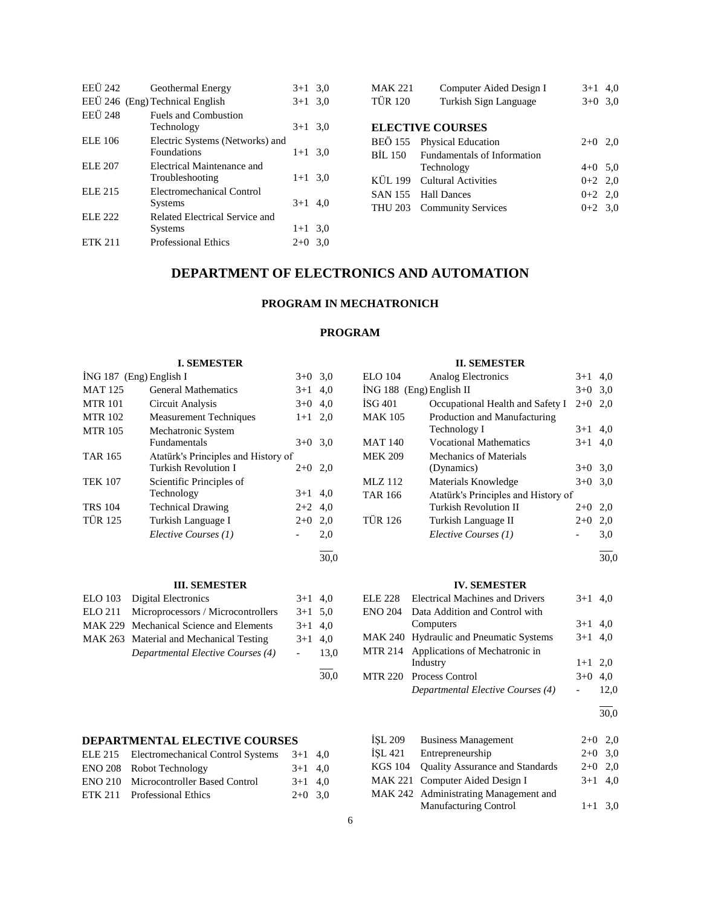| EEÜ 242        | Geothermal Energy                | $3+1$ 3.0 |  |
|----------------|----------------------------------|-----------|--|
|                | EEÜ 246 (Eng) Technical English  | $3+1$ 3,0 |  |
| <b>EEÜ 248</b> | <b>Fuels and Combustion</b>      |           |  |
|                | Technology                       | $3+1$ 3.0 |  |
| <b>ELE 106</b> | Electric Systems (Networks) and  |           |  |
|                | <b>Foundations</b>               | $1+1$ 3.0 |  |
| ELE 207        | Electrical Maintenance and       |           |  |
|                | Troubleshooting                  | $1+1$ 3.0 |  |
| <b>ELE 215</b> | <b>Electromechanical Control</b> |           |  |
|                | <b>Systems</b>                   | $3+1$ 4.0 |  |
| <b>ELE 222</b> | Related Electrical Service and   |           |  |
|                | <b>Systems</b>                   | $1+1$ 3.0 |  |
| <b>ETK 211</b> | <b>Professional Ethics</b>       | $2+0$ 3.0 |  |

| MAK 221 | Computer Aided Design I | $3+1$ 4.0 |  |
|---------|-------------------------|-----------|--|
| TÜR 120 | Turkish Sign Language   | $3+0$ 3.0 |  |
|         |                         |           |  |

### **ELECTIVE COURSES**

| BEÖ 155 Physical Education          | $2+0$ 2,0 |  |
|-------------------------------------|-----------|--|
| BİL 150 Fundamentals of Information |           |  |
| Technology                          | $4+0$ 5.0 |  |
| KÜL 199 Cultural Activities         | $0+2$ 2.0 |  |
| SAN 155 Hall Dances                 | $0+2$ 2,0 |  |
| THU 203 Community Services          | $0+2$ 3.0 |  |
|                                     |           |  |

## **DEPARTMENT OF ELECTRONICS AND AUTOMATION**

## **PROGRAM IN MECHATRONICH**

### **PROGRAM**

| <b>I. SEMESTER</b> |                                     |                          |           |                | <b>II. SEMESTER</b>                     |                          |           |
|--------------------|-------------------------------------|--------------------------|-----------|----------------|-----------------------------------------|--------------------------|-----------|
|                    | $ING 187$ (Eng) English I           |                          | $3+0$ 3.0 | <b>ELO</b> 104 | Analog Electronics                      |                          | $3+1$ 4,0 |
| <b>MAT 125</b>     | <b>General Mathematics</b>          |                          | $3+1$ 4,0 |                | İNG 188 (Eng) English II                |                          | $3+0$ 3.0 |
| <b>MTR 101</b>     | Circuit Analysis                    |                          | $3+0$ 4,0 | ISG 401        | Occupational Health and Safety I        | $2+0$ 2,0                |           |
| <b>MTR 102</b>     | <b>Measurement Techniques</b>       |                          | $1+1$ 2,0 | <b>MAK 105</b> | Production and Manufacturing            |                          |           |
| <b>MTR 105</b>     | Mechatronic System                  |                          |           |                | Technology I                            |                          | $3+1$ 4,0 |
|                    | Fundamentals                        |                          | $3+0$ 3.0 | <b>MAT 140</b> | <b>Vocational Mathematics</b>           |                          | $3+1$ 4,0 |
| <b>TAR 165</b>     | Atatürk's Principles and History of |                          |           | <b>MEK 209</b> | <b>Mechanics of Materials</b>           |                          |           |
|                    | <b>Turkish Revolution I</b>         |                          | $2+0$ 2,0 |                | (Dynamics)                              |                          | $3+0$ 3,0 |
| <b>TEK 107</b>     | Scientific Principles of            |                          |           | MLZ 112        | Materials Knowledge                     |                          | $3+0$ 3,0 |
|                    | Technology                          |                          | $3+1$ 4,0 | <b>TAR 166</b> | Atatürk's Principles and History of     |                          |           |
| <b>TRS 104</b>     | <b>Technical Drawing</b>            |                          | $2+2$ 4,0 |                | Turkish Revolution II                   | $2 + 0$                  | 2,0       |
| <b>TÜR 125</b>     | Turkish Language I                  | $2+0$                    | 2,0       | <b>TÜR 126</b> | Turkish Language II                     | $2+0$                    | 2,0       |
|                    | Elective Courses (1)                |                          | 2,0       |                | Elective Courses (1)                    | $\overline{\phantom{a}}$ | 3,0       |
|                    |                                     |                          | 30,0      |                |                                         |                          | 30.0      |
|                    | <b>III. SEMESTER</b>                |                          |           |                | <b>IV. SEMESTER</b>                     |                          |           |
| <b>ELO</b> 103     | Digital Electronics                 |                          | $3+1$ 4,0 | ELE 228        | <b>Electrical Machines and Drivers</b>  | $3 + 1$                  | 4,0       |
| <b>ELO 211</b>     | Microprocessors / Microcontrollers  |                          | $3+1$ 5.0 | <b>ENO 204</b> | Data Addition and Control with          |                          |           |
| <b>MAK 229</b>     | Mechanical Science and Elements     |                          | $3+1$ 4,0 |                | Computers                               | $3 + 1$                  | 4,0       |
| MAK 263            | Material and Mechanical Testing     |                          | $3+1$ 4,0 |                | MAK 240 Hydraulic and Pneumatic Systems | $3+1$                    | 4,0       |
|                    | Departmental Elective Courses (4)   | $\overline{\phantom{0}}$ | 13,0      |                | MTR 214 Applications of Mechatronic in  |                          |           |

|      | muusu y                 | $1+1$ $2,0$ |  |
|------|-------------------------|-------------|--|
| 30,0 | MTR 220 Process Control | $3+0$ 4,0   |  |

l

### **DEPARTMENTAL ELECTIVE COURSES**

| ELE 215 Electromechanical Control Systems    | $3+1$ 4,0 |  |
|----------------------------------------------|-----------|--|
| ENO 208 Robot Technology                     | $3+1$ 4.0 |  |
| <b>ENO 210</b> Microcontroller Based Control | $3+1$ 4.0 |  |
| ETK 211 Professional Ethics                  | $2+0$ 3.0 |  |

### *Departmental Elective Courses (4)* - 12,0 l 30,0

| İSL 209 | <b>Business Management</b>              | $2+0$ 2,0 |  |
|---------|-----------------------------------------|-----------|--|
| İSL 421 | Entrepreneurship                        | $2+0$ 3,0 |  |
|         | KGS 104 Quality Assurance and Standards | $2+0$ 2.0 |  |
|         | MAK 221 Computer Aided Design I         | $3+1$ 4.0 |  |
|         | MAK 242 Administrating Management and   |           |  |
|         | <b>Manufacturing Control</b>            | $1+1$ 3,0 |  |

Industry  $1+1$  2,0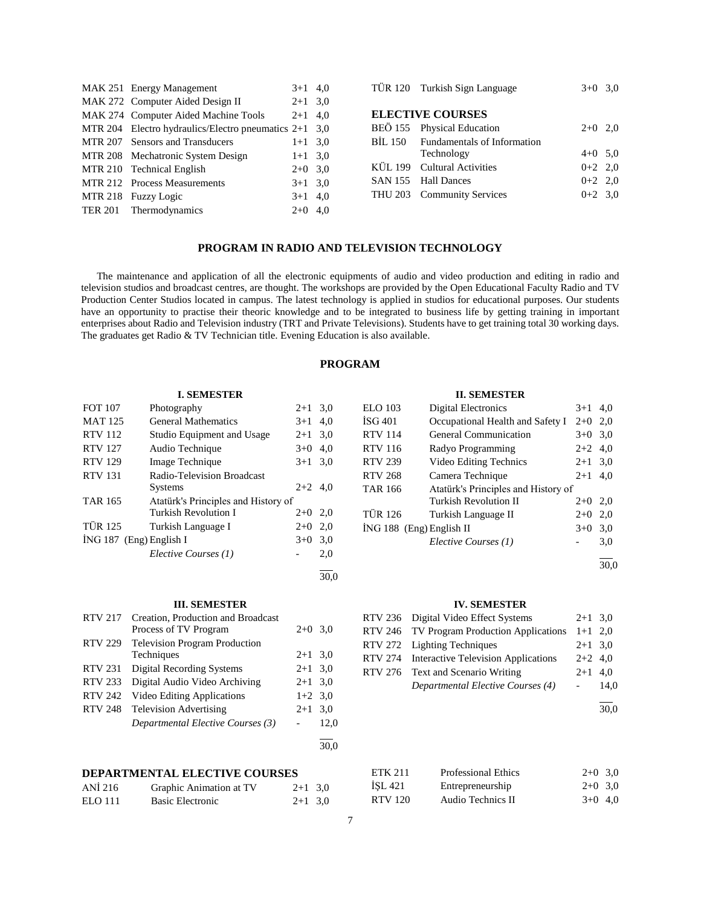| MAK 251 Energy Management                           | $3+1$ 4.0 |     |
|-----------------------------------------------------|-----------|-----|
| MAK 272 Computer Aided Design II                    | $2+1$ 3,0 |     |
| MAK 274 Computer Aided Machine Tools                | $2 + 1$   | 4.0 |
| MTR 204 Electro hydraulics/Electro pneumatics $2+1$ |           | 3.0 |
| MTR 207 Sensors and Transducers                     | $1+1$ 3,0 |     |
| MTR 208 Mechatronic System Design                   | $1+1$ 3.0 |     |
| MTR 210 Technical English                           | $2+0$ 3,0 |     |
| MTR 212 Process Measurements                        | $3+1$ 3,0 |     |
| MTR 218 Fuzzy Logic                                 | $3+1$ 4.0 |     |
| TER 201 Thermodynamics                              | $2+0$     | 4.0 |

| TÜR 120 Turkish Sign Language       | $3+0$ 3.0 |  |
|-------------------------------------|-----------|--|
| <b>ELECTIVE COURSES</b>             |           |  |
| BEÖ 155 Physical Education          | $2+0$ 2,0 |  |
| BİL 150 Fundamentals of Information |           |  |
| Technology                          | $4+0$ 5,0 |  |
| KÜL 199 Cultural Activities         | $0+2$ 2,0 |  |
| SAN 155 Hall Dances                 | $0+2$ 2,0 |  |
| THU 203 Community Services          | $0+2$ 3.0 |  |
|                                     |           |  |

### **PROGRAM IN RADIO AND TELEVISION TECHNOLOGY**

 The maintenance and application of all the electronic equipments of audio and video production and editing in radio and television studios and broadcast centres, are thought. The workshops are provided by the Open Educational Faculty Radio and TV Production Center Studios located in campus. The latest technology is applied in studios for educational purposes. Our students have an opportunity to practise their theoric knowledge and to be integrated to business life by getting training in important enterprises about Radio and Television industry (TRT and Private Televisions). Students have to get training total 30 working days. The graduates get Radio & TV Technician title. Evening Education is also available.

### **PROGRAM**

#### **I. SEMESTER**

| <b>FOT 107</b>            | Photography                         | $2+1$     | 3,0 |
|---------------------------|-------------------------------------|-----------|-----|
| <b>MAT 125</b>            | <b>General Mathematics</b>          | $3+1$     | 4,0 |
| <b>RTV 112</b>            | Studio Equipment and Usage          | $2+1$     | 3,0 |
| <b>RTV 127</b>            | Audio Technique                     | $3+0$     | 4,0 |
| <b>RTV 129</b>            | Image Technique                     | $3+1$     | 3,0 |
| <b>RTV 131</b>            | Radio-Television Broadcast          |           |     |
|                           | Systems                             | $2+2$ 4.0 |     |
| <b>TAR 165</b>            | Atatürk's Principles and History of |           |     |
|                           | Turkish Revolution I                | $2+0$     | 2,0 |
| <b>TÜR 125</b>            | Turkish Language I                  | $2+0$     | 2,0 |
| $ING 187$ (Eng) English I |                                     | $3+0$     | 3,0 |
|                           | Elective Courses (1)                |           | 2,0 |
|                           |                                     |           |     |

30,0

#### **III. SEMESTER**

| <b>RTV 217</b> | Creation, Production and Broadcast<br>Process of TV Program | $2+0$ 3.0 |      |
|----------------|-------------------------------------------------------------|-----------|------|
| <b>RTV 229</b> | <b>Television Program Production</b><br>Techniques          | $2+1$ 3.0 |      |
| <b>RTV 231</b> | <b>Digital Recording Systems</b>                            | $2+1$ 3.0 |      |
| <b>RTV 233</b> | Digital Audio Video Archiving                               | $2+1$ 3.0 |      |
| <b>RTV 242</b> | Video Editing Applications                                  | $1+2$ 3.0 |      |
| <b>RTV 248</b> | <b>Television Advertising</b>                               | $2 + 1$   | 3,0  |
|                | Departmental Elective Courses (3)                           |           | 12,0 |
|                |                                                             |           |      |

## **DEPARTMENTAL ELECTIVE COURSES**

| ANI 216        | Graphic Animation at TV | $2+1$ 3,0 |  |
|----------------|-------------------------|-----------|--|
| <b>ELO</b> 111 | <b>Basic Electronic</b> | $2+1$ 3,0 |  |

#### **II. SEMESTER**

| <b>ELO 103</b>           | <b>Digital Electronics</b>          | $3+1$   | 4.0 |
|--------------------------|-------------------------------------|---------|-----|
| ISG 401                  | Occupational Health and Safety I    | $2+0$   | 2.0 |
| <b>RTV 114</b>           | General Communication               | $3+0$   | 3,0 |
| <b>RTV 116</b>           | Radyo Programming                   | $2+2$   | 4,0 |
| <b>RTV 239</b>           | Video Editing Technics              | $2 + 1$ | 3,0 |
| <b>RTV 268</b>           | Camera Technique                    | $2 + 1$ | 4.0 |
| <b>TAR 166</b>           | Atatürk's Principles and History of |         |     |
|                          | Turkish Revolution II               | $2+0$   | 2.0 |
| <b>TÜR 126</b>           | Turkish Language II                 | $2+0$   | 2,0 |
| İNG 188 (Eng) English II |                                     | $3+0$   | 3,0 |
|                          | Elective Courses (1)                |         | 3,0 |
|                          |                                     |         |     |

30,0

#### **IV. SEMESTER**

| RTV 236 Digital Video Effect Systems        | $2+1$ 3.0              |      |
|---------------------------------------------|------------------------|------|
| RTV 246 TV Program Production Applications  | $1+1$ 2,0              |      |
| RTV 272 Lighting Techniques                 | $2+1$ 3.0              |      |
| RTV 274 Interactive Television Applications | $2+2$ 4.0              |      |
| RTV 276 Text and Scenario Writing           | $2+1$ 4.0              |      |
| Departmental Elective Courses (4)           | $\Delta \sim 10^{-11}$ | 14.0 |
|                                             |                        |      |

30,0

| ETK 211        | <b>Professional Ethics</b> | $2+0$ 3,0 |  |
|----------------|----------------------------|-----------|--|
| İSL 421        | Entrepreneurship           | $2+0$ 3,0 |  |
| <b>RTV 120</b> | Audio Technics II          | $3+0$ 4.0 |  |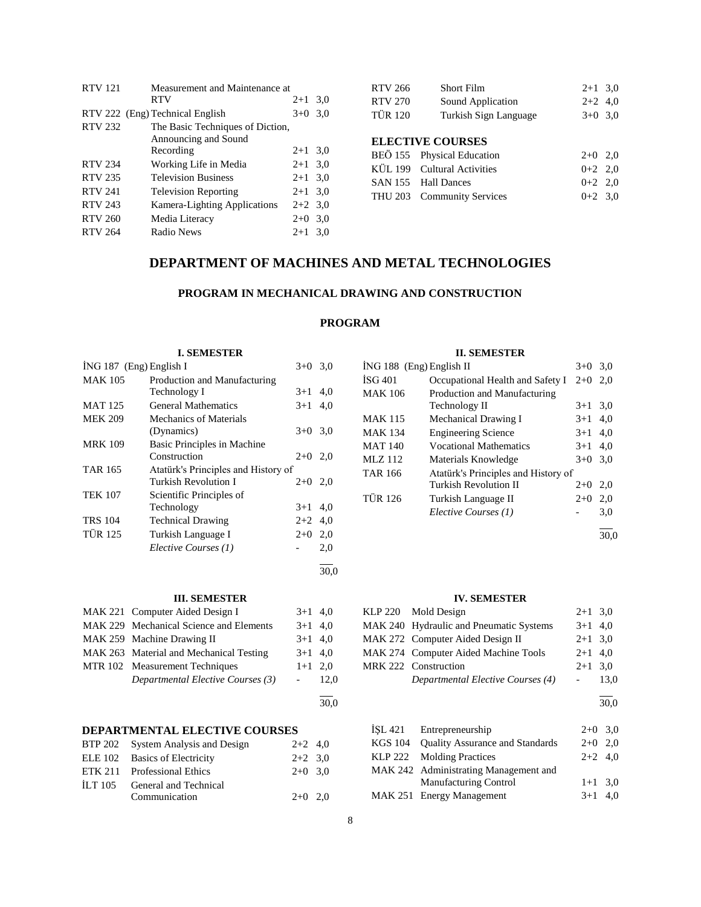| <b>RTV 121</b> | Measurement and Maintenance at   |           |     |
|----------------|----------------------------------|-----------|-----|
|                | <b>RTV</b>                       | $2 + 1$   | 3,0 |
|                | RTV 222 (Eng) Technical English  | $3+0$     | 3,0 |
| <b>RTV 232</b> | The Basic Techniques of Diction, |           |     |
|                | Announcing and Sound             |           |     |
|                | Recording                        | $2+1$ 3.0 |     |
| <b>RTV 234</b> | Working Life in Media            | $2+1$     | 3,0 |
| <b>RTV 235</b> | <b>Television Business</b>       | $2 + 1$   | 3,0 |
| <b>RTV 241</b> | <b>Television Reporting</b>      | $2+1$ 3.0 |     |
| <b>RTV 243</b> | Kamera-Lighting Applications     | $2+2$ 3.0 |     |
| <b>RTV 260</b> | Media Literacy                   | $2+0$     | 3,0 |
| <b>RTV 264</b> | Radio News                       | $2+1$     | 3.0 |

| RTV 266 | <b>Short Film</b>     | $2+1$ 3.0 |  |
|---------|-----------------------|-----------|--|
| RTV 270 | Sound Application     | $2+2$ 4.0 |  |
| TÜR 120 | Turkish Sign Language | $3+0$ 3.0 |  |
|         |                       |           |  |

## **ELECTIVE COURSES**

| BEÖ 155 Physical Education  | $2+0$ 2.0 |  |
|-----------------------------|-----------|--|
| KÜL 199 Cultural Activities | $0+2$ 2.0 |  |
| SAN 155 Hall Dances         | $0+2$ 2.0 |  |
| THU 203 Community Services  | $0+2$ 3.0 |  |

## **DEPARTMENT OF MACHINES AND METAL TECHNOLOGIES**

## **PROGRAM IN MECHANICAL DRAWING AND CONSTRUCTION**

## **PROGRAM**

30,0

### **I. SEMESTER**

|                           | 1. DENIED I EIN                     |           |     |
|---------------------------|-------------------------------------|-----------|-----|
| $ING 187$ (Eng) English I |                                     | $3+0$     | 3,0 |
| <b>MAK 105</b>            | Production and Manufacturing        |           |     |
|                           | Technology I                        | $3+1$     | 4.0 |
| <b>MAT 125</b>            | <b>General Mathematics</b>          | $3+1$     | 4.0 |
| <b>MEK 209</b>            | <b>Mechanics of Materials</b>       |           |     |
|                           | (Dynamics)                          | $3+0$     | 3,0 |
| <b>MRK 109</b>            | Basic Principles in Machine         |           |     |
|                           | Construction                        | $2+0$     | 2,0 |
| <b>TAR 165</b>            | Atatürk's Principles and History of |           |     |
|                           | Turkish Revolution I                | $2+0$ 2,0 |     |
| <b>TEK 107</b>            | Scientific Principles of            |           |     |
|                           | Technology                          | $3+1$     | 4,0 |
| <b>TRS 104</b>            | <b>Technical Drawing</b>            | $2+2$     | 4,0 |
| <b>TÜR 125</b>            | Turkish Language I                  | $2+0$     | 2,0 |
|                           | Elective Courses (1)                |           | 2,0 |
|                           |                                     |           |     |

### **III. SEMESTER**

| MAK 221 Computer Aided Design I         | $3+1$ 4,0 |      |
|-----------------------------------------|-----------|------|
| MAK 229 Mechanical Science and Elements | $3+1$ 4,0 |      |
| MAK 259 Machine Drawing II              | $3+1$ 4,0 |      |
| MAK 263 Material and Mechanical Testing | $3+1$ 4,0 |      |
| MTR 102 Measurement Techniques          | $1+1$ 2.0 |      |
| Departmental Elective Courses (3)       |           | 12.0 |
|                                         |           |      |
|                                         |           | 30,0 |

## **DEPARTMENTAL ELECTIVE COURSES**

|         | BTP 202 System Analysis and Design | $2+2$ 4,0 |  |
|---------|------------------------------------|-----------|--|
|         | ELE 102 Basics of Electricity      | $2+2$ 3.0 |  |
|         | ETK 211 Professional Ethics        | $2+0$ 3.0 |  |
| ILT 105 | General and Technical              |           |  |
|         | Communication                      | $2+0$ 2.0 |  |

### **II. SEMESTER**

| $ING 188$ (Eng) English II |                                     | $3+0$ | 3,0 |
|----------------------------|-------------------------------------|-------|-----|
| ISG 401                    | Occupational Health and Safety I    | $2+0$ | 2.0 |
| <b>MAK 106</b>             | Production and Manufacturing        |       |     |
|                            | Technology II                       | $3+1$ | 3,0 |
| <b>MAK 115</b>             | Mechanical Drawing I                | $3+1$ | 4,0 |
| <b>MAK 134</b>             | <b>Engineering Science</b>          | $3+1$ | 4,0 |
| <b>MAT 140</b>             | <b>Vocational Mathematics</b>       | $3+1$ | 4,0 |
| <b>MLZ</b> 112             | Materials Knowledge                 | $3+0$ | 3,0 |
| <b>TAR 166</b>             | Atatürk's Principles and History of |       |     |
|                            | Turkish Revolution II               | $2+0$ | 2,0 |
| <b>TÜR 126</b>             | Turkish Language II                 | $2+0$ | 2,0 |
|                            | Elective Courses (1)                |       | 3,0 |
|                            |                                     |       |     |

30,0

### **IV. SEMESTER**

| KLP 220 Mold Design                     | $2+1$ 3,0 |      |
|-----------------------------------------|-----------|------|
| MAK 240 Hydraulic and Pneumatic Systems | $3+1$ 4,0 |      |
| MAK 272 Computer Aided Design II        | $2+1$ 3.0 |      |
| MAK 274 Computer Aided Machine Tools    | $2+1$ 4,0 |      |
| MRK 222 Construction                    | $2+1$ 3.0 |      |
| Departmental Elective Courses (4)       |           | 13.0 |
|                                         |           |      |

30,0

| ISL 421 Entrepreneurship                | $2+0$ 3.0 |  |
|-----------------------------------------|-----------|--|
| KGS 104 Quality Assurance and Standards | $2+0$ 2,0 |  |
| KLP 222 Molding Practices               | $2+2$ 4.0 |  |
| MAK 242 Administrating Management and   |           |  |
| <b>Manufacturing Control</b>            | $1+1$ 3.0 |  |
| MAK 251 Energy Management               | $3+1$ 4.0 |  |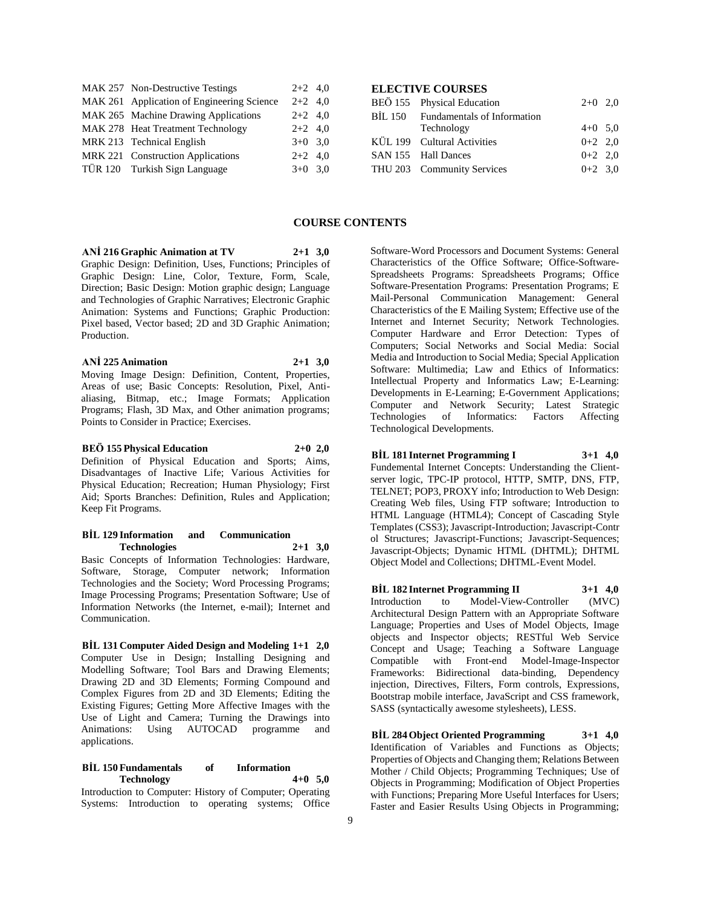| MAK 257 Non-Destructive Testings           | $2+2$ 4,0 |  |
|--------------------------------------------|-----------|--|
| MAK 261 Application of Engineering Science | $2+2$ 4,0 |  |
| MAK 265 Machine Drawing Applications       | $2+2$ 4,0 |  |
| MAK 278 Heat Treatment Technology          | $2+2$ 4,0 |  |
| MRK 213 Technical English                  | $3+0$ 3.0 |  |
| MRK 221 Construction Applications          | $2+2$ 4,0 |  |
| TÜR 120 Turkish Sign Language              | $3+0$ 3.0 |  |

### **ELECTIVE COURSES**

| BEÖ 155 Physical Education          | $2+0$ 2,0 |  |
|-------------------------------------|-----------|--|
| BIL 150 Fundamentals of Information |           |  |
| Technology                          | $4+0$ 5,0 |  |
| KÜL 199 Cultural Activities         | $0+2$ 2.0 |  |
| SAN 155 Hall Dances                 | $0+2$ 2,0 |  |
| THU 203 Community Services          | $0+2$ 3.0 |  |
|                                     |           |  |

### **COURSE CONTENTS**

### **ANİ 216 Graphic Animation at TV 2+1 3,0**

Graphic Design: Definition, Uses, Functions; Principles of Graphic Design: Line, Color, Texture, Form, Scale, Direction; Basic Design: Motion graphic design; Language and Technologies of Graphic Narratives; Electronic Graphic Animation: Systems and Functions; Graphic Production: Pixel based, Vector based; 2D and 3D Graphic Animation; Production.

#### **ANİ 225 Animation 2+1 3,0**

Moving Image Design: Definition, Content, Properties, Areas of use; Basic Concepts: Resolution, Pixel, Antialiasing, Bitmap, etc.; Image Formats; Application Programs; Flash, 3D Max, and Other animation programs; Points to Consider in Practice; Exercises.

### **BEÖ 155 Physical Education 2+0 2,0**

Definition of Physical Education and Sports; Aims, Disadvantages of Inactive Life; Various Activities for Physical Education; Recreation; Human Physiology; First Aid; Sports Branches: Definition, Rules and Application; Keep Fit Programs.

#### **BİL 129 Information and Communication Technologies 2+1 3,0**

Basic Concepts of Information Technologies: Hardware, Software, Storage, Computer network; Information Technologies and the Society; Word Processing Programs; Image Processing Programs; Presentation Software; Use of Information Networks (the Internet, e-mail); Internet and Communication.

**BİL 131 Computer Aided Design and Modeling 1+1 2,0** Computer Use in Design; Installing Designing and Modelling Software; Tool Bars and Drawing Elements; Drawing 2D and 3D Elements; Forming Compound and Complex Figures from 2D and 3D Elements; Editing the Existing Figures; Getting More Affective Images with the Use of Light and Camera; Turning the Drawings into Animations: Using AUTOCAD programme and applications.

### **BİL 150 Fundamentals of Information Technology 4+0 5,0**

Introduction to Computer: History of Computer; Operating Systems: Introduction to operating systems; Office

Software-Word Processors and Document Systems: General Characteristics of the Office Software; Office-Software-Spreadsheets Programs: Spreadsheets Programs; Office Software-Presentation Programs: Presentation Programs; E Mail-Personal Communication Management: General Characteristics of the E Mailing System; Effective use of the Internet and Internet Security; Network Technologies. Computer Hardware and Error Detection: Types of Computers; Social Networks and Social Media: Social Media and Introduction to Social Media; Special Application Software: Multimedia; Law and Ethics of Informatics: Intellectual Property and Informatics Law; E-Learning: Developments in E-Learning; E-Government Applications; Computer and Network Security; Latest Strategic Technologies of Informatics: Factors Affecting Technological Developments.

**BİL 181 Internet Programming I 3+1 4,0** Fundemental Internet Concepts: Understanding the Clientserver logic, TPC-IP protocol, HTTP, SMTP, DNS, FTP, TELNET; POP3, PROXY info; Introduction to Web Design: Creating Web files, Using FTP software; Introduction to HTML Language (HTML4); Concept of Cascading Style Templates (CSS3); Javascript-Introduction; Javascript-Contr ol Structures; Javascript-Functions; Javascript-Sequences; Javascript-Objects; Dynamic HTML (DHTML); DHTML Object Model and Collections; DHTML-Event Model.

**BİL 182 Internet Programming II 3+1 4,0** Introduction to Model-View-Controller (MVC) Architectural Design Pattern with an Appropriate Software Language; Properties and Uses of Model Objects, Image objects and Inspector objects; RESTful Web Service Concept and Usage; Teaching a Software Language Compatible with Front-end Model-Image-Inspector Frameworks: Bidirectional data-binding, Dependency injection, Directives, Filters, Form controls, Expressions, Bootstrap mobile interface, JavaScript and CSS framework, SASS (syntactically awesome stylesheets), LESS.

**BİL 284 Object Oriented Programming 3+1 4,0** Identification of Variables and Functions as Objects; Properties of Objects and Changing them; Relations Between Mother / Child Objects: Programming Techniques: Use of Objects in Programming; Modification of Object Properties with Functions; Preparing More Useful Interfaces for Users; Faster and Easier Results Using Objects in Programming;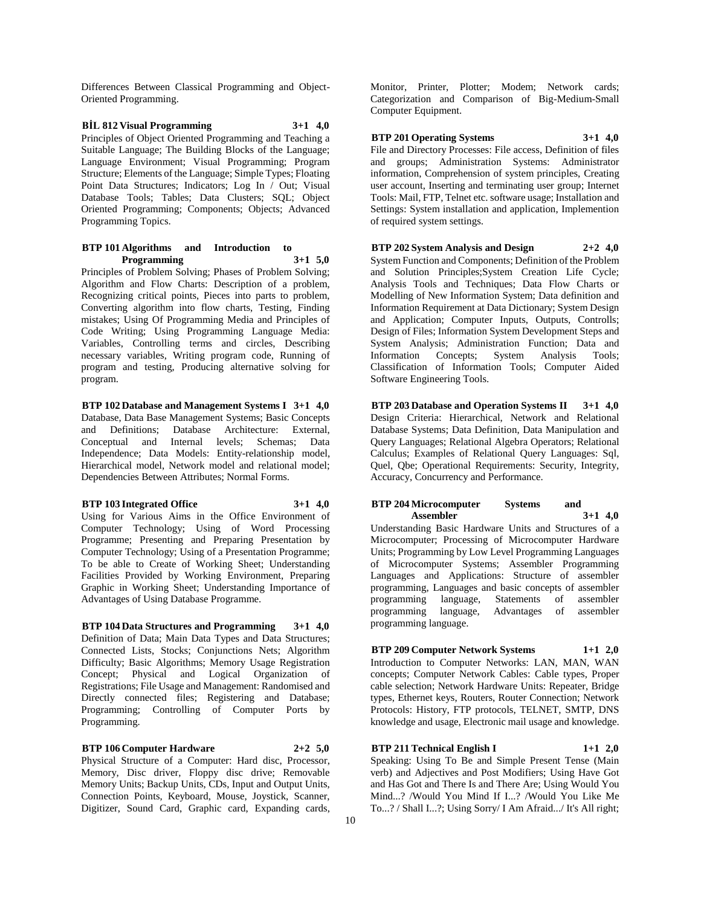Differences Between Classical Programming and Object-Oriented Programming.

**BİL 812 Visual Programming 3+1 4,0** Principles of Object Oriented Programming and Teaching a Suitable Language; The Building Blocks of the Language; Language Environment; Visual Programming; Program Structure; Elements of the Language; Simple Types; Floating Point Data Structures; Indicators; Log In / Out; Visual Database Tools; Tables; Data Clusters; SQL; Object Oriented Programming; Components; Objects; Advanced Programming Topics.

#### **BTP 101 Algorithms and Introduction to Programming 3+1 5,0**

Principles of Problem Solving; Phases of Problem Solving; Algorithm and Flow Charts: Description of a problem, Recognizing critical points, Pieces into parts to problem, Converting algorithm into flow charts, Testing, Finding mistakes; Using Of Programming Media and Principles of Code Writing; Using Programming Language Media: Variables, Controlling terms and circles, Describing necessary variables, Writing program code, Running of program and testing, Producing alternative solving for program.

**BTP 102 Database and Management Systems I 3+1 4,0** Database, Data Base Management Systems; Basic Concepts and Definitions; Database Architecture: External, Conceptual and Internal levels; Schemas; Data Independence; Data Models: Entity-relationship model, Hierarchical model, Network model and relational model; Dependencies Between Attributes; Normal Forms.

**BTP 103 Integrated Office 3+1 4,0** Using for Various Aims in the Office Environment of Computer Technology; Using of Word Processing Programme; Presenting and Preparing Presentation by Computer Technology; Using of a Presentation Programme; To be able to Create of Working Sheet; Understanding Facilities Provided by Working Environment, Preparing Graphic in Working Sheet; Understanding Importance of Advantages of Using Database Programme.

**BTP 104 Data Structures and Programming 3+1 4,0** Definition of Data; Main Data Types and Data Structures; Connected Lists, Stocks; Conjunctions Nets; Algorithm Difficulty; Basic Algorithms; Memory Usage Registration Concept; Physical and Logical Organization of Registrations; File Usage and Management: Randomised and Directly connected files; Registering and Database; Programming; Controlling of Computer Ports by Programming.

**BTP 106 Computer Hardware 2+2 5,0** Physical Structure of a Computer: Hard disc, Processor, Memory, Disc driver, Floppy disc drive; Removable Memory Units; Backup Units, CDs, Input and Output Units, Connection Points, Keyboard, Mouse, Joystick, Scanner, Digitizer, Sound Card, Graphic card, Expanding cards,

Monitor, Printer, Plotter; Modem; Network cards; Categorization and Comparison of Big-Medium-Small Computer Equipment.

**BTP 201 Operating Systems 3+1 4,0** File and Directory Processes: File access, Definition of files and groups; Administration Systems: Administrator information, Comprehension of system principles, Creating

user account, Inserting and terminating user group; Internet Tools: Mail, FTP, Telnet etc. software usage; Installation and Settings: System installation and application, Implemention of required system settings.

**BTP 202 System Analysis and Design 2+2 4,0** System Function and Components; Definition of the Problem and Solution Principles;System Creation Life Cycle; Analysis Tools and Techniques; Data Flow Charts or Modelling of New Information System; Data definition and Information Requirement at Data Dictionary; System Design and Application; Computer Inputs, Outputs, Controlls; Design of Files; Information System Development Steps and System Analysis; Administration Function; Data and Information Concepts; System Analysis Tools; Classification of Information Tools; Computer Aided

Software Engineering Tools.

**BTP 203 Database and Operation Systems II 3+1 4,0** Design Criteria: Hierarchical, Network and Relational Database Systems; Data Definition, Data Manipulation and Query Languages; Relational Algebra Operators; Relational Calculus; Examples of Relational Query Languages: Sql, Quel, Qbe; Operational Requirements: Security, Integrity, Accuracy, Concurrency and Performance.

#### **BTP 204 Microcomputer Systems and Assembler 3+1 4,0**

Understanding Basic Hardware Units and Structures of a Microcomputer; Processing of Microcomputer Hardware Units; Programming by Low Level Programming Languages of Microcomputer Systems; Assembler Programming Languages and Applications: Structure of assembler programming, Languages and basic concepts of assembler programming language, Statements of assembler programming language, Advantages of assembler programming language.

**BTP 209 Computer Network Systems 1+1 2,0** Introduction to Computer Networks: LAN, MAN, WAN concepts; Computer Network Cables: Cable types, Proper cable selection; Network Hardware Units: Repeater, Bridge types, Ethernet keys, Routers, Router Connection; Network Protocols: History, FTP protocols, TELNET, SMTP, DNS knowledge and usage, Electronic mail usage and knowledge.

**BTP 211 Technical English I 1+1 2,0** Speaking: Using To Be and Simple Present Tense (Main verb) and Adjectives and Post Modifiers; Using Have Got and Has Got and There Is and There Are; Using Would You Mind...? /Would You Mind If I...? /Would You Like Me To...? / Shall I...?; Using Sorry/ I Am Afraid.../ It's All right;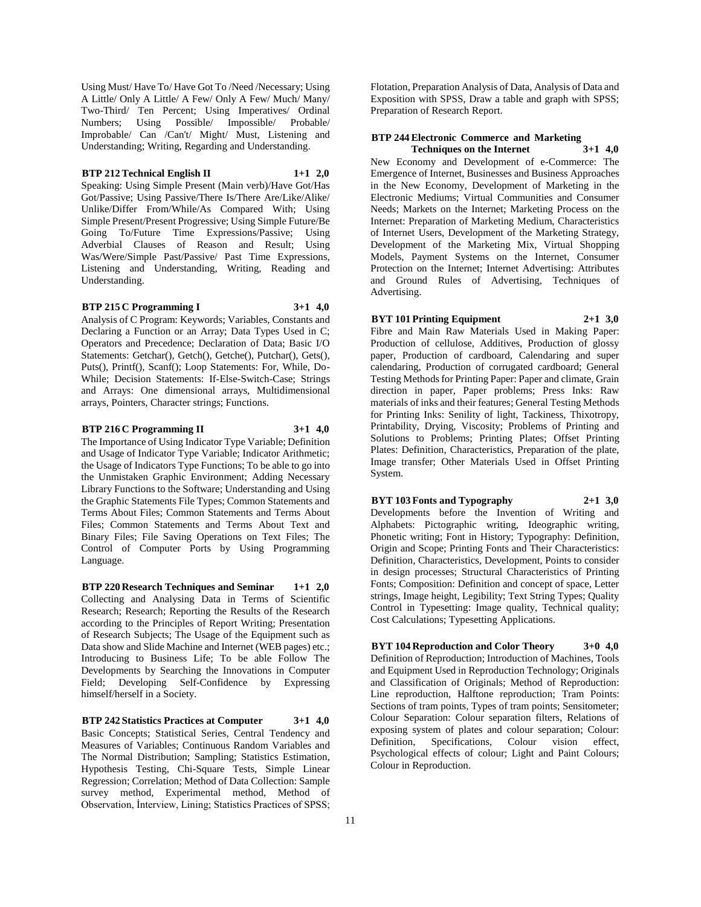Using Must/ Have To/ Have Got To /Need /Necessary; Using A Little/ Only A Little/ A Few/ Only A Few/ Much/ Many/ Two-Third/ Ten Percent; Using Imperatives/ Ordinal Numbers; Using Possible/ Impossible/ Probable/ Improbable/ Can /Can't/ Might/ Must, Listening and Understanding; Writing, Regarding and Understanding.

### **BTP 212 Technical English II 1+1 2,0**

Speaking: Using Simple Present (Main verb)/Have Got/Has Got/Passive; Using Passive/There Is/There Are/Like/Alike/ Unlike/Differ From/While/As Compared With; Using Simple Present/Present Progressive; Using Simple Future/Be Going To/Future Time Expressions/Passive; Using Adverbial Clauses of Reason and Result; Using Was/Were/Simple Past/Passive/ Past Time Expressions, Listening and Understanding, Writing, Reading and Understanding.

#### **BTP 215 C Programming I 3+1 4,0**

Analysis of C Program: Keywords; Variables, Constants and Declaring a Function or an Array; Data Types Used in C; Operators and Precedence; Declaration of Data; Basic I/O Statements: Getchar(), Getch(), Getche(), Putchar(), Gets(), Puts(), Printf(), Scanf(); Loop Statements: For, While, Do-While; Decision Statements: If-Else-Switch-Case; Strings and Arrays: One dimensional arrays, Multidimensional arrays, Pointers, Character strings; Functions.

#### **BTP 216 C Programming II 3+1 4,0**

The Importance of Using Indicator Type Variable; Definition and Usage of Indicator Type Variable; Indicator Arithmetic; the Usage of Indicators Type Functions; To be able to go into the Unmistaken Graphic Environment; Adding Necessary Library Functions to the Software; Understanding and Using the Graphic Statements File Types; Common Statements and Terms About Files; Common Statements and Terms About Files; Common Statements and Terms About Text and Binary Files; File Saving Operations on Text Files; The Control of Computer Ports by Using Programming Language.

**BTP 220 Research Techniques and Seminar 1+1 2,0** Collecting and Analysing Data in Terms of Scientific Research; Research; Reporting the Results of the Research according to the Principles of Report Writing; Presentation of Research Subjects; The Usage of the Equipment such as Data show and Slide Machine and Internet (WEB pages) etc.; Introducing to Business Life; To be able Follow The Developments by Searching the Innovations in Computer Field; Developing Self-Confidence by Expressing himself/herself in a Society.

**BTP 242 Statistics Practices at Computer 3+1 4,0** Basic Concepts; Statistical Series, Central Tendency and Measures of Variables; Continuous Random Variables and The Normal Distribution; Sampling; Statistics Estimation, Hypothesis Testing, Chi-Square Tests, Simple Linear Regression; Correlation; Method of Data Collection: Sample survey method, Experimental method, Method of Observation, İnterview, Lining; Statistics Practices of SPSS;

Flotation, Preparation Analysis of Data, Analysis of Data and Exposition with SPSS, Draw a table and graph with SPSS; Preparation of Research Report.

#### **BTP 244 Electronic Commerce and Marketing Techniques on the Internet 3+1 4,0**

New Economy and Development of e-Commerce: The Emergence of Internet, Businesses and Business Approaches in the New Economy, Development of Marketing in the Electronic Mediums; Virtual Communities and Consumer Needs; Markets on the Internet; Marketing Process on the Internet: Preparation of Marketing Medium, Characteristics of Internet Users, Development of the Marketing Strategy, Development of the Marketing Mix, Virtual Shopping Models, Payment Systems on the Internet, Consumer Protection on the Internet; Internet Advertising: Attributes and Ground Rules of Advertising, Techniques of Advertising.

**BYT 101 Printing Equipment 2+1 3,0**

Fibre and Main Raw Materials Used in Making Paper: Production of cellulose, Additives, Production of glossy paper, Production of cardboard, Calendaring and super calendaring, Production of corrugated cardboard; General Testing Methods for Printing Paper: Paper and climate, Grain direction in paper, Paper problems; Press Inks: Raw materials of inks and their features; General Testing Methods for Printing Inks: Senility of light, Tackiness, Thixotropy, Printability, Drying, Viscosity; Problems of Printing and Solutions to Problems; Printing Plates; Offset Printing Plates: Definition, Characteristics, Preparation of the plate, Image transfer; Other Materials Used in Offset Printing System.

**BYT 103 Fonts and Typography 2+1 3,0** Developments before the Invention of Writing and Alphabets: Pictographic writing, Ideographic writing, Phonetic writing; Font in History; Typography: Definition, Origin and Scope; Printing Fonts and Their Characteristics: Definition, Characteristics, Development, Points to consider in design processes; Structural Characteristics of Printing Fonts; Composition: Definition and concept of space, Letter strings, Image height, Legibility; Text String Types; Quality Control in Typesetting: Image quality, Technical quality; Cost Calculations; Typesetting Applications.

**BYT 104 Reproduction and Color Theory 3+0 4,0** Definition of Reproduction; Introduction of Machines, Tools and Equipment Used in Reproduction Technology; Originals and Classification of Originals; Method of Reproduction: Line reproduction, Halftone reproduction; Tram Points: Sections of tram points, Types of tram points; Sensitometer; Colour Separation: Colour separation filters, Relations of exposing system of plates and colour separation; Colour: Definition, Specifications, Colour vision effect, Psychological effects of colour; Light and Paint Colours; Colour in Reproduction.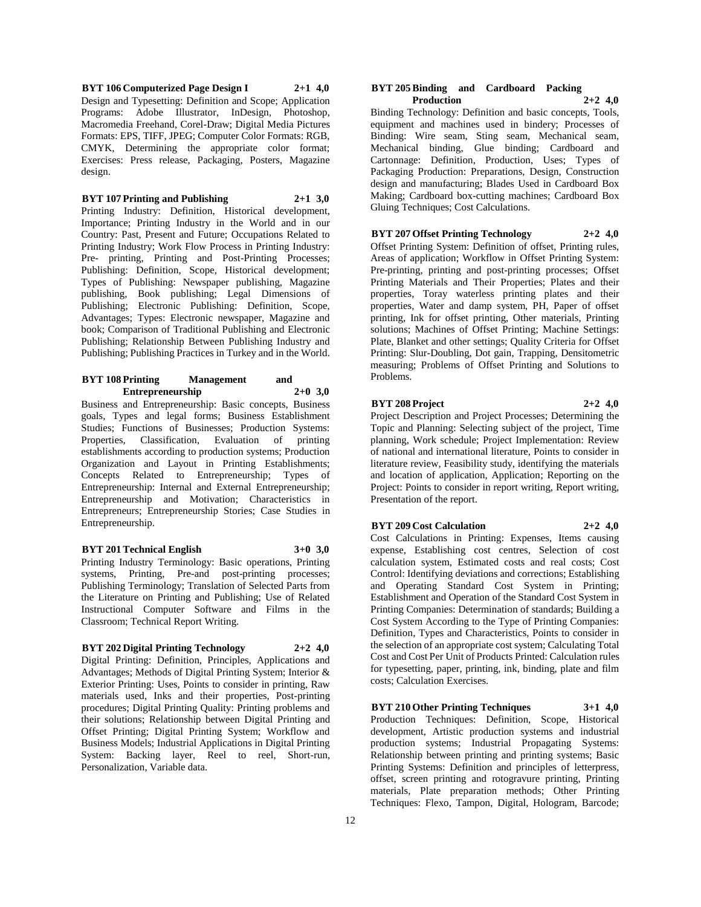**BYT 106 Computerized Page Design I 2+1 4,0** Design and Typesetting: Definition and Scope; Application Programs: Adobe Illustrator, InDesign, Photoshop, Macromedia Freehand, Corel-Draw; Digital Media Pictures Formats: EPS, TIFF, JPEG; Computer Color Formats: RGB, CMYK, Determining the appropriate color format; Exercises: Press release, Packaging, Posters, Magazine design.

#### **BYT 107 Printing and Publishing 2+1 3,0**

Printing Industry: Definition, Historical development, Importance; Printing Industry in the World and in our Country: Past, Present and Future; Occupations Related to Printing Industry; Work Flow Process in Printing Industry: Pre- printing, Printing and Post-Printing Processes; Publishing: Definition, Scope, Historical development; Types of Publishing: Newspaper publishing, Magazine publishing, Book publishing; Legal Dimensions of Publishing; Electronic Publishing: Definition, Scope, Advantages; Types: Electronic newspaper, Magazine and book; Comparison of Traditional Publishing and Electronic Publishing; Relationship Between Publishing Industry and Publishing; Publishing Practices in Turkey and in the World.

### **BYT 108 Printing Management and Entrepreneurship 2+0 3,0**

Business and Entrepreneurship: Basic concepts, Business goals, Types and legal forms; Business Establishment Studies; Functions of Businesses; Production Systems: Properties, Classification, Evaluation of printing establishments according to production systems; Production Organization and Layout in Printing Establishments; Concepts Related to Entrepreneurship; Types of Entrepreneurship: Internal and External Entrepreneurship; Entrepreneurship and Motivation; Characteristics in Entrepreneurs; Entrepreneurship Stories; Case Studies in Entrepreneurship.

### **BYT 201 Technical English 3+0 3,0**

Printing Industry Terminology: Basic operations, Printing systems, Printing, Pre-and post-printing processes; Publishing Terminology; Translation of Selected Parts from the Literature on Printing and Publishing; Use of Related Instructional Computer Software and Films in the Classroom; Technical Report Writing.

### **BYT 202 Digital Printing Technology 2+2 4,0**

Digital Printing: Definition, Principles, Applications and Advantages; Methods of Digital Printing System; Interior & Exterior Printing: Uses, Points to consider in printing, Raw materials used, Inks and their properties, Post-printing procedures; Digital Printing Quality: Printing problems and their solutions; Relationship between Digital Printing and Offset Printing; Digital Printing System; Workflow and Business Models; Industrial Applications in Digital Printing System: Backing layer, Reel to reel, Short-run, Personalization, Variable data.

#### **BYT 205 Binding and Cardboard Packing Production 2+2 4,0**

Binding Technology: Definition and basic concepts, Tools, equipment and machines used in bindery; Processes of Binding: Wire seam, Sting seam, Mechanical seam, Mechanical binding, Glue binding; Cardboard and Cartonnage: Definition, Production, Uses; Types of Packaging Production: Preparations, Design, Construction design and manufacturing; Blades Used in Cardboard Box Making; Cardboard box-cutting machines; Cardboard Box Gluing Techniques; Cost Calculations.

### **BYT 207 Offset Printing Technology 2+2 4,0**

Offset Printing System: Definition of offset, Printing rules, Areas of application; Workflow in Offset Printing System: Pre-printing, printing and post-printing processes; Offset Printing Materials and Their Properties; Plates and their properties, Toray waterless printing plates and their properties, Water and damp system, PH, Paper of offset printing, Ink for offset printing, Other materials, Printing solutions; Machines of Offset Printing; Machine Settings: Plate, Blanket and other settings; Quality Criteria for Offset Printing: Slur-Doubling, Dot gain, Trapping, Densitometric measuring; Problems of Offset Printing and Solutions to Problems.

### **BYT 208 Project 2+2 4,0**

Project Description and Project Processes; Determining the Topic and Planning: Selecting subject of the project, Time planning, Work schedule; Project Implementation: Review of national and international literature, Points to consider in literature review, Feasibility study, identifying the materials and location of application, Application; Reporting on the Project: Points to consider in report writing, Report writing, Presentation of the report.

### **BYT 209 Cost Calculation 2+2 4,0**

Cost Calculations in Printing: Expenses, Items causing expense, Establishing cost centres, Selection of cost calculation system, Estimated costs and real costs; Cost Control: Identifying deviations and corrections; Establishing and Operating Standard Cost System in Printing; Establishment and Operation of the Standard Cost System in Printing Companies: Determination of standards; Building a Cost System According to the Type of Printing Companies: Definition, Types and Characteristics, Points to consider in the selection of an appropriate cost system; Calculating Total Cost and Cost Per Unit of Products Printed: Calculation rules for typesetting, paper, printing, ink, binding, plate and film costs; Calculation Exercises.

**BYT 210 Other Printing Techniques 3+1 4,0** Production Techniques: Definition, Scope, Historical development, Artistic production systems and industrial production systems; Industrial Propagating Systems: Relationship between printing and printing systems; Basic Printing Systems: Definition and principles of letterpress, offset, screen printing and rotogravure printing, Printing materials, Plate preparation methods; Other Printing Techniques: Flexo, Tampon, Digital, Hologram, Barcode;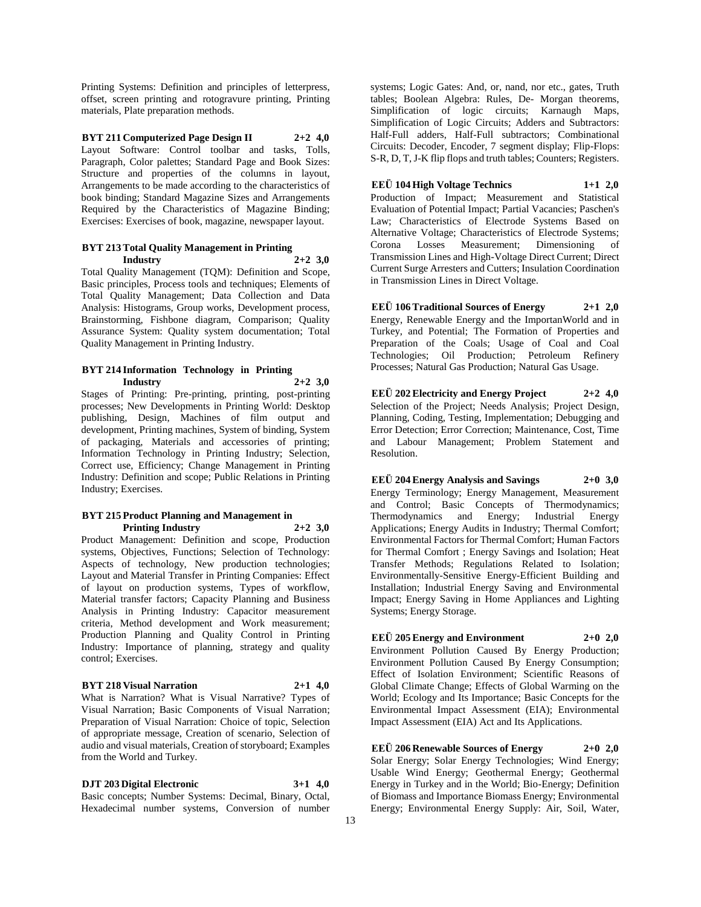Printing Systems: Definition and principles of letterpress, offset, screen printing and rotogravure printing, Printing materials, Plate preparation methods.

**BYT 211 Computerized Page Design II 2+2 4,0** Layout Software: Control toolbar and tasks, Tolls, Paragraph, Color palettes; Standard Page and Book Sizes: Structure and properties of the columns in layout, Arrangements to be made according to the characteristics of book binding; Standard Magazine Sizes and Arrangements Required by the Characteristics of Magazine Binding; Exercises: Exercises of book, magazine, newspaper layout.

#### **BYT 213 Total Quality Management in Printing Industry 2+2 3,0**

Total Quality Management (TQM): Definition and Scope, Basic principles, Process tools and techniques; Elements of Total Quality Management; Data Collection and Data Analysis: Histograms, Group works, Development process, Brainstorming, Fishbone diagram, Comparison; Quality Assurance System: Quality system documentation; Total Quality Management in Printing Industry.

### **BYT 214 Information Technology in Printing Industry 2+2 3,0**

Stages of Printing: Pre-printing, printing, post-printing processes; New Developments in Printing World: Desktop publishing, Design, Machines of film output and development, Printing machines, System of binding, System of packaging, Materials and accessories of printing; Information Technology in Printing Industry; Selection, Correct use, Efficiency; Change Management in Printing Industry: Definition and scope; Public Relations in Printing Industry; Exercises.

#### **BYT 215 Product Planning and Management in Printing Industry 2+2 3,0**

Product Management: Definition and scope, Production systems, Objectives, Functions; Selection of Technology: Aspects of technology, New production technologies; Layout and Material Transfer in Printing Companies: Effect of layout on production systems, Types of workflow, Material transfer factors; Capacity Planning and Business Analysis in Printing Industry: Capacitor measurement criteria, Method development and Work measurement; Production Planning and Quality Control in Printing Industry: Importance of planning, strategy and quality control; Exercises.

### **BYT 218 Visual Narration 2+1 4,0**

What is Narration? What is Visual Narrative? Types of Visual Narration; Basic Components of Visual Narration; Preparation of Visual Narration: Choice of topic, Selection of appropriate message, Creation of scenario, Selection of audio and visual materials, Creation of storyboard; Examples from the World and Turkey.

**DJT 203 Digital Electronic 3+1 4,0**

Basic concepts; Number Systems: Decimal, Binary, Octal, Hexadecimal number systems, Conversion of number

systems; Logic Gates: And, or, nand, nor etc., gates, Truth tables; Boolean Algebra: Rules, De- Morgan theorems, Simplification of logic circuits; Karnaugh Maps, Simplification of Logic Circuits; Adders and Subtractors: Half-Full adders, Half-Full subtractors; Combinational Circuits: Decoder, Encoder, 7 segment display; Flip-Flops: S-R, D, T, J-K flip flops and truth tables; Counters; Registers.

**EEÜ 104 High Voltage Technics 1+1 2,0** Production of Impact; Measurement and Statistical Evaluation of Potential Impact; Partial Vacancies; Paschen's Law; Characteristics of Electrode Systems Based on Alternative Voltage; Characteristics of Electrode Systems; Corona Losses Measurement; Dimensioning of Transmission Lines and High-Voltage Direct Current; Direct Current Surge Arresters and Cutters; Insulation Coordination in Transmission Lines in Direct Voltage.

**EEÜ 106 Traditional Sources of Energy 2+1 2,0** Energy, Renewable Energy and the ImportanWorld and in Turkey, and Potential; The Formation of Properties and Preparation of the Coals; Usage of Coal and Coal Technologies; Oil Production; Petroleum Refinery Processes; Natural Gas Production; Natural Gas Usage.

**EEÜ 202 Electricity and Energy Project 2+2 4,0** Selection of the Project; Needs Analysis; Project Design, Planning, Coding, Testing, Implementation; Debugging and Error Detection; Error Correction; Maintenance, Cost, Time and Labour Management; Problem Statement and Resolution.

**EEÜ 204 Energy Analysis and Savings 2+0 3,0** Energy Terminology; Energy Management, Measurement and Control; Basic Concepts of Thermodynamics; Thermodynamics and Energy; Industrial Energy Applications; Energy Audits in Industry; Thermal Comfort; Environmental Factors for Thermal Comfort; Human Factors for Thermal Comfort ; Energy Savings and Isolation; Heat Transfer Methods; Regulations Related to Isolation; Environmentally-Sensitive Energy-Efficient Building and Installation; Industrial Energy Saving and Environmental Impact; Energy Saving in Home Appliances and Lighting Systems; Energy Storage.

**EEÜ 205 Energy and Environment 2+0 2,0** Environment Pollution Caused By Energy Production; Environment Pollution Caused By Energy Consumption; Effect of Isolation Environment; Scientific Reasons of Global Climate Change; Effects of Global Warming on the World; Ecology and Its Importance; Basic Concepts for the Environmental Impact Assessment (EIA); Environmental Impact Assessment (EIA) Act and Its Applications.

**EEÜ 206 Renewable Sources of Energy 2+0 2,0** Solar Energy; Solar Energy Technologies; Wind Energy; Usable Wind Energy; Geothermal Energy; Geothermal Energy in Turkey and in the World; Bio-Energy; Definition of Biomass and Importance Biomass Energy; Environmental Energy; Environmental Energy Supply: Air, Soil, Water,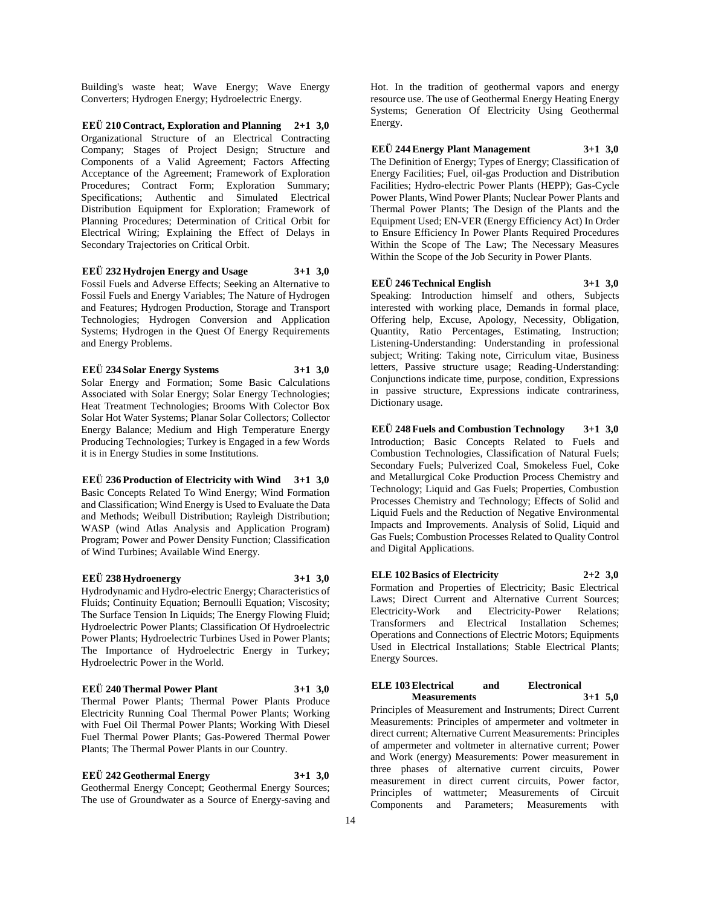Building's waste heat; Wave Energy; Wave Energy Converters; Hydrogen Energy; Hydroelectric Energy.

**EEÜ 210 Contract, Exploration and Planning 2+1 3,0** Organizational Structure of an Electrical Contracting Company; Stages of Project Design; Structure and Components of a Valid Agreement; Factors Affecting Acceptance of the Agreement; Framework of Exploration Procedures; Contract Form; Exploration Summary; Specifications; Authentic and Simulated Electrical Distribution Equipment for Exploration; Framework of Planning Procedures; Determination of Critical Orbit for Electrical Wiring; Explaining the Effect of Delays in Secondary Trajectories on Critical Orbit.

### **EEÜ 232 Hydrojen Energy and Usage 3+1 3,0**

Fossil Fuels and Adverse Effects; Seeking an Alternative to Fossil Fuels and Energy Variables; The Nature of Hydrogen and Features; Hydrogen Production, Storage and Transport Technologies; Hydrogen Conversion and Application Systems; Hydrogen in the Quest Of Energy Requirements and Energy Problems.

#### **EEÜ 234 Solar Energy Systems 3+1 3,0**

Solar Energy and Formation; Some Basic Calculations Associated with Solar Energy; Solar Energy Technologies; Heat Treatment Technologies; Brooms With Colector Box Solar Hot Water Systems; Planar Solar Collectors; Collector Energy Balance; Medium and High Temperature Energy Producing Technologies; Turkey is Engaged in a few Words it is in Energy Studies in some Institutions.

**EEÜ 236 Production of Electricity with Wind 3+1 3,0** Basic Concepts Related To Wind Energy; Wind Formation and Classification; Wind Energy is Used to Evaluate the Data and Methods; Weibull Distribution; Rayleigh Distribution; WASP (wind Atlas Analysis and Application Program) Program; Power and Power Density Function; Classification of Wind Turbines; Available Wind Energy.

### **EEÜ 238 Hydroenergy 3+1 3,0**

Hydrodynamic and Hydro-electric Energy; Characteristics of Fluids; Continuity Equation; Bernoulli Equation; Viscosity; The Surface Tension In Liquids; The Energy Flowing Fluid; Hydroelectric Power Plants; Classification Of Hydroelectric Power Plants; Hydroelectric Turbines Used in Power Plants; The Importance of Hydroelectric Energy in Turkey; Hydroelectric Power in the World.

#### **EEÜ 240 Thermal Power Plant 3+1 3,0**

Thermal Power Plants; Thermal Power Plants Produce Electricity Running Coal Thermal Power Plants; Working with Fuel Oil Thermal Power Plants; Working With Diesel Fuel Thermal Power Plants; Gas-Powered Thermal Power Plants; The Thermal Power Plants in our Country.

**EEÜ 242 Geothermal Energy 3+1 3,0** Geothermal Energy Concept; Geothermal Energy Sources; The use of Groundwater as a Source of Energy-saving and Hot. In the tradition of geothermal vapors and energy resource use. The use of Geothermal Energy Heating Energy Systems; Generation Of Electricity Using Geothermal Energy.

### **EEÜ 244 Energy Plant Management 3+1 3,0**

The Definition of Energy; Types of Energy; Classification of Energy Facilities; Fuel, oil-gas Production and Distribution Facilities; Hydro-electric Power Plants (HEPP); Gas-Cycle Power Plants, Wind Power Plants; Nuclear Power Plants and Thermal Power Plants; The Design of the Plants and the Equipment Used; EN-VER (Energy Efficiency Act) In Order to Ensure Efficiency In Power Plants Required Procedures Within the Scope of The Law; The Necessary Measures Within the Scope of the Job Security in Power Plants.

**EEÜ 246 Technical English 3+1 3,0** Speaking: Introduction himself and others, Subjects interested with working place, Demands in formal place, Offering help, Excuse, Apology, Necessity, Obligation, Quantity, Ratio Percentages, Estimating, Instruction; Listening-Understanding: Understanding in professional subject; Writing: Taking note, Cirriculum vitae, Business letters, Passive structure usage; Reading-Understanding: Conjunctions indicate time, purpose, condition, Expressions in passive structure, Expressions indicate contrariness, Dictionary usage.

**EEÜ 248 Fuels and Combustion Technology 3+1 3,0** Introduction; Basic Concepts Related to Fuels and Combustion Technologies, Classification of Natural Fuels; Secondary Fuels; Pulverized Coal, Smokeless Fuel, Coke and Metallurgical Coke Production Process Chemistry and Technology; Liquid and Gas Fuels; Properties, Combustion Processes Chemistry and Technology; Effects of Solid and Liquid Fuels and the Reduction of Negative Environmental Impacts and Improvements. Analysis of Solid, Liquid and Gas Fuels; Combustion Processes Related to Quality Control and Digital Applications.

**ELE 102 Basics of Electricity 2+2 3,0** Formation and Properties of Electricity; Basic Electrical Laws; Direct Current and Alternative Current Sources; Electricity-Work and Electricity-Power Relations; Transformers and Electrical Installation Schemes; Operations and Connections of Electric Motors; Equipments Used in Electrical Installations; Stable Electrical Plants; Energy Sources.

#### **ELE 103 Electrical and Electronical Measurements 3+1 5,0**

Principles of Measurement and Instruments; Direct Current Measurements: Principles of ampermeter and voltmeter in direct current; Alternative Current Measurements: Principles of ampermeter and voltmeter in alternative current; Power and Work (energy) Measurements: Power measurement in three phases of alternative current circuits, Power measurement in direct current circuits, Power factor, Principles of wattmeter; Measurements of Circuit Components and Parameters; Measurements with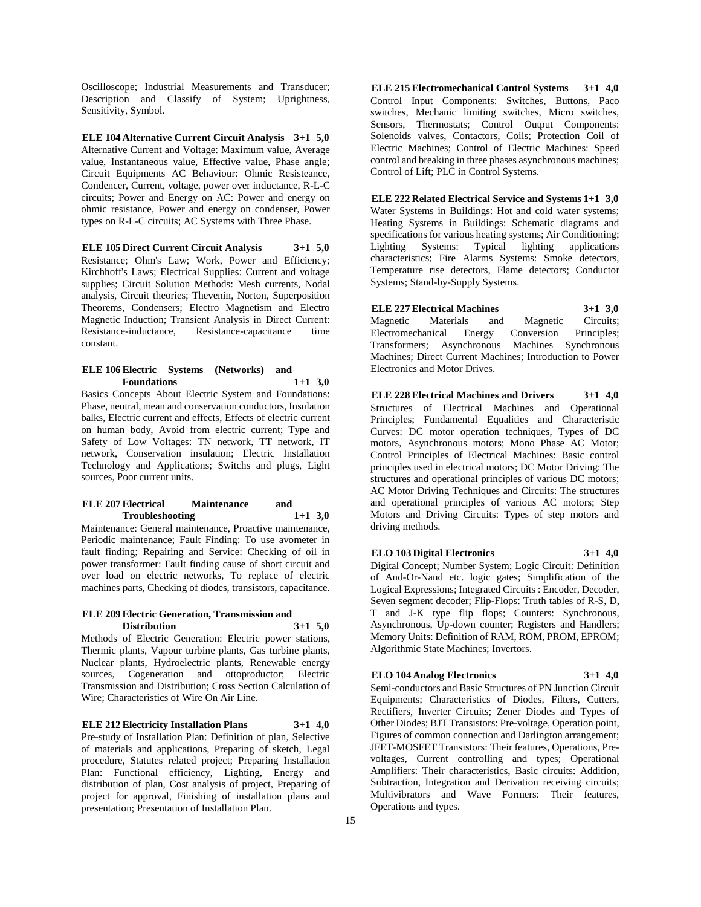Oscilloscope; Industrial Measurements and Transducer; Description and Classify of System; Uprightness, Sensitivity, Symbol.

**ELE 104 Alternative Current Circuit Analysis 3+1 5,0** Alternative Current and Voltage: Maximum value, Average value, Instantaneous value, Effective value, Phase angle; Circuit Equipments AC Behaviour: Ohmic Resisteance, Condencer, Current, voltage, power over inductance, R-L-C circuits; Power and Energy on AC: Power and energy on ohmic resistance, Power and energy on condenser, Power types on R-L-C circuits; AC Systems with Three Phase.

**ELE 105 Direct Current Circuit Analysis 3+1 5,0** Resistance; Ohm's Law; Work, Power and Efficiency; Kirchhoff's Laws; Electrical Supplies: Current and voltage supplies; Circuit Solution Methods: Mesh currents, Nodal analysis, Circuit theories; Thevenin, Norton, Superposition Theorems, Condensers; Electro Magnetism and Electro Magnetic Induction; Transient Analysis in Direct Current: Resistance-inductance, Resistance-capacitance time constant.

### **ELE 106 Electric Systems (Networks) and Foundations 1+1 3,0**

Basics Concepts About Electric System and Foundations: Phase, neutral, mean and conservation conductors, Insulation balks, Electric current and effects, Effects of electric current on human body, Avoid from electric current; Type and Safety of Low Voltages: TN network, TT network, IT network, Conservation insulation; Electric Installation Technology and Applications; Switchs and plugs, Light sources, Poor current units.

#### **ELE 207 Electrical Maintenance and Troubleshooting 1+1 3,0**

Maintenance: General maintenance, Proactive maintenance, Periodic maintenance; Fault Finding: To use avometer in fault finding; Repairing and Service: Checking of oil in power transformer: Fault finding cause of short circuit and over load on electric networks, To replace of electric machines parts, Checking of diodes, transistors, capacitance.

### **ELE 209 Electric Generation, Transmission and Distribution 3+1 5,0**

Methods of Electric Generation: Electric power stations, Thermic plants, Vapour turbine plants, Gas turbine plants, Nuclear plants, Hydroelectric plants, Renewable energy sources, Cogeneration and ottoproductor; Electric Transmission and Distribution; Cross Section Calculation of Wire; Characteristics of Wire On Air Line.

### **ELE 212 Electricity Installation Plans 3+1 4,0**

Pre-study of Installation Plan: Definition of plan, Selective of materials and applications, Preparing of sketch, Legal procedure, Statutes related project; Preparing Installation Plan: Functional efficiency, Lighting, Energy and distribution of plan, Cost analysis of project, Preparing of project for approval, Finishing of installation plans and presentation; Presentation of Installation Plan.

**ELE 215 Electromechanical Control Systems 3+1 4,0** Control Input Components: Switches, Buttons, Paco switches, Mechanic limiting switches, Micro switches, Sensors, Thermostats; Control Output Components: Solenoids valves, Contactors, Coils; Protection Coil of Electric Machines; Control of Electric Machines: Speed control and breaking in three phases asynchronous machines; Control of Lift; PLC in Control Systems.

#### **ELE 222 Related Electrical Service and Systems 1+1 3,0**

Water Systems in Buildings: Hot and cold water systems; Heating Systems in Buildings: Schematic diagrams and specifications for various heating systems; Air Conditioning; Lighting Systems: Typical lighting applications characteristics; Fire Alarms Systems: Smoke detectors, Temperature rise detectors, Flame detectors; Conductor Systems; Stand-by-Supply Systems.

**ELE 227 Electrical Machines 3+1 3,0** Magnetic Materials and Magnetic Circuits; Electromechanical Energy Conversion Principles; Transformers; Asynchronous Machines Synchronous Machines; Direct Current Machines; Introduction to Power Electronics and Motor Drives.

**ELE 228 Electrical Machines and Drivers 3+1 4,0** Structures of Electrical Machines and Operational Principles; Fundamental Equalities and Characteristic Curves: DC motor operation techniques, Types of DC motors, Asynchronous motors; Mono Phase AC Motor; Control Principles of Electrical Machines: Basic control principles used in electrical motors; DC Motor Driving: The structures and operational principles of various DC motors; AC Motor Driving Techniques and Circuits: The structures and operational principles of various AC motors; Step Motors and Driving Circuits: Types of step motors and driving methods.

### **ELO 103 Digital Electronics 3+1 4,0**

Digital Concept; Number System; Logic Circuit: Definition of And-Or-Nand etc. logic gates; Simplification of the Logical Expressions; Integrated Circuits : Encoder, Decoder, Seven segment decoder; Flip-Flops: Truth tables of R-S, D, T and J-K type flip flops; Counters: Synchronous, Asynchronous, Up-down counter; Registers and Handlers; Memory Units: Definition of RAM, ROM, PROM, EPROM; Algorithmic State Machines; Invertors.

### **ELO 104 Analog Electronics 3+1 4,0**

Semi-conductors and Basic Structures of PN Junction Circuit Equipments; Characteristics of Diodes, Filters, Cutters, Rectifiers, Inverter Circuits; Zener Diodes and Types of Other Diodes; BJT Transistors: Pre-voltage, Operation point, Figures of common connection and Darlington arrangement; JFET-MOSFET Transistors: Their features, Operations, Prevoltages, Current controlling and types; Operational Amplifiers: Their characteristics, Basic circuits: Addition, Subtraction, Integration and Derivation receiving circuits; Multivibrators and Wave Formers: Their features, Operations and types.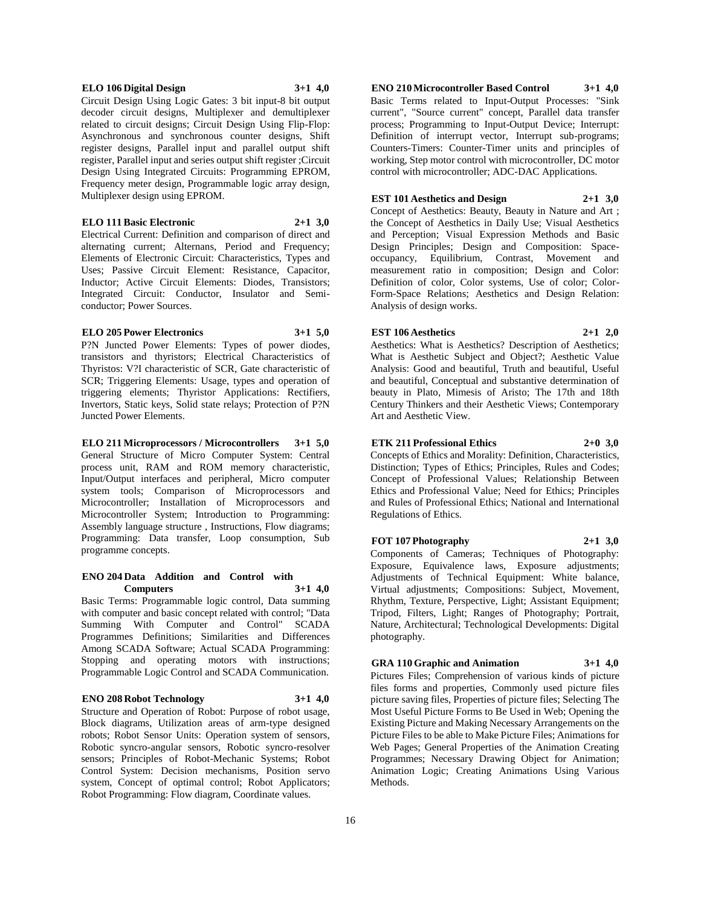### **ELO 106 Digital Design 3+1 4,0**

Circuit Design Using Logic Gates: 3 bit input-8 bit output decoder circuit designs, Multiplexer and demultiplexer related to circuit designs; Circuit Design Using Flip-Flop: Asynchronous and synchronous counter designs, Shift register designs, Parallel input and parallel output shift register, Parallel input and series output shift register ;Circuit Design Using Integrated Circuits: Programming EPROM, Frequency meter design, Programmable logic array design, Multiplexer design using EPROM.

#### **ELO 111 Basic Electronic 2+1 3,0**

Electrical Current: Definition and comparison of direct and alternating current; Alternans, Period and Frequency; Elements of Electronic Circuit: Characteristics, Types and Uses; Passive Circuit Element: Resistance, Capacitor, Inductor; Active Circuit Elements: Diodes, Transistors; Integrated Circuit: Conductor, Insulator and Semiconductor; Power Sources.

#### **ELO 205 Power Electronics 3+1 5,0**

P?N Juncted Power Elements: Types of power diodes, transistors and thyristors; Electrical Characteristics of Thyristos: V?I characteristic of SCR, Gate characteristic of SCR; Triggering Elements: Usage, types and operation of triggering elements; Thyristor Applications: Rectifiers, Invertors, Static keys, Solid state relays; Protection of P?N Juncted Power Elements.

#### **ELO 211 Microprocessors / Microcontrollers 3+1 5,0** General Structure of Micro Computer System: Central

process unit, RAM and ROM memory characteristic, Input/Output interfaces and peripheral, Micro computer system tools; Comparison of Microprocessors and Microcontroller; Installation of Microprocessors and Microcontroller System; Introduction to Programming: Assembly language structure , Instructions, Flow diagrams; Programming: Data transfer, Loop consumption, Sub programme concepts.

#### **ENO 204 Data Addition and Control with Computers 3+1 4,0**

Basic Terms: Programmable logic control, Data summing with computer and basic concept related with control; "Data Summing With Computer and Control" SCADA Programmes Definitions; Similarities and Differences Among SCADA Software; Actual SCADA Programming: Stopping and operating motors with instructions; Programmable Logic Control and SCADA Communication.

### **ENO 208 Robot Technology 3+1 4,0**

Structure and Operation of Robot: Purpose of robot usage, Block diagrams, Utilization areas of arm-type designed robots; Robot Sensor Units: Operation system of sensors, Robotic syncro-angular sensors, Robotic syncro-resolver sensors; Principles of Robot-Mechanic Systems; Robot Control System: Decision mechanisms, Position servo system, Concept of optimal control; Robot Applicators; Robot Programming: Flow diagram, Coordinate values.

**ENO 210 Microcontroller Based Control 3+1 4,0** Basic Terms related to Input-Output Processes: "Sink current", "Source current" concept, Parallel data transfer process; Programming to Input-Output Device; Interrupt: Definition of interrupt vector, Interrupt sub-programs; Counters-Timers: Counter-Timer units and principles of working, Step motor control with microcontroller, DC motor control with microcontroller; ADC-DAC Applications.

#### **EST 101 Aesthetics and Design 2+1 3,0**

Concept of Aesthetics: Beauty, Beauty in Nature and Art ; the Concept of Aesthetics in Daily Use; Visual Aesthetics and Perception; Visual Expression Methods and Basic Design Principles; Design and Composition: Spaceoccupancy, Equilibrium, Contrast, Movement and measurement ratio in composition; Design and Color: Definition of color, Color systems, Use of color; Color-Form-Space Relations; Aesthetics and Design Relation: Analysis of design works.

### **EST 106 Aesthetics 2+1 2,0**

Aesthetics: What is Aesthetics? Description of Aesthetics; What is Aesthetic Subject and Object?; Aesthetic Value Analysis: Good and beautiful, Truth and beautiful, Useful and beautiful, Conceptual and substantive determination of beauty in Plato, Mimesis of Aristo; The 17th and 18th Century Thinkers and their Aesthetic Views; Contemporary Art and Aesthetic View.

### **ETK 211 Professional Ethics 2+0 3,0**

Concepts of Ethics and Morality: Definition, Characteristics, Distinction; Types of Ethics; Principles, Rules and Codes; Concept of Professional Values; Relationship Between Ethics and Professional Value; Need for Ethics; Principles and Rules of Professional Ethics; National and International Regulations of Ethics.

### **FOT 107 Photography 2+1 3,0**

Components of Cameras; Techniques of Photography: Exposure, Equivalence laws, Exposure adjustments; Adjustments of Technical Equipment: White balance, Virtual adjustments; Compositions: Subject, Movement, Rhythm, Texture, Perspective, Light; Assistant Equipment; Tripod, Filters, Light; Ranges of Photography; Portrait, Nature, Architectural; Technological Developments: Digital photography.

### **GRA 110 Graphic and Animation 3+1 4,0**

Pictures Files; Comprehension of various kinds of picture files forms and properties, Commonly used picture files picture saving files, Properties of picture files; Selecting The Most Useful Picture Forms to Be Used in Web; Opening the Existing Picture and Making Necessary Arrangements on the Picture Files to be able to Make Picture Files; Animations for Web Pages; General Properties of the Animation Creating Programmes; Necessary Drawing Object for Animation; Animation Logic; Creating Animations Using Various Methods.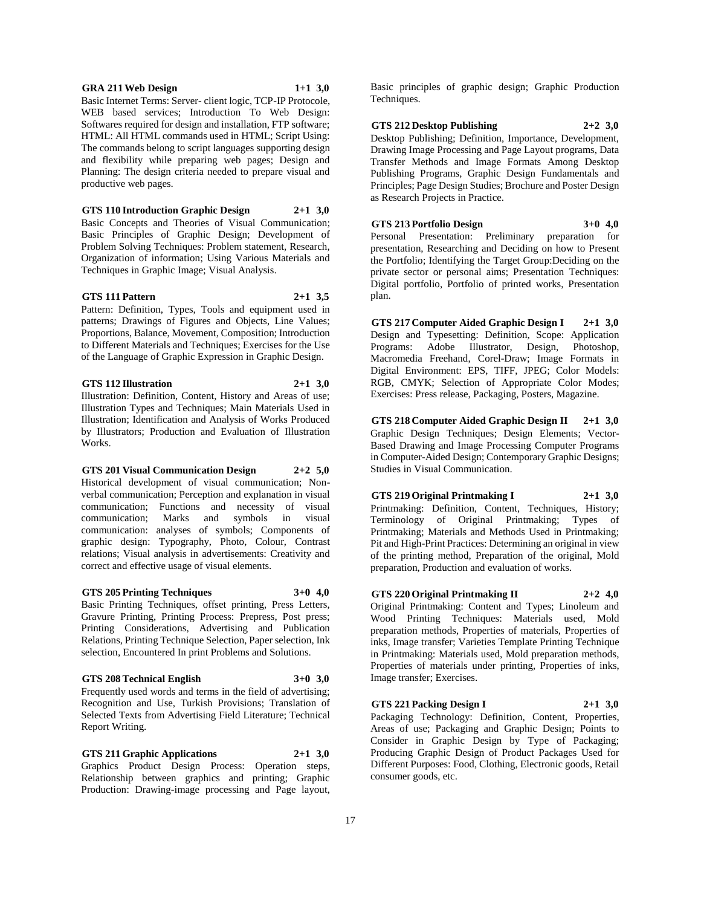#### **GRA 211 Web Design 1+1 3,0**

Basic Internet Terms: Server- client logic, TCP-IP Protocole, WEB based services; Introduction To Web Design: Softwares required for design and installation, FTP software; HTML: All HTML commands used in HTML; Script Using: The commands belong to script languages supporting design and flexibility while preparing web pages; Design and Planning: The design criteria needed to prepare visual and productive web pages.

**GTS 110 Introduction Graphic Design 2+1 3,0**

Basic Concepts and Theories of Visual Communication; Basic Principles of Graphic Design; Development of Problem Solving Techniques: Problem statement, Research, Organization of information; Using Various Materials and Techniques in Graphic Image; Visual Analysis.

### **GTS 111 Pattern 2+1 3,5**

Pattern: Definition, Types, Tools and equipment used in patterns; Drawings of Figures and Objects, Line Values; Proportions, Balance, Movement, Composition; Introduction to Different Materials and Techniques; Exercises for the Use of the Language of Graphic Expression in Graphic Design.

### **GTS 112 Illustration 2+1 3,0**

Illustration: Definition, Content, History and Areas of use; Illustration Types and Techniques; Main Materials Used in Illustration; Identification and Analysis of Works Produced by Illustrators; Production and Evaluation of Illustration Works.

#### **GTS 201 Visual Communication Design 2+2 5,0**

Historical development of visual communication; Nonverbal communication; Perception and explanation in visual communication; Functions and necessity of visual communication; Marks and symbols in visual communication: analyses of symbols; Components of graphic design: Typography, Photo, Colour, Contrast relations; Visual analysis in advertisements: Creativity and correct and effective usage of visual elements.

**GTS 205 Printing Techniques 3+0 4,0**

Basic Printing Techniques, offset printing, Press Letters, Gravure Printing, Printing Process: Prepress, Post press; Printing Considerations, Advertising and Publication Relations, Printing Technique Selection, Paper selection, Ink selection, Encountered In print Problems and Solutions.

### **GTS 208 Technical English 3+0 3,0**

Frequently used words and terms in the field of advertising; Recognition and Use, Turkish Provisions; Translation of Selected Texts from Advertising Field Literature; Technical Report Writing.

**GTS 211 Graphic Applications 2+1 3,0**

Graphics Product Design Process: Operation steps, Relationship between graphics and printing; Graphic Production: Drawing-image processing and Page layout,

Basic principles of graphic design; Graphic Production Techniques.

### **GTS 212 Desktop Publishing 2+2 3,0**

Desktop Publishing; Definition, Importance, Development, Drawing Image Processing and Page Layout programs, Data Transfer Methods and Image Formats Among Desktop Publishing Programs, Graphic Design Fundamentals and Principles; Page Design Studies; Brochure and Poster Design as Research Projects in Practice.

**GTS 213 Portfolio Design 3+0 4,0** Personal Presentation: Preliminary preparation for presentation, Researching and Deciding on how to Present the Portfolio; Identifying the Target Group:Deciding on the private sector or personal aims; Presentation Techniques: Digital portfolio, Portfolio of printed works, Presentation plan.

**GTS 217 Computer Aided Graphic Design I 2+1 3,0** Design and Typesetting: Definition, Scope: Application Programs: Adobe Illustrator, Design, Photoshop, Macromedia Freehand, Corel-Draw; Image Formats in Digital Environment: EPS, TIFF, JPEG; Color Models: RGB, CMYK; Selection of Appropriate Color Modes; Exercises: Press release, Packaging, Posters, Magazine.

**GTS 218 Computer Aided Graphic Design II 2+1 3,0** Graphic Design Techniques; Design Elements; Vector-Based Drawing and Image Processing Computer Programs in Computer-Aided Design; Contemporary Graphic Designs; Studies in Visual Communication.

**GTS 219 Original Printmaking I 2+1 3,0** Printmaking: Definition, Content, Techniques, History; Terminology of Original Printmaking; Types of Printmaking; Materials and Methods Used in Printmaking; Pit and High-Print Practices: Determining an original in view of the printing method, Preparation of the original, Mold preparation, Production and evaluation of works.

**GTS 220 Original Printmaking II 2+2 4,0**

Original Printmaking: Content and Types; Linoleum and Wood Printing Techniques: Materials used, Mold preparation methods, Properties of materials, Properties of inks, Image transfer; Varieties Template Printing Technique in Printmaking: Materials used, Mold preparation methods, Properties of materials under printing, Properties of inks, Image transfer; Exercises.

### **GTS 221 Packing Design I 2+1 3,0**

Packaging Technology: Definition, Content, Properties, Areas of use; Packaging and Graphic Design; Points to Consider in Graphic Design by Type of Packaging; Producing Graphic Design of Product Packages Used for Different Purposes: Food, Clothing, Electronic goods, Retail consumer goods, etc.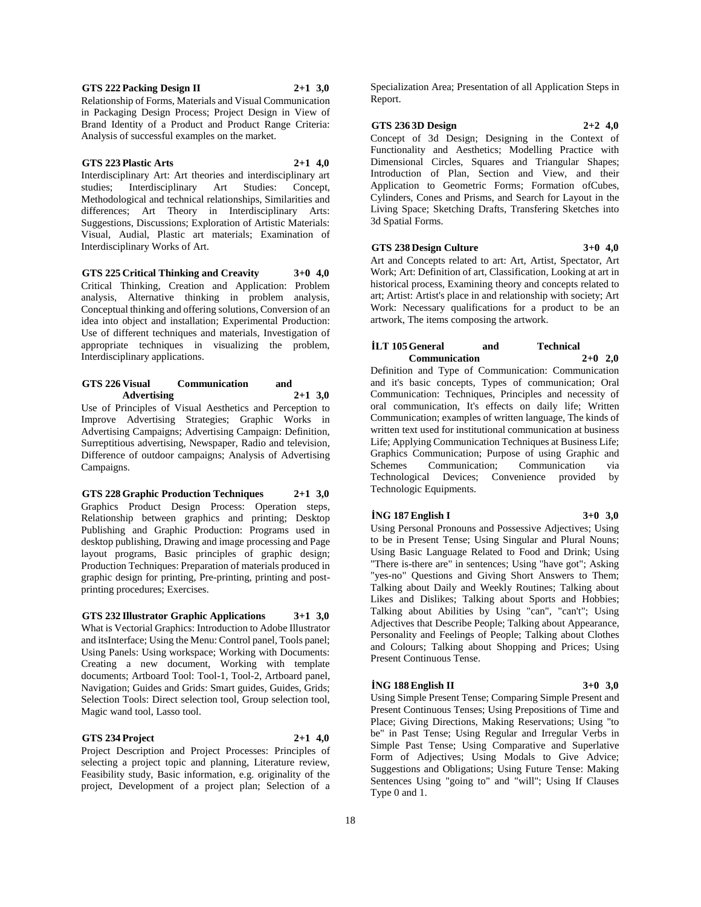#### **GTS 222 Packing Design II 2+1 3,0**

Relationship of Forms, Materials and Visual Communication in Packaging Design Process; Project Design in View of Brand Identity of a Product and Product Range Criteria: Analysis of successful examples on the market.

#### **GTS 223 Plastic Arts 2+1 4,0**

Interdisciplinary Art: Art theories and interdisciplinary art studies; Interdisciplinary Art Studies: Concept, Methodological and technical relationships, Similarities and differences; Art Theory in Interdisciplinary Arts: Suggestions, Discussions; Exploration of Artistic Materials: Visual, Audial, Plastic art materials; Examination of Interdisciplinary Works of Art.

**GTS 225 Critical Thinking and Creavity 3+0 4,0** Critical Thinking, Creation and Application: Problem analysis, Alternative thinking in problem analysis, Conceptual thinking and offering solutions, Conversion of an idea into object and installation; Experimental Production: Use of different techniques and materials, Investigation of appropriate techniques in visualizing the problem, Interdisciplinary applications.

#### **GTS 226 Visual Communication and Advertising 2+1 3,0**

Use of Principles of Visual Aesthetics and Perception to Improve Advertising Strategies; Graphic Works in Advertising Campaigns; Advertising Campaign: Definition, Surreptitious advertising, Newspaper, Radio and television, Difference of outdoor campaigns; Analysis of Advertising Campaigns.

### **GTS 228 Graphic Production Techniques 2+1 3,0**

Graphics Product Design Process: Operation steps, Relationship between graphics and printing; Desktop Publishing and Graphic Production: Programs used in desktop publishing, Drawing and image processing and Page layout programs, Basic principles of graphic design; Production Techniques: Preparation of materials produced in graphic design for printing, Pre-printing, printing and postprinting procedures; Exercises.

### **GTS 232 Illustrator Graphic Applications 3+1 3,0**

What is Vectorial Graphics: Introduction to Adobe Illustrator and itsInterface; Using the Menu: Control panel, Tools panel; Using Panels: Using workspace; Working with Documents: Creating a new document, Working with template documents; Artboard Tool: Tool-1, Tool-2, Artboard panel, Navigation; Guides and Grids: Smart guides, Guides, Grids; Selection Tools: Direct selection tool, Group selection tool, Magic wand tool, Lasso tool.

### **GTS 234 Project 2+1 4,0**

Project Description and Project Processes: Principles of selecting a project topic and planning, Literature review, Feasibility study, Basic information, e.g. originality of the project, Development of a project plan; Selection of a

Specialization Area; Presentation of all Application Steps in Report.

#### **GTS 236 3D Design 2+2 4,0**

Concept of 3d Design; Designing in the Context of Functionality and Aesthetics; Modelling Practice with Dimensional Circles, Squares and Triangular Shapes; Introduction of Plan, Section and View, and their Application to Geometric Forms; Formation ofCubes, Cylinders, Cones and Prisms, and Search for Layout in the Living Space; Sketching Drafts, Transfering Sketches into 3d Spatial Forms.

#### **GTS 238 Design Culture 3+0 4,0**

artwork, The items composing the artwork.

Art and Concepts related to art: Art, Artist, Spectator, Art Work; Art: Definition of art, Classification, Looking at art in historical process, Examining theory and concepts related to art; Artist: Artist's place in and relationship with society; Art Work: Necessary qualifications for a product to be an

## **İLT 105 General and Technical Communication 2+0 2,0**

Definition and Type of Communication: Communication and it's basic concepts, Types of communication; Oral Communication: Techniques, Principles and necessity of oral communication, It's effects on daily life; Written Communication; examples of written language, The kinds of written text used for institutional communication at business Life; Applying Communication Techniques at Business Life; Graphics Communication; Purpose of using Graphic and Schemes Communication; Communication via Technological Devices; Convenience provided by Technologic Equipments.

### **İNG 187 English I 3+0 3,0**

Using Personal Pronouns and Possessive Adjectives; Using to be in Present Tense; Using Singular and Plural Nouns; Using Basic Language Related to Food and Drink; Using "There is-there are" in sentences; Using "have got"; Asking "yes-no" Questions and Giving Short Answers to Them; Talking about Daily and Weekly Routines; Talking about Likes and Dislikes; Talking about Sports and Hobbies; Talking about Abilities by Using "can", "can't"; Using Adjectives that Describe People; Talking about Appearance, Personality and Feelings of People; Talking about Clothes and Colours; Talking about Shopping and Prices; Using Present Continuous Tense.

### **İNG 188 English II 3+0 3,0**

Using Simple Present Tense; Comparing Simple Present and Present Continuous Tenses; Using Prepositions of Time and Place; Giving Directions, Making Reservations; Using "to be" in Past Tense; Using Regular and Irregular Verbs in Simple Past Tense; Using Comparative and Superlative Form of Adjectives; Using Modals to Give Advice; Suggestions and Obligations; Using Future Tense: Making Sentences Using "going to" and "will"; Using If Clauses Type 0 and 1.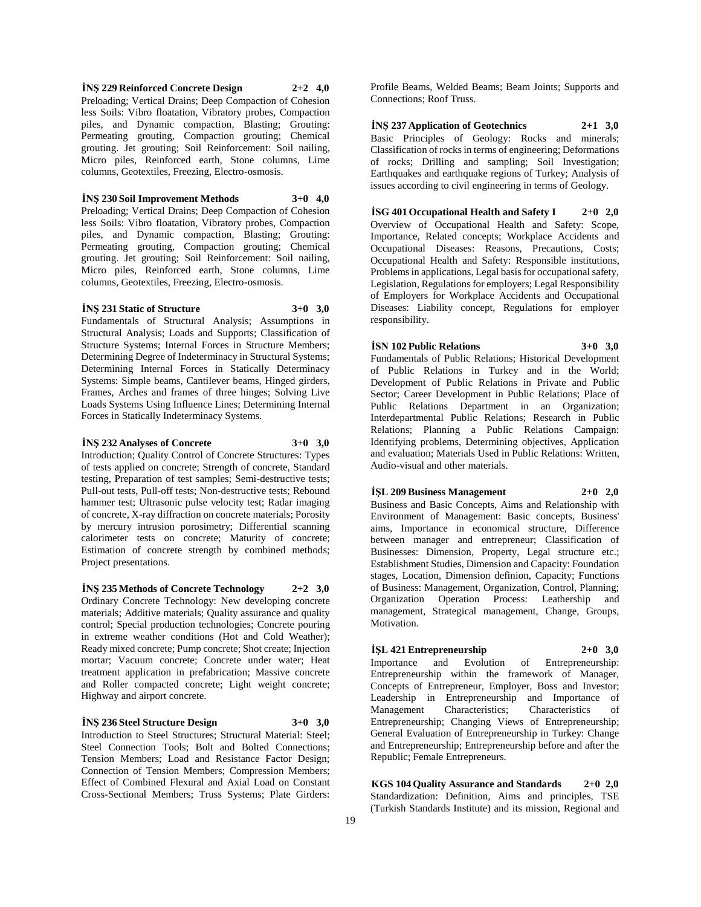**İNŞ 229 Reinforced Concrete Design 2+2 4,0** Preloading; Vertical Drains; Deep Compaction of Cohesion less Soils: Vibro floatation, Vibratory probes, Compaction piles, and Dynamic compaction, Blasting; Grouting: Permeating grouting, Compaction grouting; Chemical grouting. Jet grouting; Soil Reinforcement: Soil nailing, Micro piles, Reinforced earth, Stone columns, Lime columns, Geotextiles, Freezing, Electro-osmosis.

#### **İNŞ 230 Soil Improvement Methods 3+0 4,0**

Preloading; Vertical Drains; Deep Compaction of Cohesion less Soils: Vibro floatation, Vibratory probes, Compaction piles, and Dynamic compaction, Blasting; Grouting: Permeating grouting, Compaction grouting; Chemical grouting. Jet grouting; Soil Reinforcement: Soil nailing, Micro piles, Reinforced earth, Stone columns, Lime columns, Geotextiles, Freezing, Electro-osmosis.

### **İNŞ 231 Static of Structure 3+0 3,0**

Fundamentals of Structural Analysis; Assumptions in Structural Analysis; Loads and Supports; Classification of Structure Systems; Internal Forces in Structure Members; Determining Degree of Indeterminacy in Structural Systems; Determining Internal Forces in Statically Determinacy Systems: Simple beams, Cantilever beams, Hinged girders, Frames, Arches and frames of three hinges; Solving Live Loads Systems Using Influence Lines; Determining Internal Forces in Statically Indeterminacy Systems.

### **İNŞ 232 Analyses of Concrete 3+0 3,0**

Introduction; Quality Control of Concrete Structures: Types of tests applied on concrete; Strength of concrete, Standard testing, Preparation of test samples; Semi-destructive tests; Pull-out tests, Pull-off tests; Non-destructive tests; Rebound hammer test; Ultrasonic pulse velocity test; Radar imaging of concrete, X-ray diffraction on concrete materials; Porosity by mercury intrusion porosimetry; Differential scanning calorimeter tests on concrete; Maturity of concrete;

Estimation of concrete strength by combined methods;

**İNŞ 235 Methods of Concrete Technology 2+2 3,0** Ordinary Concrete Technology: New developing concrete materials; Additive materials; Quality assurance and quality control; Special production technologies; Concrete pouring in extreme weather conditions (Hot and Cold Weather); Ready mixed concrete; Pump concrete; Shot create; Injection mortar; Vacuum concrete; Concrete under water; Heat treatment application in prefabrication; Massive concrete and Roller compacted concrete; Light weight concrete; Highway and airport concrete.

#### **İNŞ 236 Steel Structure Design 3+0 3,0**

Project presentations.

Introduction to Steel Structures; Structural Material: Steel; Steel Connection Tools; Bolt and Bolted Connections; Tension Members; Load and Resistance Factor Design; Connection of Tension Members; Compression Members; Effect of Combined Flexural and Axial Load on Constant Cross-Sectional Members; Truss Systems; Plate Girders:

Profile Beams, Welded Beams; Beam Joints; Supports and Connections; Roof Truss.

**İNŞ 237 Application of Geotechnics 2+1 3,0** Basic Principles of Geology: Rocks and minerals; Classification of rocks in terms of engineering; Deformations of rocks; Drilling and sampling; Soil Investigation; Earthquakes and earthquake regions of Turkey; Analysis of issues according to civil engineering in terms of Geology.

**İSG 401 Occupational Health and Safety I 2+0 2,0** Overview of Occupational Health and Safety: Scope, Importance, Related concepts; Workplace Accidents and Occupational Diseases: Reasons, Precautions, Costs; Occupational Health and Safety: Responsible institutions, Problems in applications, Legal basis for occupational safety, Legislation, Regulations for employers; Legal Responsibility of Employers for Workplace Accidents and Occupational Diseases: Liability concept, Regulations for employer responsibility.

## **İSN 102 Public Relations 3+0 3,0**

Fundamentals of Public Relations; Historical Development of Public Relations in Turkey and in the World; Development of Public Relations in Private and Public Sector; Career Development in Public Relations; Place of Public Relations Department in an Organization; Interdepartmental Public Relations; Research in Public Relations; Planning a Public Relations Campaign: Identifying problems, Determining objectives, Application and evaluation; Materials Used in Public Relations: Written, Audio-visual and other materials.

**İŞL 209 Business Management 2+0 2,0** Business and Basic Concepts, Aims and Relationship with Environment of Management: Basic concepts, Business' aims, Importance in economical structure, Difference between manager and entrepreneur; Classification of Businesses: Dimension, Property, Legal structure etc.; Establishment Studies, Dimension and Capacity: Foundation stages, Location, Dimension definion, Capacity; Functions of Business: Management, Organization, Control, Planning; Organization Operation Process: Leathership and management, Strategical management, Change, Groups, Motivation.

### **İŞL 421 Entrepreneurship 2+0 3,0**

Importance and Evolution of Entrepreneurship: Entrepreneurship within the framework of Manager, Concepts of Entrepreneur, Employer, Boss and Investor; Leadership in Entrepreneurship and Importance of Management Characteristics; Characteristics of Entrepreneurship; Changing Views of Entrepreneurship; General Evaluation of Entrepreneurship in Turkey: Change and Entrepreneurship; Entrepreneurship before and after the Republic; Female Entrepreneurs.

**KGS 104 Quality Assurance and Standards 2+0 2,0** Standardization: Definition, Aims and principles, TSE (Turkish Standards Institute) and its mission, Regional and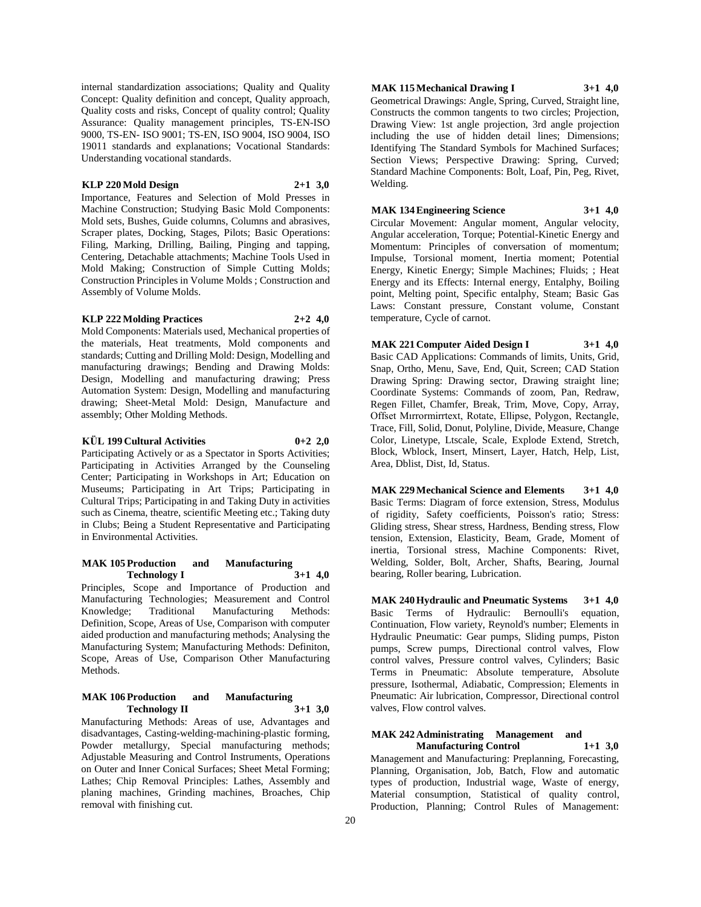internal standardization associations; Quality and Quality Concept: Quality definition and concept, Quality approach, Quality costs and risks, Concept of quality control; Quality Assurance: Quality management principles, TS-EN-ISO 9000, TS-EN- ISO 9001; TS-EN, ISO 9004, ISO 9004, ISO 19011 standards and explanations; Vocational Standards: Understanding vocational standards.

#### **KLP 220 Mold Design 2+1 3,0**

Importance, Features and Selection of Mold Presses in Machine Construction; Studying Basic Mold Components: Mold sets, Bushes, Guide columns, Columns and abrasives, Scraper plates, Docking, Stages, Pilots; Basic Operations: Filing, Marking, Drilling, Bailing, Pinging and tapping, Centering, Detachable attachments; Machine Tools Used in Mold Making; Construction of Simple Cutting Molds; Construction Principles in Volume Molds ; Construction and Assembly of Volume Molds.

### **KLP 222 Molding Practices 2+2 4,0**

Mold Components: Materials used, Mechanical properties of the materials, Heat treatments, Mold components and standards; Cutting and Drilling Mold: Design, Modelling and manufacturing drawings; Bending and Drawing Molds: Design, Modelling and manufacturing drawing; Press Automation System: Design, Modelling and manufacturing drawing; Sheet-Metal Mold: Design, Manufacture and assembly; Other Molding Methods.

### **KÜL 199 Cultural Activities 0+2 2,0**

Participating Actively or as a Spectator in Sports Activities; Participating in Activities Arranged by the Counseling Center; Participating in Workshops in Art; Education on Museums; Participating in Art Trips; Participating in Cultural Trips; Participating in and Taking Duty in activities such as Cinema, theatre, scientific Meeting etc.; Taking duty in Clubs; Being a Student Representative and Participating in Environmental Activities.

#### **MAK 105 Production and Manufacturing Technology I 3+1 4,0**

Principles, Scope and Importance of Production and Manufacturing Technologies; Measurement and Control Knowledge; Traditional Manufacturing Methods: Definition, Scope, Areas of Use, Comparison with computer aided production and manufacturing methods; Analysing the Manufacturing System; Manufacturing Methods: Definiton, Scope, Areas of Use, Comparison Other Manufacturing Methods.

#### **MAK 106 Production and Manufacturing Technology II 3+1 3,0**

Manufacturing Methods: Areas of use, Advantages and disadvantages, Casting-welding-machining-plastic forming, Powder metallurgy, Special manufacturing methods; Adjustable Measuring and Control Instruments, Operations on Outer and Inner Conical Surfaces; Sheet Metal Forming; Lathes; Chip Removal Principles: Lathes, Assembly and planing machines, Grinding machines, Broaches, Chip removal with finishing cut.

### **MAK 115 Mechanical Drawing I 3+1 4,0**

Geometrical Drawings: Angle, Spring, Curved, Straight line, Constructs the common tangents to two circles; Projection, Drawing View: 1st angle projection, 3rd angle projection including the use of hidden detail lines; Dimensions; Identifying The Standard Symbols for Machined Surfaces; Section Views; Perspective Drawing: Spring, Curved; Standard Machine Components: Bolt, Loaf, Pin, Peg, Rivet, Welding.

### **MAK 134 Engineering Science 3+1 4,0**

Circular Movement: Angular moment, Angular velocity, Angular acceleration, Torque; Potential-Kinetic Energy and Momentum: Principles of conversation of momentum; Impulse, Torsional moment, Inertia moment; Potential Energy, Kinetic Energy; Simple Machines; Fluids; ; Heat Energy and its Effects: Internal energy, Entalphy, Boiling point, Melting point, Specific entalphy, Steam; Basic Gas Laws: Constant pressure, Constant volume, Constant temperature, Cycle of carnot.

**MAK 221 Computer Aided Design I 3+1 4,0** Basic CAD Applications: Commands of limits, Units, Grid, Snap, Ortho, Menu, Save, End, Quit, Screen; CAD Station Drawing Spring: Drawing sector, Drawing straight line; Coordinate Systems: Commands of zoom, Pan, Redraw, Regen Fillet, Chamfer, Break, Trim, Move, Copy, Array, Offset Mırrormirrtext, Rotate, Ellipse, Polygon, Rectangle, Trace, Fill, Solid, Donut, Polyline, Divide, Measure, Change Color, Linetype, Ltscale, Scale, Explode Extend, Stretch, Block, Wblock, Insert, Minsert, Layer, Hatch, Help, List, Area, Dblist, Dist, Id, Status.

**MAK 229 Mechanical Science and Elements 3+1 4,0** Basic Terms: Diagram of force extension, Stress, Modulus of rigidity, Safety coefficients, Poisson's ratio; Stress: Gliding stress, Shear stress, Hardness, Bending stress, Flow tension, Extension, Elasticity, Beam, Grade, Moment of inertia, Torsional stress, Machine Components: Rivet, Welding, Solder, Bolt, Archer, Shafts, Bearing, Journal bearing, Roller bearing, Lubrication.

**MAK 240 Hydraulic and Pneumatic Systems 3+1 4,0** Basic Terms of Hydraulic: Bernoulli's equation, Continuation, Flow variety, Reynold's number; Elements in Hydraulic Pneumatic: Gear pumps, Sliding pumps, Piston pumps, Screw pumps, Directional control valves, Flow control valves, Pressure control valves, Cylinders; Basic Terms in Pneumatic: Absolute temperature, Absolute pressure, Isothermal, Adiabatic, Compression; Elements in Pneumatic: Air lubrication, Compressor, Directional control valves, Flow control valves.

## **MAK 242 Administrating Management and**

**Manufacturing Control 1+1 3,0** Management and Manufacturing: Preplanning, Forecasting, Planning, Organisation, Job, Batch, Flow and automatic types of production, Industrial wage, Waste of energy, Material consumption, Statistical of quality control, Production, Planning; Control Rules of Management: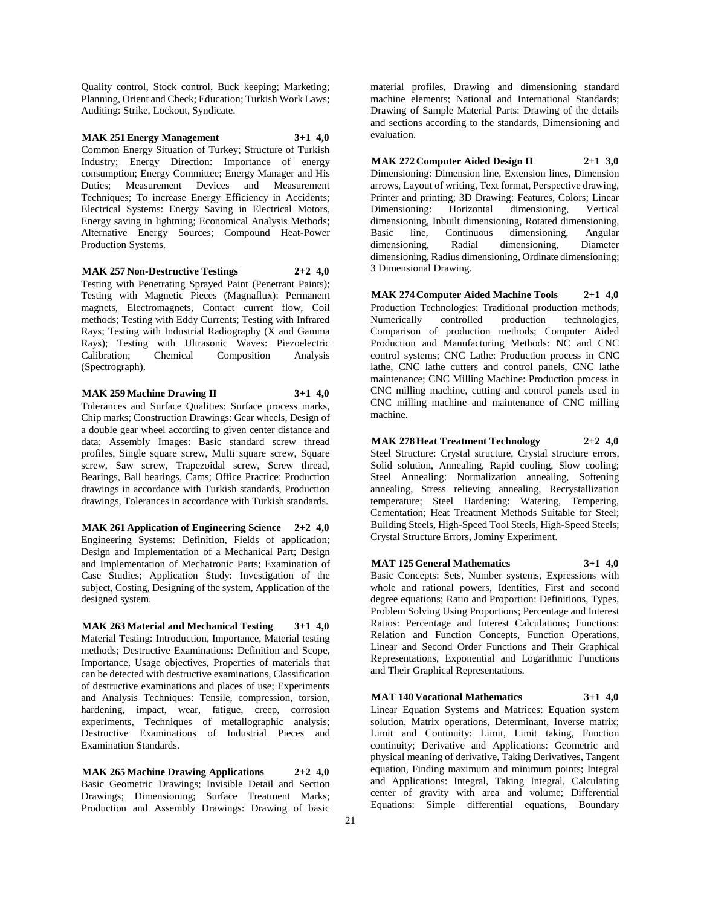Quality control, Stock control, Buck keeping; Marketing; Planning, Orient and Check; Education; Turkish Work Laws; Auditing: Strike, Lockout, Syndicate.

**MAK 251 Energy Management 3+1 4,0** Common Energy Situation of Turkey; Structure of Turkish Industry; Energy Direction: Importance of energy consumption; Energy Committee; Energy Manager and His Duties; Measurement Devices and Measurement Techniques; To increase Energy Efficiency in Accidents; Electrical Systems: Energy Saving in Electrical Motors, Energy saving in lightning; Economical Analysis Methods; Alternative Energy Sources; Compound Heat-Power Production Systems.

**MAK 257 Non-Destructive Testings 2+2 4,0** Testing with Penetrating Sprayed Paint (Penetrant Paints); Testing with Magnetic Pieces (Magnaflux): Permanent magnets, Electromagnets, Contact current flow, Coil methods; Testing with Eddy Currents; Testing with Infrared Rays; Testing with Industrial Radiography (X and Gamma

Rays); Testing with Ultrasonic Waves: Piezoelectric Calibration; Chemical Composition Analysis (Spectrograph).

**MAK 259 Machine Drawing II 3+1 4,0**

Tolerances and Surface Qualities: Surface process marks, Chip marks; Construction Drawings: Gear wheels, Design of a double gear wheel according to given center distance and data; Assembly Images: Basic standard screw thread profiles, Single square screw, Multi square screw, Square screw, Saw screw, Trapezoidal screw, Screw thread, Bearings, Ball bearings, Cams; Office Practice: Production drawings in accordance with Turkish standards, Production drawings, Tolerances in accordance with Turkish standards.

**MAK 261 Application of Engineering Science 2+2 4,0** Engineering Systems: Definition, Fields of application; Design and Implementation of a Mechanical Part; Design and Implementation of Mechatronic Parts; Examination of Case Studies; Application Study: Investigation of the subject, Costing, Designing of the system, Application of the designed system.

**MAK 263 Material and Mechanical Testing 3+1 4,0** Material Testing: Introduction, Importance, Material testing methods; Destructive Examinations: Definition and Scope, Importance, Usage objectives, Properties of materials that can be detected with destructive examinations, Classification of destructive examinations and places of use; Experiments and Analysis Techniques: Tensile, compression, torsion, hardening, impact, wear, fatigue, creep, corrosion experiments, Techniques of metallographic analysis; Destructive Examinations of Industrial Pieces and Examination Standards.

**MAK 265 Machine Drawing Applications 2+2 4,0** Basic Geometric Drawings; Invisible Detail and Section Drawings; Dimensioning; Surface Treatment Marks; Production and Assembly Drawings: Drawing of basic

material profiles, Drawing and dimensioning standard machine elements; National and International Standards; Drawing of Sample Material Parts: Drawing of the details and sections according to the standards, Dimensioning and evaluation.

**MAK 272 Computer Aided Design II 2+1 3,0** Dimensioning: Dimension line, Extension lines, Dimension arrows, Layout of writing, Text format, Perspective drawing, Printer and printing; 3D Drawing: Features, Colors; Linear Dimensioning: Horizontal dimensioning, Vertical dimensioning, Inbuilt dimensioning, Rotated dimensioning, Basic line, Continuous dimensioning, Angular dimensioning, Radial dimensioning, Diameter dimensioning, Radius dimensioning, Ordinate dimensioning; 3 Dimensional Drawing.

**MAK 274 Computer Aided Machine Tools 2+1 4,0** Production Technologies: Traditional production methods, Numerically controlled production technologies, Comparison of production methods; Computer Aided Production and Manufacturing Methods: NC and CNC control systems; CNC Lathe: Production process in CNC lathe, CNC lathe cutters and control panels, CNC lathe maintenance; CNC Milling Machine: Production process in CNC milling machine, cutting and control panels used in CNC milling machine and maintenance of CNC milling machine.

**MAK 278 Heat Treatment Technology 2+2 4,0** Steel Structure: Crystal structure, Crystal structure errors, Solid solution, Annealing, Rapid cooling, Slow cooling; Steel Annealing: Normalization annealing, Softening annealing, Stress relieving annealing, Recrystallization temperature; Steel Hardening: Watering, Tempering, Cementation; Heat Treatment Methods Suitable for Steel; Building Steels, High-Speed Tool Steels, High-Speed Steels; Crystal Structure Errors, Jominy Experiment.

**MAT 125 General Mathematics 3+1 4,0** Basic Concepts: Sets, Number systems, Expressions with whole and rational powers, Identities, First and second degree equations; Ratio and Proportion: Definitions, Types, Problem Solving Using Proportions; Percentage and Interest Ratios: Percentage and Interest Calculations; Functions: Relation and Function Concepts, Function Operations, Linear and Second Order Functions and Their Graphical Representations, Exponential and Logarithmic Functions and Their Graphical Representations.

**MAT 140 Vocational Mathematics 3+1 4,0** Linear Equation Systems and Matrices: Equation system solution, Matrix operations, Determinant, Inverse matrix; Limit and Continuity: Limit, Limit taking, Function continuity; Derivative and Applications: Geometric and physical meaning of derivative, Taking Derivatives, Tangent equation, Finding maximum and minimum points; Integral and Applications: Integral, Taking Integral, Calculating center of gravity with area and volume; Differential Equations: Simple differential equations, Boundary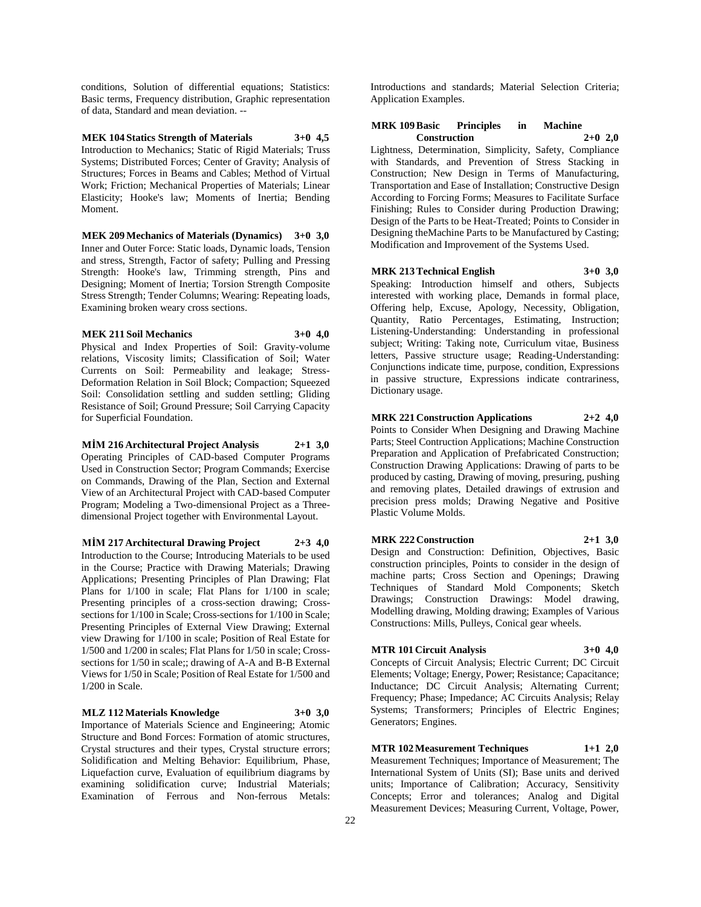conditions, Solution of differential equations; Statistics: Basic terms, Frequency distribution, Graphic representation of data, Standard and mean deviation. --

### **MEK 104 Statics Strength of Materials 3+0 4,5**

Introduction to Mechanics; Static of Rigid Materials; Truss Systems; Distributed Forces; Center of Gravity; Analysis of Structures; Forces in Beams and Cables; Method of Virtual Work; Friction; Mechanical Properties of Materials; Linear Elasticity; Hooke's law; Moments of Inertia; Bending Moment.

**MEK 209 Mechanics of Materials (Dynamics) 3+0 3,0** Inner and Outer Force: Static loads, Dynamic loads, Tension and stress, Strength, Factor of safety; Pulling and Pressing Strength: Hooke's law, Trimming strength, Pins and Designing; Moment of Inertia; Torsion Strength Composite Stress Strength; Tender Columns; Wearing: Repeating loads, Examining broken weary cross sections.

### **MEK 211 Soil Mechanics 3+0 4,0**

Physical and Index Properties of Soil: Gravity-volume relations, Viscosity limits; Classification of Soil; Water Currents on Soil: Permeability and leakage; Stress-Deformation Relation in Soil Block; Compaction; Squeezed Soil: Consolidation settling and sudden settling; Gliding Resistance of Soil; Ground Pressure; Soil Carrying Capacity for Superficial Foundation.

**MİM 216 Architectural Project Analysis 2+1 3,0** Operating Principles of CAD-based Computer Programs Used in Construction Sector; Program Commands; Exercise on Commands, Drawing of the Plan, Section and External View of an Architectural Project with CAD-based Computer Program; Modeling a Two-dimensional Project as a Threedimensional Project together with Environmental Layout.

**MİM 217 Architectural Drawing Project 2+3 4,0** Introduction to the Course; Introducing Materials to be used in the Course; Practice with Drawing Materials; Drawing Applications; Presenting Principles of Plan Drawing; Flat Plans for 1/100 in scale; Flat Plans for 1/100 in scale; Presenting principles of a cross-section drawing; Crosssections for 1/100 in Scale; Cross-sections for 1/100 in Scale; Presenting Principles of External View Drawing; External view Drawing for 1/100 in scale; Position of Real Estate for 1/500 and 1/200 in scales; Flat Plans for 1/50 in scale; Crosssections for 1/50 in scale;; drawing of A-A and B-B External Views for 1/50 in Scale; Position of Real Estate for 1/500 and 1/200 in Scale.

#### **MLZ 112 Materials Knowledge 3+0 3,0**

Importance of Materials Science and Engineering; Atomic Structure and Bond Forces: Formation of atomic structures, Crystal structures and their types, Crystal structure errors; Solidification and Melting Behavior: Equilibrium, Phase, Liquefaction curve, Evaluation of equilibrium diagrams by examining solidification curve; Industrial Materials; Examination of Ferrous and Non-ferrous Metals:

Introductions and standards; Material Selection Criteria; Application Examples.

### **MRK 109 Basic Principles in Machine Construction 2+0 2,0**

Lightness, Determination, Simplicity, Safety, Compliance with Standards, and Prevention of Stress Stacking in Construction; New Design in Terms of Manufacturing, Transportation and Ease of Installation; Constructive Design According to Forcing Forms; Measures to Facilitate Surface Finishing; Rules to Consider during Production Drawing; Design of the Parts to be Heat-Treated; Points to Consider in Designing theMachine Parts to be Manufactured by Casting; Modification and Improvement of the Systems Used.

### **MRK 213 Technical English 3+0 3,0**

Speaking: Introduction himself and others, Subjects interested with working place, Demands in formal place, Offering help, Excuse, Apology, Necessity, Obligation, Quantity, Ratio Percentages, Estimating, Instruction; Listening-Understanding: Understanding in professional subject; Writing: Taking note, Curriculum vitae, Business letters, Passive structure usage; Reading-Understanding: Conjunctions indicate time, purpose, condition, Expressions in passive structure, Expressions indicate contrariness, Dictionary usage.

#### **MRK 221 Construction Applications 2+2 4,0**

Points to Consider When Designing and Drawing Machine Parts; Steel Contruction Applications; Machine Construction Preparation and Application of Prefabricated Construction; Construction Drawing Applications: Drawing of parts to be produced by casting, Drawing of moving, presuring, pushing and removing plates, Detailed drawings of extrusion and precision press molds; Drawing Negative and Positive Plastic Volume Molds.

#### **MRK 222 Construction 2+1 3,0**

Design and Construction: Definition, Objectives, Basic construction principles, Points to consider in the design of machine parts; Cross Section and Openings; Drawing Techniques of Standard Mold Components; Sketch Drawings; Construction Drawings: Model drawing, Modelling drawing, Molding drawing; Examples of Various Constructions: Mills, Pulleys, Conical gear wheels.

#### **MTR 101 Circuit Analysis 3+0 4,0**

Concepts of Circuit Analysis; Electric Current; DC Circuit Elements; Voltage; Energy, Power; Resistance; Capacitance; Inductance; DC Circuit Analysis; Alternating Current; Frequency; Phase; Impedance; AC Circuits Analysis; Relay Systems; Transformers; Principles of Electric Engines; Generators; Engines.

### **MTR 102 Measurement Techniques 1+1 2,0**

Measurement Techniques; Importance of Measurement; The International System of Units (SI); Base units and derived units; Importance of Calibration; Accuracy, Sensitivity Concepts; Error and tolerances; Analog and Digital Measurement Devices; Measuring Current, Voltage, Power,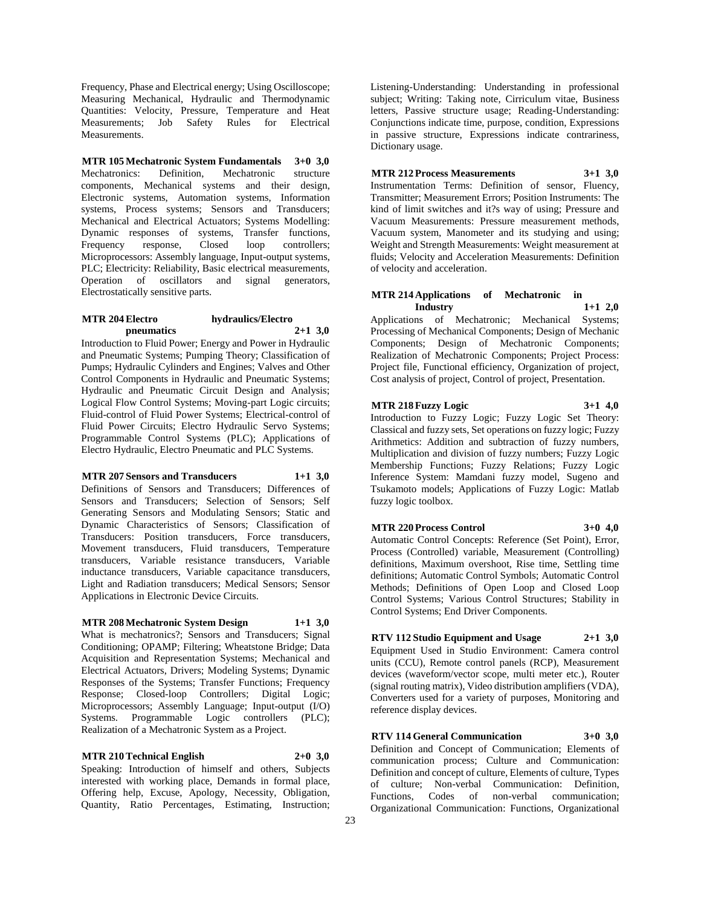Frequency, Phase and Electrical energy; Using Oscilloscope; Measuring Mechanical, Hydraulic and Thermodynamic Quantities: Velocity, Pressure, Temperature and Heat Measurements; Job Safety Rules for Electrical Measurements.

**MTR 105 Mechatronic System Fundamentals 3+0 3,0** Mechatronics: Definition, Mechatronic structure components, Mechanical systems and their design, Electronic systems, Automation systems, Information systems, Process systems; Sensors and Transducers; Mechanical and Electrical Actuators; Systems Modelling: Dynamic responses of systems, Transfer functions, Frequency response, Closed loop controllers; Microprocessors: Assembly language, Input-output systems, PLC; Electricity: Reliability, Basic electrical measurements, Operation of oscillators and signal generators, Electrostatically sensitive parts.

### **MTR 204 Electro hydraulics/Electro pneumatics 2+1 3,0**

Introduction to Fluid Power; Energy and Power in Hydraulic and Pneumatic Systems; Pumping Theory; Classification of Pumps; Hydraulic Cylinders and Engines; Valves and Other Control Components in Hydraulic and Pneumatic Systems; Hydraulic and Pneumatic Circuit Design and Analysis; Logical Flow Control Systems; Moving-part Logic circuits; Fluid-control of Fluid Power Systems; Electrical-control of Fluid Power Circuits; Electro Hydraulic Servo Systems; Programmable Control Systems (PLC); Applications of Electro Hydraulic, Electro Pneumatic and PLC Systems.

### **MTR 207 Sensors and Transducers 1+1 3,0**

Definitions of Sensors and Transducers; Differences of Sensors and Transducers; Selection of Sensors; Self Generating Sensors and Modulating Sensors; Static and Dynamic Characteristics of Sensors; Classification of Transducers: Position transducers, Force transducers, Movement transducers, Fluid transducers, Temperature transducers, Variable resistance transducers, Variable inductance transducers, Variable capacitance transducers, Light and Radiation transducers; Medical Sensors; Sensor Applications in Electronic Device Circuits.

### **MTR 208 Mechatronic System Design 1+1 3,0**

What is mechatronics?; Sensors and Transducers; Signal Conditioning; OPAMP; Filtering; Wheatstone Bridge; Data Acquisition and Representation Systems; Mechanical and Electrical Actuators, Drivers; Modeling Systems; Dynamic Responses of the Systems; Transfer Functions; Frequency Response; Closed-loop Controllers; Digital Logic; Microprocessors; Assembly Language; Input-output (I/O) Systems. Programmable Logic controllers (PLC); Realization of a Mechatronic System as a Project.

### **MTR 210 Technical English 2+0 3,0**

Speaking: Introduction of himself and others, Subjects interested with working place, Demands in formal place, Offering help, Excuse, Apology, Necessity, Obligation, Quantity, Ratio Percentages, Estimating, Instruction;

Listening-Understanding: Understanding in professional subject; Writing: Taking note, Cirriculum vitae, Business letters, Passive structure usage; Reading-Understanding: Conjunctions indicate time, purpose, condition, Expressions in passive structure, Expressions indicate contrariness, Dictionary usage.

### **MTR 212 Process Measurements 3+1 3,0**

Instrumentation Terms: Definition of sensor, Fluency, Transmitter; Measurement Errors; Position Instruments: The kind of limit switches and it?s way of using; Pressure and Vacuum Measurements: Pressure measurement methods, Vacuum system, Manometer and its studying and using; Weight and Strength Measurements: Weight measurement at fluids; Velocity and Acceleration Measurements: Definition of velocity and acceleration.

### **MTR 214 Applications of Mechatronic in Industry 1+1 2,0**

Applications of Mechatronic; Mechanical Systems; Processing of Mechanical Components; Design of Mechanic Components; Design of Mechatronic Components; Realization of Mechatronic Components; Project Process: Project file, Functional efficiency, Organization of project, Cost analysis of project, Control of project, Presentation.

### **MTR 218 Fuzzy Logic 3+1 4,0**

Introduction to Fuzzy Logic; Fuzzy Logic Set Theory: Classical and fuzzy sets, Set operations on fuzzy logic; Fuzzy Arithmetics: Addition and subtraction of fuzzy numbers, Multiplication and division of fuzzy numbers; Fuzzy Logic Membership Functions; Fuzzy Relations; Fuzzy Logic Inference System: Mamdani fuzzy model, Sugeno and Tsukamoto models; Applications of Fuzzy Logic: Matlab fuzzy logic toolbox.

### **MTR 220 Process Control 3+0 4,0**

Automatic Control Concepts: Reference (Set Point), Error, Process (Controlled) variable, Measurement (Controlling) definitions, Maximum overshoot, Rise time, Settling time definitions; Automatic Control Symbols; Automatic Control Methods; Definitions of Open Loop and Closed Loop Control Systems; Various Control Structures; Stability in Control Systems; End Driver Components.

**RTV 112 Studio Equipment and Usage 2+1 3,0** Equipment Used in Studio Environment: Camera control units (CCU), Remote control panels (RCP), Measurement devices (waveform/vector scope, multi meter etc.), Router (signal routing matrix), Video distribution amplifiers (VDA), Converters used for a variety of purposes, Monitoring and reference display devices.

**RTV 114 General Communication 3+0 3,0** Definition and Concept of Communication; Elements of communication process; Culture and Communication: Definition and concept of culture, Elements of culture, Types of culture; Non-verbal Communication: Definition, Functions, Codes of non-verbal communication;

Organizational Communication: Functions, Organizational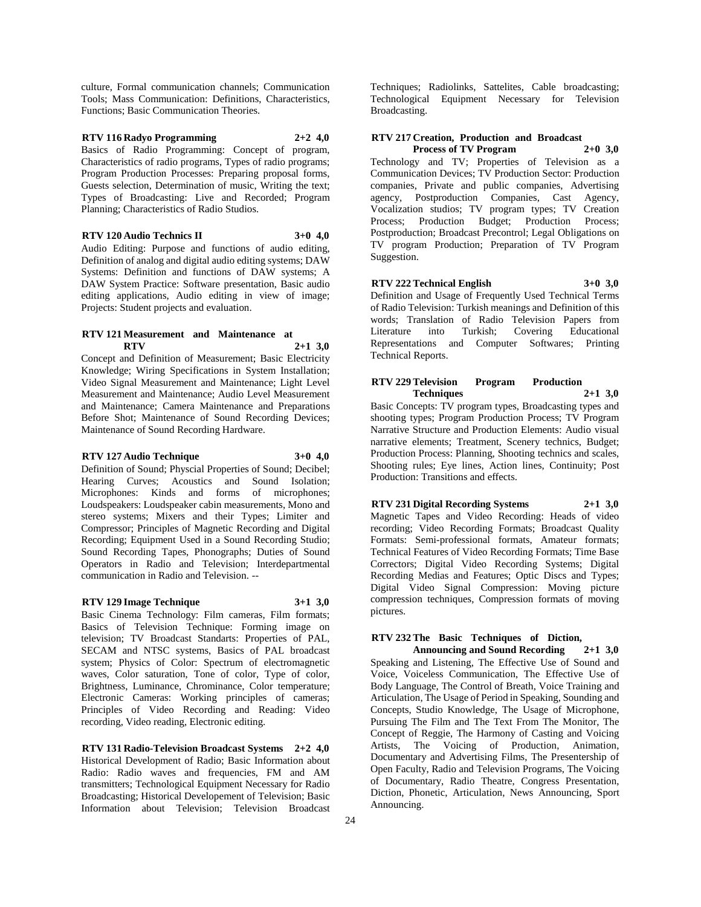culture, Formal communication channels; Communication Tools; Mass Communication: Definitions, Characteristics, Functions; Basic Communication Theories.

### **RTV 116 Radyo Programming 2+2 4,0**

Basics of Radio Programming: Concept of program, Characteristics of radio programs, Types of radio programs; Program Production Processes: Preparing proposal forms, Guests selection, Determination of music, Writing the text; Types of Broadcasting: Live and Recorded; Program Planning; Characteristics of Radio Studios.

**RTV 120 Audio Technics II 3+0 4,0**

Audio Editing: Purpose and functions of audio editing, Definition of analog and digital audio editing systems; DAW Systems: Definition and functions of DAW systems; A DAW System Practice: Software presentation, Basic audio editing applications, Audio editing in view of image; Projects: Student projects and evaluation.

### **RTV 121 Measurement and Maintenance at RTV 2+1 3,0**

Concept and Definition of Measurement; Basic Electricity Knowledge; Wiring Specifications in System Installation; Video Signal Measurement and Maintenance; Light Level Measurement and Maintenance; Audio Level Measurement and Maintenance; Camera Maintenance and Preparations Before Shot; Maintenance of Sound Recording Devices; Maintenance of Sound Recording Hardware.

#### **RTV 127 Audio Technique 3+0 4,0**

Definition of Sound; Physcial Properties of Sound; Decibel; Hearing Curves; Acoustics and Sound Isolation; Microphones: Kinds and forms of microphones; Loudspeakers: Loudspeaker cabin measurements, Mono and stereo systems; Mixers and their Types; Limiter and Compressor; Principles of Magnetic Recording and Digital Recording; Equipment Used in a Sound Recording Studio; Sound Recording Tapes, Phonographs; Duties of Sound Operators in Radio and Television; Interdepartmental communication in Radio and Television. --

#### **RTV 129 Image Technique 3+1 3,0**

Basic Cinema Technology: Film cameras, Film formats; Basics of Television Technique: Forming image on television; TV Broadcast Standarts: Properties of PAL, SECAM and NTSC systems, Basics of PAL broadcast system; Physics of Color: Spectrum of electromagnetic waves, Color saturation, Tone of color, Type of color, Brightness, Luminance, Chrominance, Color temperature; Electronic Cameras: Working principles of cameras; Principles of Video Recording and Reading: Video recording, Video reading, Electronic editing.

**RTV 131 Radio-Television Broadcast Systems 2+2 4,0** Historical Development of Radio; Basic Information about Radio: Radio waves and frequencies, FM and AM transmitters; Technological Equipment Necessary for Radio Broadcasting; Historical Developement of Television; Basic Information about Television; Television Broadcast

Techniques; Radiolinks, Sattelites, Cable broadcasting; Technological Equipment Necessary for Television Broadcasting.

### **RTV 217 Creation, Production and Broadcast Process of TV Program 2+0 3,0**

Technology and TV; Properties of Television as a Communication Devices; TV Production Sector: Production companies, Private and public companies, Advertising agency, Postproduction Companies, Cast Agency, Vocalization studios; TV program types; TV Creation Process; Production Budget; Production Process; Postproduction; Broadcast Precontrol; Legal Obligations on TV program Production; Preparation of TV Program Suggestion.

## **RTV 222 Technical English 3+0 3,0**

Definition and Usage of Frequently Used Technical Terms of Radio Television: Turkish meanings and Definition of this words; Translation of Radio Television Papers from<br>Literature into Turkish; Covering Educational Literature into Turkish; Covering Representations and Computer Softwares; Printing Technical Reports.

### **RTV 229 Television Program Production Techniques 2+1 3,0**

Basic Concepts: TV program types, Broadcasting types and shooting types; Program Production Process; TV Program Narrative Structure and Production Elements: Audio visual narrative elements; Treatment, Scenery technics, Budget; Production Process: Planning, Shooting technics and scales, Shooting rules; Eye lines, Action lines, Continuity; Post Production: Transitions and effects.

### **RTV 231 Digital Recording Systems 2+1 3,0**

Magnetic Tapes and Video Recording: Heads of video recording; Video Recording Formats; Broadcast Quality Formats: Semi-professional formats, Amateur formats; Technical Features of Video Recording Formats; Time Base Correctors; Digital Video Recording Systems; Digital Recording Medias and Features; Optic Discs and Types; Digital Video Signal Compression: Moving picture compression techniques, Compression formats of moving pictures.

### **RTV 232 The Basic Techniques of Diction,**

**Announcing and Sound Recording 2+1 3,0** Speaking and Listening, The Effective Use of Sound and Voice, Voiceless Communication, The Effective Use of Body Language, The Control of Breath, Voice Training and Articulation, The Usage of Period in Speaking, Sounding and Concepts, Studio Knowledge, The Usage of Microphone, Pursuing The Film and The Text From The Monitor, The Concept of Reggie, The Harmony of Casting and Voicing Artists, The Voicing of Production, Animation, Documentary and Advertising Films, The Presentership of Open Faculty, Radio and Television Programs, The Voicing of Documentary, Radio Theatre, Congress Presentation, Diction, Phonetic, Articulation, News Announcing, Sport Announcing.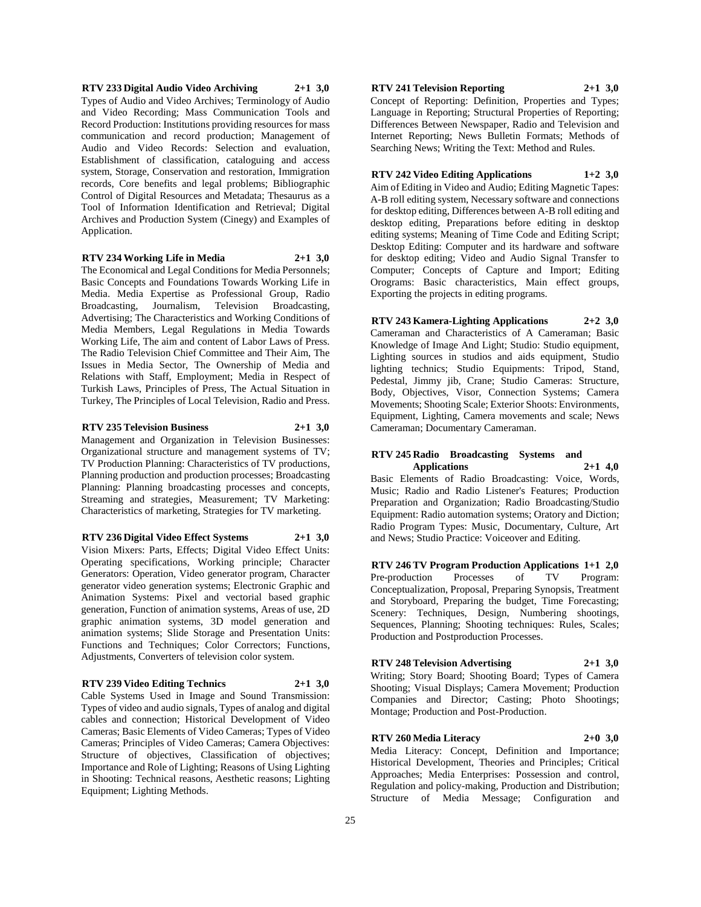**RTV 233 Digital Audio Video Archiving 2+1 3,0** Types of Audio and Video Archives; Terminology of Audio and Video Recording; Mass Communication Tools and Record Production: Institutions providing resources for mass communication and record production; Management of Audio and Video Records: Selection and evaluation, Establishment of classification, cataloguing and access system, Storage, Conservation and restoration, Immigration records, Core benefits and legal problems; Bibliographic Control of Digital Resources and Metadata; Thesaurus as a Tool of Information Identification and Retrieval; Digital Archives and Production System (Cinegy) and Examples of Application.

#### **RTV 234 Working Life in Media 2+1 3,0**

The Economical and Legal Conditions for Media Personnels; Basic Concepts and Foundations Towards Working Life in Media. Media Expertise as Professional Group, Radio Broadcasting, Journalism, Television Broadcasting, Advertising; The Characteristics and Working Conditions of Media Members, Legal Regulations in Media Towards Working Life, The aim and content of Labor Laws of Press. The Radio Television Chief Committee and Their Aim, The Issues in Media Sector, The Ownership of Media and Relations with Staff, Employment; Media in Respect of Turkish Laws, Principles of Press, The Actual Situation in Turkey, The Principles of Local Television, Radio and Press.

#### **RTV 235 Television Business 2+1 3,0**

Management and Organization in Television Businesses: Organizational structure and management systems of TV; TV Production Planning: Characteristics of TV productions, Planning production and production processes; Broadcasting Planning: Planning broadcasting processes and concepts, Streaming and strategies, Measurement; TV Marketing: Characteristics of marketing, Strategies for TV marketing.

#### **RTV 236 Digital Video Effect Systems 2+1 3,0**

Vision Mixers: Parts, Effects; Digital Video Effect Units: Operating specifications, Working principle; Character Generators: Operation, Video generator program, Character generator video generation systems; Electronic Graphic and Animation Systems: Pixel and vectorial based graphic generation, Function of animation systems, Areas of use, 2D graphic animation systems, 3D model generation and animation systems; Slide Storage and Presentation Units: Functions and Techniques; Color Correctors; Functions, Adjustments, Converters of television color system.

### **RTV 239 Video Editing Technics 2+1 3,0**

Cable Systems Used in Image and Sound Transmission: Types of video and audio signals, Types of analog and digital cables and connection; Historical Development of Video Cameras; Basic Elements of Video Cameras; Types of Video Cameras; Principles of Video Cameras; Camera Objectives: Structure of objectives, Classification of objectives; Importance and Role of Lighting; Reasons of Using Lighting in Shooting: Technical reasons, Aesthetic reasons; Lighting Equipment; Lighting Methods.

#### **RTV 241 Television Reporting 2+1 3,0**

Concept of Reporting: Definition, Properties and Types; Language in Reporting; Structural Properties of Reporting; Differences Between Newspaper, Radio and Television and Internet Reporting; News Bulletin Formats; Methods of Searching News; Writing the Text: Method and Rules.

#### **RTV 242 Video Editing Applications 1+2 3,0**

Aim of Editing in Video and Audio; Editing Magnetic Tapes: A-B roll editing system, Necessary software and connections for desktop editing, Differences between A-B roll editing and desktop editing, Preparations before editing in desktop editing systems; Meaning of Time Code and Editing Script; Desktop Editing: Computer and its hardware and software for desktop editing; Video and Audio Signal Transfer to Computer; Concepts of Capture and Import; Editing Orograms: Basic characteristics, Main effect groups, Exporting the projects in editing programs.

### **RTV 243 Kamera-Lighting Applications 2+2 3,0** Cameraman and Characteristics of A Cameraman; Basic

Knowledge of Image And Light; Studio: Studio equipment, Lighting sources in studios and aids equipment, Studio lighting technics; Studio Equipments: Tripod, Stand, Pedestal, Jimmy jib, Crane; Studio Cameras: Structure, Body, Objectives, Visor, Connection Systems; Camera Movements; Shooting Scale; Exterior Shoots: Environments, Equipment, Lighting, Camera movements and scale; News Cameraman; Documentary Cameraman.

### **RTV 245 Radio Broadcasting Systems and Applications 2+1 4,0**

Basic Elements of Radio Broadcasting: Voice, Words, Music; Radio and Radio Listener's Features; Production Preparation and Organization; Radio Broadcasting/Studio Equipment: Radio automation systems; Oratory and Diction; Radio Program Types: Music, Documentary, Culture, Art and News; Studio Practice: Voiceover and Editing.

**RTV 246 TV Program Production Applications 1+1 2,0** Pre-production Processes of TV Program: Conceptualization, Proposal, Preparing Synopsis, Treatment and Storyboard, Preparing the budget, Time Forecasting; Scenery: Techniques, Design, Numbering shootings, Sequences, Planning; Shooting techniques: Rules, Scales; Production and Postproduction Processes.

### **RTV 248 Television Advertising 2+1 3,0**

Writing; Story Board; Shooting Board; Types of Camera Shooting; Visual Displays; Camera Movement; Production Companies and Director; Casting; Photo Shootings;

### **RTV 260 Media Literacy 2+0 3,0**

Montage; Production and Post-Production.

Media Literacy: Concept, Definition and Importance; Historical Development, Theories and Principles; Critical Approaches; Media Enterprises: Possession and control, Regulation and policy-making, Production and Distribution; Structure of Media Message; Configuration and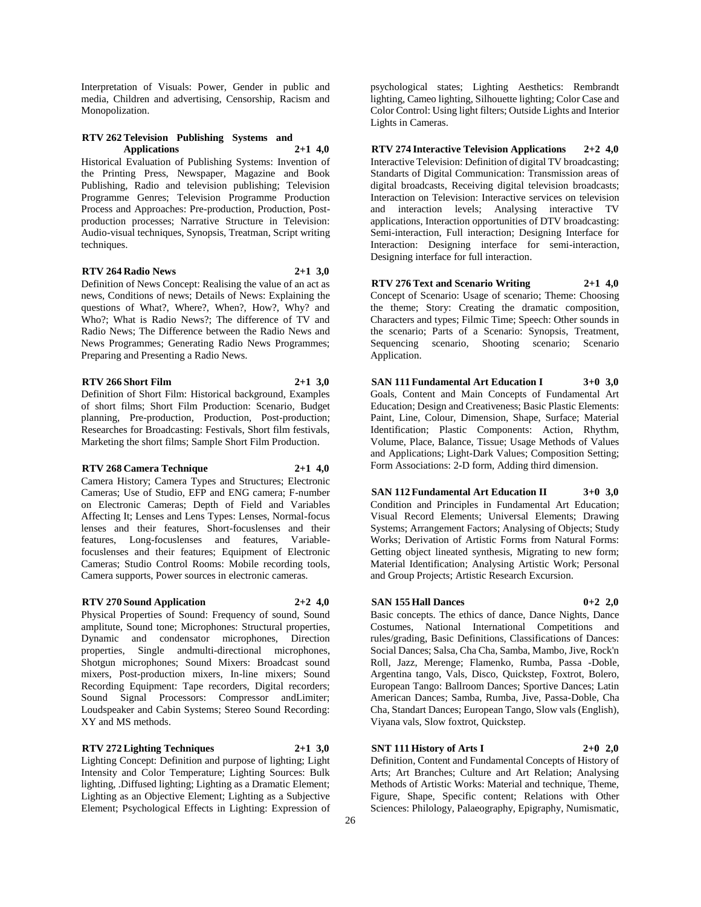Interpretation of Visuals: Power, Gender in public and media, Children and advertising, Censorship, Racism and Monopolization.

### **RTV 262 Television Publishing Systems and Applications 2+1 4,0**

Historical Evaluation of Publishing Systems: Invention of the Printing Press, Newspaper, Magazine and Book Publishing, Radio and television publishing; Television Programme Genres; Television Programme Production Process and Approaches: Pre-production, Production, Postproduction processes; Narrative Structure in Television: Audio-visual techniques, Synopsis, Treatman, Script writing techniques.

#### **RTV 264 Radio News 2+1 3,0**

Definition of News Concept: Realising the value of an act as news, Conditions of news; Details of News: Explaining the questions of What?, Where?, When?, How?, Why? and Who?; What is Radio News?; The difference of TV and Radio News; The Difference between the Radio News and News Programmes; Generating Radio News Programmes; Preparing and Presenting a Radio News.

### **RTV 266 Short Film 2+1 3,0**

Definition of Short Film: Historical background, Examples of short films; Short Film Production: Scenario, Budget planning, Pre-production, Production, Post-production; Researches for Broadcasting: Festivals, Short film festivals, Marketing the short films; Sample Short Film Production.

#### **RTV 268 Camera Technique 2+1 4,0**

Camera History; Camera Types and Structures; Electronic Cameras; Use of Studio, EFP and ENG camera; F-number on Electronic Cameras; Depth of Field and Variables Affecting It; Lenses and Lens Types: Lenses, Normal-focus lenses and their features, Short-focuslenses and their features, Long-focuslenses and features, Variablefocuslenses and their features; Equipment of Electronic Cameras; Studio Control Rooms: Mobile recording tools, Camera supports, Power sources in electronic cameras.

### **RTV 270 Sound Application 2+2 4,0**

Physical Properties of Sound: Frequency of sound, Sound amplitute, Sound tone; Microphones: Structural properties, Dynamic and condensator microphones, Direction properties, Single andmulti-directional microphones, Shotgun microphones; Sound Mixers: Broadcast sound mixers, Post-production mixers, In-line mixers; Sound Recording Equipment: Tape recorders, Digital recorders; Sound Signal Processors: Compressor andLimiter; Loudspeaker and Cabin Systems; Stereo Sound Recording: XY and MS methods.

### **RTV 272 Lighting Techniques 2+1 3,0**

Lighting Concept: Definition and purpose of lighting; Light Intensity and Color Temperature; Lighting Sources: Bulk lighting, .Diffused lighting; Lighting as a Dramatic Element; Lighting as an Objective Element; Lighting as a Subjective Element; Psychological Effects in Lighting: Expression of

psychological states; Lighting Aesthetics: Rembrandt lighting, Cameo lighting, Silhouette lighting; Color Case and Color Control: Using light filters; Outside Lights and Interior Lights in Cameras.

**RTV 274 Interactive Television Applications 2+2 4,0** Interactive Television: Definition of digital TV broadcasting; Standarts of Digital Communication: Transmission areas of digital broadcasts, Receiving digital television broadcasts; Interaction on Television: Interactive services on television and interaction levels; Analysing interactive TV applications, Interaction opportunities of DTV broadcasting: Semi-interaction, Full interaction; Designing Interface for Interaction: Designing interface for semi-interaction, Designing interface for full interaction.

**RTV 276 Text and Scenario Writing 2+1 4,0** Concept of Scenario: Usage of scenario; Theme: Choosing the theme; Story: Creating the dramatic composition, Characters and types; Filmic Time; Speech: Other sounds in the scenario; Parts of a Scenario: Synopsis, Treatment, Sequencing scenario, Shooting scenario; Scenario Application.

**SAN 111 Fundamental Art Education I 3+0 3,0** Goals, Content and Main Concepts of Fundamental Art Education; Design and Creativeness; Basic Plastic Elements: Paint, Line, Colour, Dimension, Shape, Surface; Material Identification; Plastic Components: Action, Rhythm, Volume, Place, Balance, Tissue; Usage Methods of Values and Applications; Light-Dark Values; Composition Setting; Form Associations: 2-D form, Adding third dimension.

**SAN 112 Fundamental Art Education II 3+0 3,0** Condition and Principles in Fundamental Art Education; Visual Record Elements; Universal Elements; Drawing Systems; Arrangement Factors; Analysing of Objects; Study Works; Derivation of Artistic Forms from Natural Forms: Getting object lineated synthesis, Migrating to new form; Material Identification; Analysing Artistic Work; Personal and Group Projects; Artistic Research Excursion.

#### **SAN 155 Hall Dances 0+2 2,0**

Basic concepts. The ethics of dance, Dance Nights, Dance Costumes, National International Competitions and rules/grading, Basic Definitions, Classifications of Dances: Social Dances; Salsa, Cha Cha, Samba, Mambo, Jive, Rock'n Roll, Jazz, Merenge; Flamenko, Rumba, Passa -Doble, Argentina tango, Vals, Disco, Quickstep, Foxtrot, Bolero, European Tango: Ballroom Dances; Sportive Dances; Latin American Dances; Samba, Rumba, Jive, Passa-Doble, Cha Cha, Standart Dances; European Tango, Slow vals (English), Viyana vals, Slow foxtrot, Quickstep.

### **SNT 111 History of Arts I 2+0 2,0**

Definition, Content and Fundamental Concepts of History of Arts; Art Branches; Culture and Art Relation; Analysing Methods of Artistic Works: Material and technique, Theme, Figure, Shape, Specific content; Relations with Other Sciences: Philology, Palaeography, Epigraphy, Numismatic,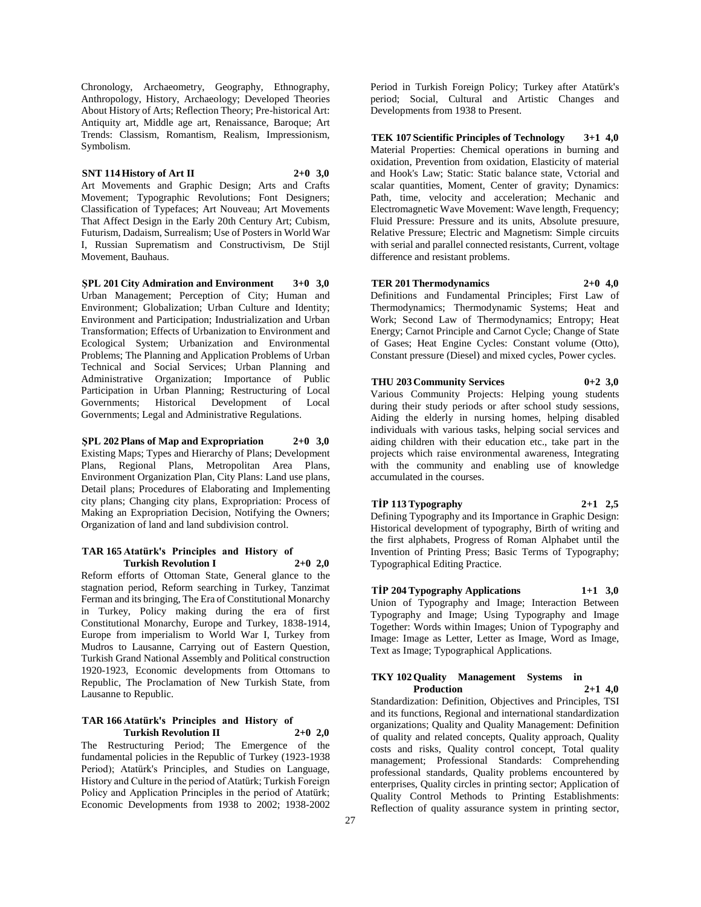Chronology, Archaeometry, Geography, Ethnography, Anthropology, History, Archaeology; Developed Theories About History of Arts; Reflection Theory; Pre-historical Art: Antiquity art, Middle age art, Renaissance, Baroque; Art Trends: Classism, Romantism, Realism, Impressionism, Symbolism.

#### **SNT 114 History of Art II 2+0 3,0**

Art Movements and Graphic Design; Arts and Crafts Movement: Typographic Revolutions: Font Designers: Classification of Typefaces; Art Nouveau; Art Movements That Affect Design in the Early 20th Century Art; Cubism, Futurism, Dadaism, Surrealism; Use of Posters in World War I, Russian Suprematism and Constructivism, De Stijl Movement, Bauhaus.

**ŞPL 201 City Admiration and Environment 3+0 3,0** Urban Management; Perception of City; Human and Environment; Globalization; Urban Culture and Identity; Environment and Participation; Industrialization and Urban Transformation; Effects of Urbanization to Environment and Ecological System; Urbanization and Environmental Problems; The Planning and Application Problems of Urban Technical and Social Services; Urban Planning and Administrative Organization; Importance of Public Participation in Urban Planning; Restructuring of Local Governments; Historical Development of Local Governments; Legal and Administrative Regulations.

**ŞPL 202 Plans of Map and Expropriation 2+0 3,0** Existing Maps; Types and Hierarchy of Plans; Development Plans, Regional Plans, Metropolitan Area Plans, Environment Organization Plan, City Plans: Land use plans, Detail plans; Procedures of Elaborating and Implementing city plans; Changing city plans, Expropriation: Process of Making an Expropriation Decision, Notifying the Owners; Organization of land and land subdivision control.

#### **TAR 165 Atatürk's Principles and History of Turkish Revolution I 2+0 2,0**

Reform efforts of Ottoman State, General glance to the stagnation period, Reform searching in Turkey, Tanzimat Ferman and its bringing, The Era of Constitutional Monarchy in Turkey, Policy making during the era of first Constitutional Monarchy, Europe and Turkey, 1838-1914, Europe from imperialism to World War I, Turkey from Mudros to Lausanne, Carrying out of Eastern Question, Turkish Grand National Assembly and Political construction 1920-1923, Economic developments from Ottomans to Republic, The Proclamation of New Turkish State, from Lausanne to Republic.

#### **TAR 166 Atatürk's Principles and History of Turkish Revolution II 2+0 2,0**

The Restructuring Period; The Emergence of the fundamental policies in the Republic of Turkey (1923-1938 Period); Atatürk's Principles, and Studies on Language, History and Culture in the period of Atatürk; Turkish Foreign Policy and Application Principles in the period of Atatürk; Economic Developments from 1938 to 2002; 1938-2002

Period in Turkish Foreign Policy; Turkey after Atatürk's period; Social, Cultural and Artistic Changes and Developments from 1938 to Present.

**TEK 107 Scientific Principles of Technology 3+1 4,0** Material Properties: Chemical operations in burning and oxidation, Prevention from oxidation, Elasticity of material and Hook's Law; Static: Static balance state, Vctorial and scalar quantities, Moment, Center of gravity; Dynamics: Path, time, velocity and acceleration; Mechanic and Electromagnetic Wave Movement: Wave length, Frequency; Fluid Pressure: Pressure and its units, Absolute presuure, Relative Pressure; Electric and Magnetism: Simple circuits with serial and parallel connected resistants, Current, voltage difference and resistant problems.

## **TER 201 Thermodynamics 2+0 4,0**

Definitions and Fundamental Principles; First Law of Thermodynamics; Thermodynamic Systems; Heat and Work; Second Law of Thermodynamics; Entropy; Heat Energy; Carnot Principle and Carnot Cycle; Change of State of Gases; Heat Engine Cycles: Constant volume (Otto), Constant pressure (Diesel) and mixed cycles, Power cycles.

### **THU 203 Community Services 0+2 3,0**

Various Community Projects: Helping young students during their study periods or after school study sessions, Aiding the elderly in nursing homes, helping disabled individuals with various tasks, helping social services and aiding children with their education etc., take part in the projects which raise environmental awareness, Integrating with the community and enabling use of knowledge accumulated in the courses.

**TİP 113 Typography 2+1 2,5** Defining Typography and its Importance in Graphic Design: Historical development of typography, Birth of writing and the first alphabets, Progress of Roman Alphabet until the Invention of Printing Press; Basic Terms of Typography; Typographical Editing Practice.

## **TİP 204 Typography Applications 1+1 3,0**

Union of Typography and Image; Interaction Between Typography and Image; Using Typography and Image Together: Words within Images; Union of Typography and Image: Image as Letter, Letter as Image, Word as Image, Text as Image; Typographical Applications.

### **TKY 102 Quality Management Systems in Production 2+1 4,0**

Standardization: Definition, Objectives and Principles, TSI and its functions, Regional and international standardization organizations; Quality and Quality Management: Definition of quality and related concepts, Quality approach, Quality costs and risks, Quality control concept, Total quality management; Professional Standards: Comprehending professional standards, Quality problems encountered by enterprises, Quality circles in printing sector; Application of Quality Control Methods to Printing Establishments: Reflection of quality assurance system in printing sector,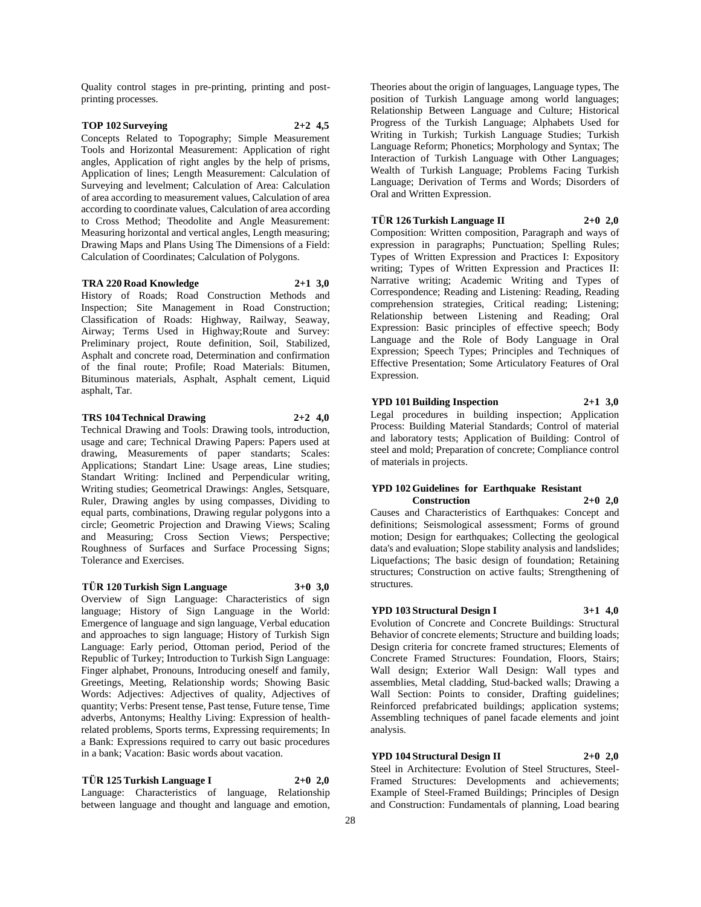Quality control stages in pre-printing, printing and postprinting processes.

### **TOP 102 Surveying 2+2 4,5**

Concepts Related to Topography; Simple Measurement Tools and Horizontal Measurement: Application of right angles, Application of right angles by the help of prisms, Application of lines; Length Measurement: Calculation of Surveying and levelment; Calculation of Area: Calculation of area according to measurement values, Calculation of area according to coordinate values, Calculation of area according to Cross Method; Theodolite and Angle Measurement: Measuring horizontal and vertical angles, Length measuring; Drawing Maps and Plans Using The Dimensions of a Field: Calculation of Coordinates; Calculation of Polygons.

**TRA 220 Road Knowledge 2+1 3,0** History of Roads; Road Construction Methods and Inspection; Site Management in Road Construction; Classification of Roads: Highway, Railway, Seaway, Airway; Terms Used in Highway;Route and Survey: Preliminary project, Route definition, Soil, Stabilized, Asphalt and concrete road, Determination and confirmation of the final route; Profile; Road Materials: Bitumen, Bituminous materials, Asphalt, Asphalt cement, Liquid asphalt, Tar.

#### **TRS 104 Technical Drawing 2+2 4,0**

Technical Drawing and Tools: Drawing tools, introduction, usage and care; Technical Drawing Papers: Papers used at drawing, Measurements of paper standarts; Scales: Applications; Standart Line: Usage areas, Line studies; Standart Writing: Inclined and Perpendicular writing, Writing studies; Geometrical Drawings: Angles, Setsquare, Ruler, Drawing angles by using compasses, Dividing to equal parts, combinations, Drawing regular polygons into a circle; Geometric Projection and Drawing Views; Scaling and Measuring; Cross Section Views; Perspective; Roughness of Surfaces and Surface Processing Signs; Tolerance and Exercises.

### **TÜR 120 Turkish Sign Language 3+0 3,0**

Overview of Sign Language: Characteristics of sign language; History of Sign Language in the World: Emergence of language and sign language, Verbal education and approaches to sign language; History of Turkish Sign Language: Early period, Ottoman period, Period of the Republic of Turkey; Introduction to Turkish Sign Language: Finger alphabet, Pronouns, Introducing oneself and family, Greetings, Meeting, Relationship words; Showing Basic Words: Adjectives: Adjectives of quality, Adjectives of quantity; Verbs: Present tense, Past tense, Future tense, Time adverbs, Antonyms; Healthy Living: Expression of healthrelated problems, Sports terms, Expressing requirements; In a Bank: Expressions required to carry out basic procedures in a bank; Vacation: Basic words about vacation.

### **TÜR 125 Turkish Language I 2+0 2,0**

Language: Characteristics of language, Relationship between language and thought and language and emotion, Theories about the origin of languages, Language types, The position of Turkish Language among world languages; Relationship Between Language and Culture; Historical Progress of the Turkish Language; Alphabets Used for Writing in Turkish; Turkish Language Studies; Turkish Language Reform; Phonetics; Morphology and Syntax; The Interaction of Turkish Language with Other Languages; Wealth of Turkish Language; Problems Facing Turkish Language; Derivation of Terms and Words; Disorders of Oral and Written Expression.

#### **TÜR 126 Turkish Language II 2+0 2,0**

Composition: Written composition, Paragraph and ways of expression in paragraphs; Punctuation; Spelling Rules; Types of Written Expression and Practices I: Expository writing; Types of Written Expression and Practices II: Narrative writing; Academic Writing and Types of Correspondence; Reading and Listening: Reading, Reading comprehension strategies, Critical reading; Listening; Relationship between Listening and Reading; Oral Expression: Basic principles of effective speech; Body Language and the Role of Body Language in Oral Expression; Speech Types; Principles and Techniques of Effective Presentation; Some Articulatory Features of Oral Expression.

#### **YPD 101 Building Inspection 2+1 3,0**

Legal procedures in building inspection; Application Process: Building Material Standards; Control of material and laboratory tests; Application of Building: Control of steel and mold; Preparation of concrete; Compliance control of materials in projects.

#### **YPD 102 Guidelines for Earthquake Resistant Construction 2+0 2,0**

Causes and Characteristics of Earthquakes: Concept and definitions; Seismological assessment; Forms of ground motion; Design for earthquakes; Collecting the geological data's and evaluation; Slope stability analysis and landslides; Liquefactions; The basic design of foundation; Retaining structures; Construction on active faults; Strengthening of structures.

### **YPD 103 Structural Design I 3+1 4,0**

Evolution of Concrete and Concrete Buildings: Structural Behavior of concrete elements; Structure and building loads; Design criteria for concrete framed structures; Elements of Concrete Framed Structures: Foundation, Floors, Stairs; Wall design; Exterior Wall Design: Wall types and assemblies, Metal cladding, Stud-backed walls; Drawing a Wall Section: Points to consider, Drafting guidelines; Reinforced prefabricated buildings; application systems; Assembling techniques of panel facade elements and joint analysis.

### **YPD 104 Structural Design II 2+0 2,0**

Steel in Architecture: Evolution of Steel Structures, Steel-Framed Structures: Developments and achievements; Example of Steel-Framed Buildings; Principles of Design and Construction: Fundamentals of planning, Load bearing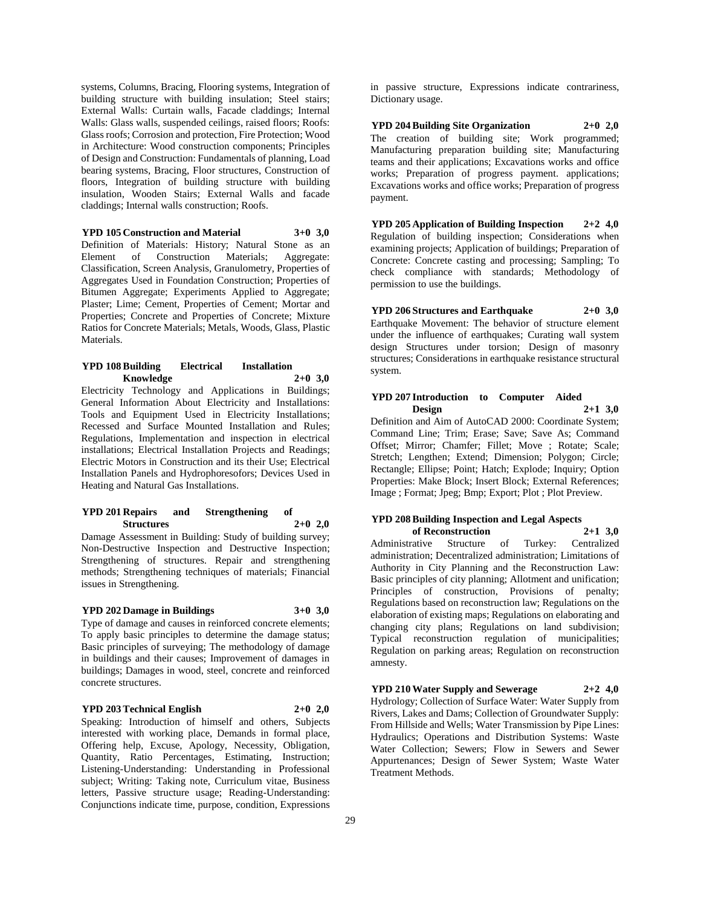systems, Columns, Bracing, Flooring systems, Integration of building structure with building insulation; Steel stairs; External Walls: Curtain walls, Facade claddings; Internal Walls: Glass walls, suspended ceilings, raised floors; Roofs: Glass roofs; Corrosion and protection, Fire Protection; Wood in Architecture: Wood construction components; Principles of Design and Construction: Fundamentals of planning, Load bearing systems, Bracing, Floor structures, Construction of floors, Integration of building structure with building insulation, Wooden Stairs; External Walls and facade claddings; Internal walls construction; Roofs.

**YPD 105 Construction and Material 3+0 3,0** Definition of Materials: History; Natural Stone as an Element of Construction Materials; Aggregate: Classification, Screen Analysis, Granulometry, Properties of Aggregates Used in Foundation Construction; Properties of Bitumen Aggregate; Experiments Applied to Aggregate; Plaster; Lime; Cement, Properties of Cement; Mortar and Properties; Concrete and Properties of Concrete; Mixture Ratios for Concrete Materials; Metals, Woods, Glass, Plastic Materials.

### **YPD 108 Building Electrical Installation Knowledge 2+0 3,0**

Electricity Technology and Applications in Buildings; General Information About Electricity and Installations: Tools and Equipment Used in Electricity Installations; Recessed and Surface Mounted Installation and Rules; Regulations, Implementation and inspection in electrical installations; Electrical Installation Projects and Readings; Electric Motors in Construction and its their Use; Electrical Installation Panels and Hydrophoresofors; Devices Used in Heating and Natural Gas Installations.

### **YPD 201 Repairs and Strengthening of Structures 2+0 2,0**

Damage Assessment in Building: Study of building survey; Non-Destructive Inspection and Destructive Inspection; Strengthening of structures. Repair and strengthening methods; Strengthening techniques of materials; Financial issues in Strengthening.

### **YPD 202 Damage in Buildings 3+0 3,0**

Type of damage and causes in reinforced concrete elements; To apply basic principles to determine the damage status; Basic principles of surveying; The methodology of damage in buildings and their causes; Improvement of damages in buildings; Damages in wood, steel, concrete and reinforced concrete structures.

#### **YPD 203 Technical English 2+0 2,0**

Speaking: Introduction of himself and others, Subjects interested with working place, Demands in formal place, Offering help, Excuse, Apology, Necessity, Obligation, Quantity, Ratio Percentages, Estimating, Instruction; Listening-Understanding: Understanding in Professional subject; Writing: Taking note, Curriculum vitae, Business letters, Passive structure usage; Reading-Understanding: Conjunctions indicate time, purpose, condition, Expressions

in passive structure, Expressions indicate contrariness, Dictionary usage.

**YPD 204 Building Site Organization 2+0 2,0** The creation of building site; Work programmed; Manufacturing preparation building site; Manufacturing teams and their applications; Excavations works and office works; Preparation of progress payment. applications; Excavations works and office works; Preparation of progress payment.

**YPD 205 Application of Building Inspection 2+2 4,0** Regulation of building inspection; Considerations when examining projects; Application of buildings; Preparation of Concrete: Concrete casting and processing; Sampling; To check compliance with standards; Methodology of permission to use the buildings.

**YPD 206 Structures and Earthquake 2+0 3,0** Earthquake Movement: The behavior of structure element under the influence of earthquakes; Curating wall system design Structures under torsion; Design of masonry structures; Considerations in earthquake resistance structural system.

## **YPD 207 Introduction to Computer Aided Design 2+1 3,0**

Definition and Aim of AutoCAD 2000: Coordinate System; Command Line; Trim; Erase; Save; Save As; Command Offset; Mirror; Chamfer; Fillet; Move ; Rotate; Scale; Stretch; Lengthen; Extend; Dimension; Polygon; Circle; Rectangle; Ellipse; Point; Hatch; Explode; Inquiry; Option Properties: Make Block; Insert Block; External References; Image ; Format; Jpeg; Bmp; Export; Plot ; Plot Preview.

### **YPD 208 Building Inspection and Legal Aspects of Reconstruction 2+1 3,0**

Administrative Structure of Turkey: Centralized administration; Decentralized administration; Limitations of Authority in City Planning and the Reconstruction Law: Basic principles of city planning; Allotment and unification; Principles of construction, Provisions of penalty; Regulations based on reconstruction law; Regulations on the elaboration of existing maps; Regulations on elaborating and changing city plans; Regulations on land subdivision; Typical reconstruction regulation of municipalities; Regulation on parking areas; Regulation on reconstruction amnesty.

### **YPD 210 Water Supply and Sewerage 2+2 4,0**

Hydrology; Collection of Surface Water: Water Supply from Rivers, Lakes and Dams; Collection of Groundwater Supply: From Hillside and Wells; Water Transmission by Pipe Lines: Hydraulics; Operations and Distribution Systems: Waste Water Collection; Sewers; Flow in Sewers and Sewer Appurtenances; Design of Sewer System; Waste Water Treatment Methods.